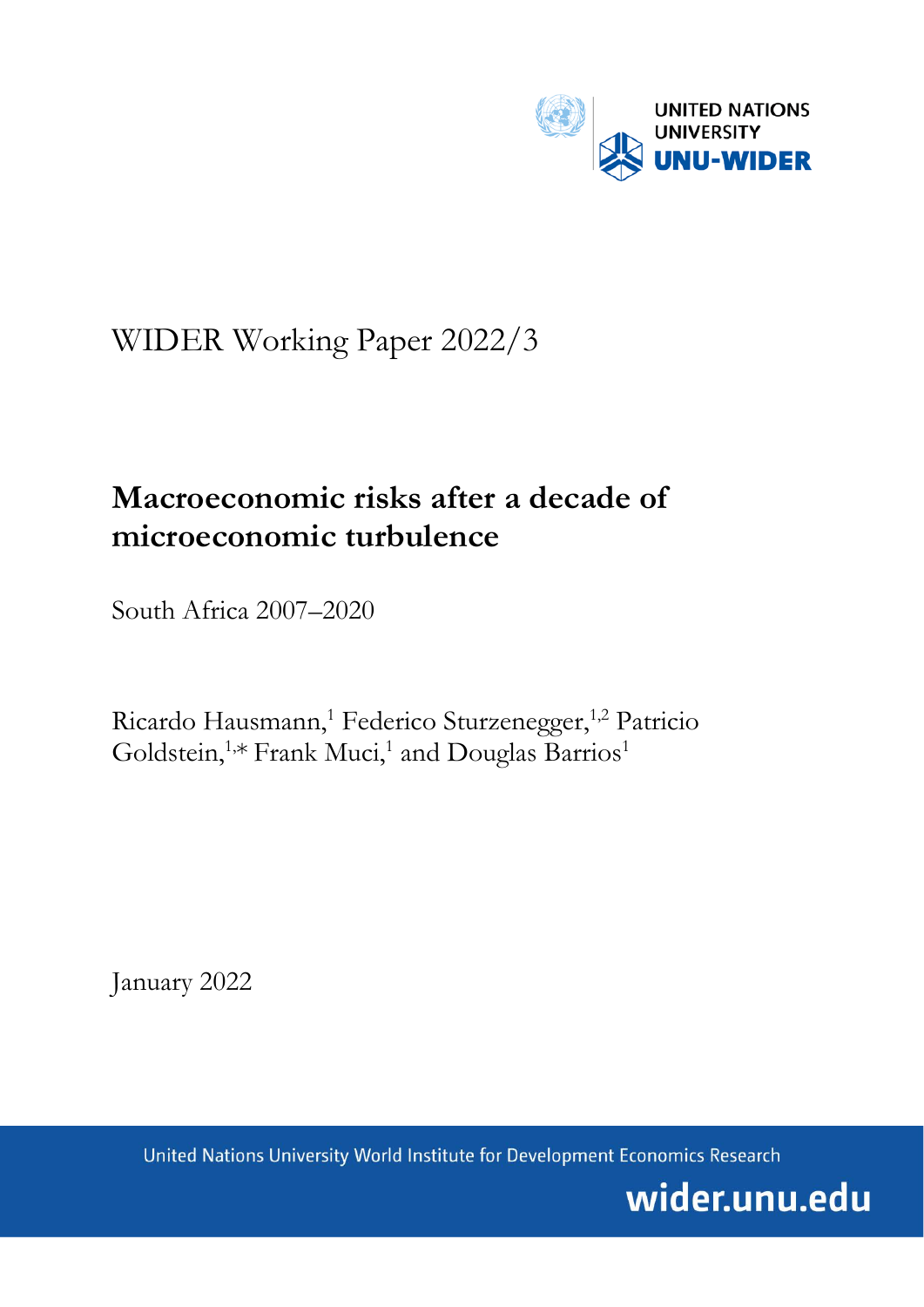

# WIDER Working Paper 2022/3

## **Macroeconomic risks after a decade of microeconomic turbulence**

South Africa 2007–2020

Ricardo Hausmann,<sup>1</sup> Federico Sturzenegger,<sup>1,2</sup> Patricio Goldstein,<sup>1,\*</sup> Frank Muci,<sup>1</sup> and Douglas Barrios<sup>1</sup>

January 2022

United Nations University World Institute for Development Economics Research

wider.unu.edu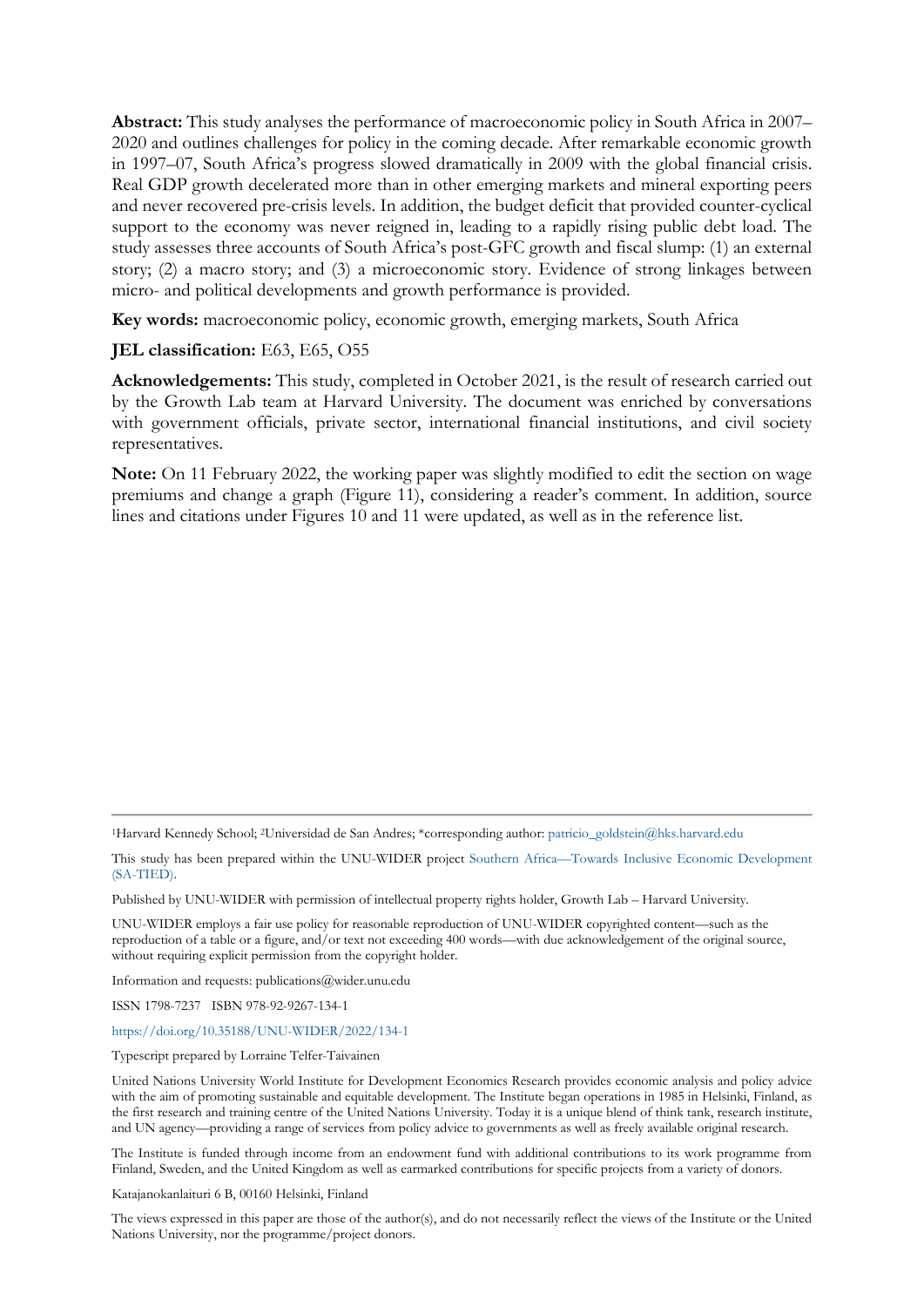**Abstract:** This study analyses the performance of macroeconomic policy in South Africa in 2007– 2020 and outlines challenges for policy in the coming decade. After remarkable economic growth in 1997–07, South Africa's progress slowed dramatically in 2009 with the global financial crisis. Real GDP growth decelerated more than in other emerging markets and mineral exporting peers and never recovered pre-crisis levels. In addition, the budget deficit that provided counter-cyclical support to the economy was never reigned in, leading to a rapidly rising public debt load. The study assesses three accounts of South Africa's post-GFC growth and fiscal slump: (1) an external story; (2) a macro story; and (3) a microeconomic story. Evidence of strong linkages between micro- and political developments and growth performance is provided.

**Key words:** macroeconomic policy, economic growth, emerging markets, South Africa

## **JEL classification:** E63, E65, O55

**Acknowledgements:** This study, completed in October 2021, is the result of research carried out by the Growth Lab team at Harvard University. The document was enriched by conversations with government officials, private sector, international financial institutions, and civil society representatives.

**Note:** On 11 February 2022, the working paper was slightly modified to edit the section on wage premiums and change a graph (Figure 11), considering a reader's comment. In addition, source lines and citations under Figures 10 and 11 were updated, as well as in the reference list.

1Harvard Kennedy School; 2Universidad de San Andres; \*corresponding author: [patricio\\_goldstein@hks.harvard.edu](mailto:patricio_goldstein@hks.harvard.edu)

This study has been prepared within the UNU-WIDER project [Southern Africa—Towards Inclusive Economic Development](https://sa-tied.wider.unu.edu/)  [\(SA-TIED\).](https://sa-tied.wider.unu.edu/)

Published by UNU-WIDER with permission of intellectual property rights holder, Growth Lab – Harvard University.

UNU-WIDER employs a fair use policy for reasonable reproduction of UNU-WIDER copyrighted content—such as the reproduction of a table or a figure, and/or text not exceeding 400 words—with due acknowledgement of the original source, without requiring explicit permission from the copyright holder.

Information and requests: publications@wider.unu.edu

ISSN 1798-7237 ISBN 978-92-9267-134-1

<https://doi.org/10.35188/UNU-WIDER/2022/134-1>

Typescript prepared by Lorraine Telfer-Taivainen

United Nations University World Institute for Development Economics Research provides economic analysis and policy advice with the aim of promoting sustainable and equitable development. The Institute began operations in 1985 in Helsinki, Finland, as the first research and training centre of the United Nations University. Today it is a unique blend of think tank, research institute, and UN agency—providing a range of services from policy advice to governments as well as freely available original research.

The Institute is funded through income from an endowment fund with additional contributions to its work programme from Finland, Sweden, and the United Kingdom as well as earmarked contributions for specific projects from a variety of donors.

Katajanokanlaituri 6 B, 00160 Helsinki, Finland

The views expressed in this paper are those of the author(s), and do not necessarily reflect the views of the Institute or the United Nations University, nor the programme/project donors.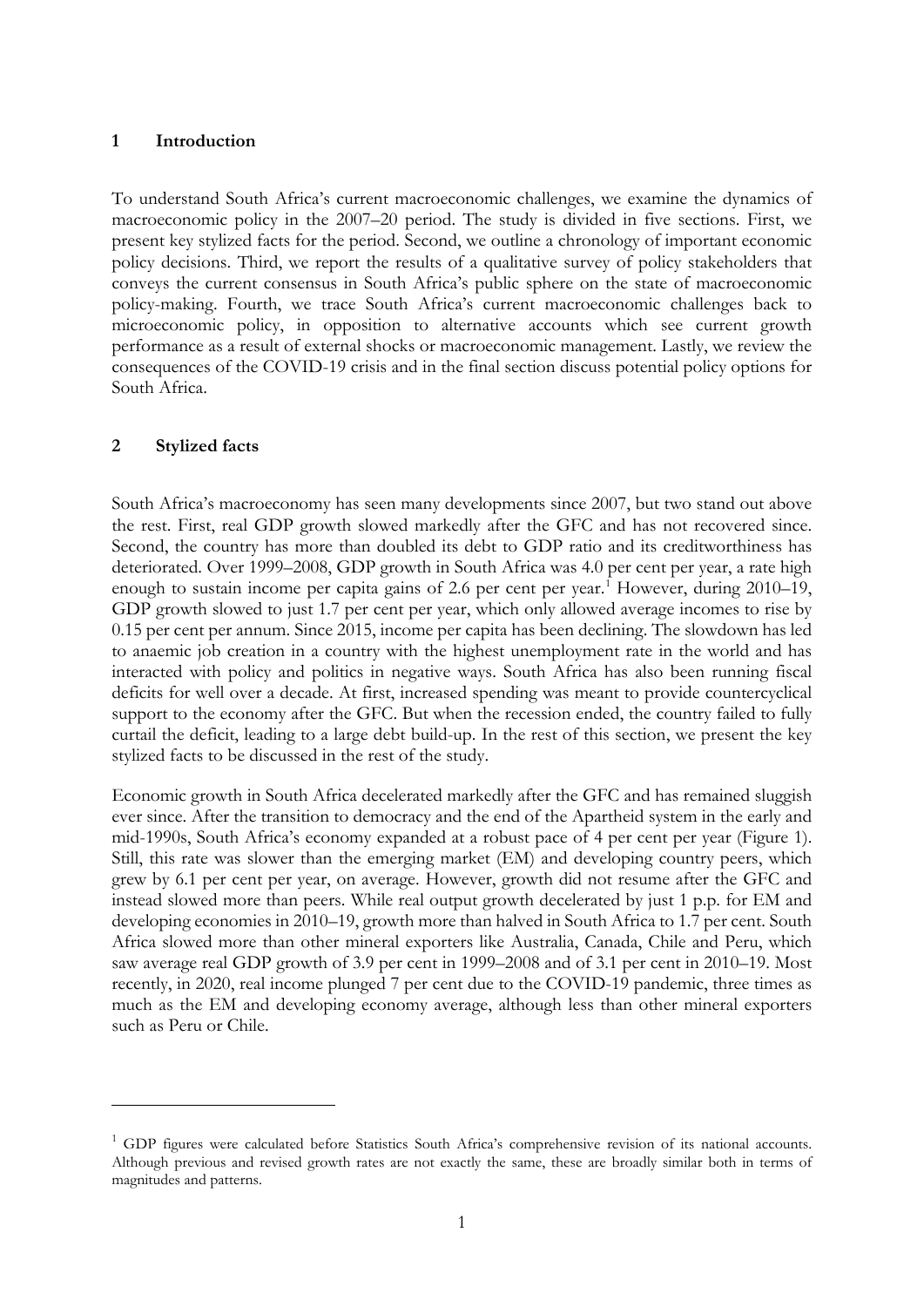## **1 Introduction**

To understand South Africa's current macroeconomic challenges, we examine the dynamics of macroeconomic policy in the 2007–20 period. The study is divided in five sections. First, we present key stylized facts for the period. Second, we outline a chronology of important economic policy decisions. Third, we report the results of a qualitative survey of policy stakeholders that conveys the current consensus in South Africa's public sphere on the state of macroeconomic policy-making. Fourth, we trace South Africa's current macroeconomic challenges back to microeconomic policy, in opposition to alternative accounts which see current growth performance as a result of external shocks or macroeconomic management. Lastly, we review the consequences of the COVID-19 crisis and in the final section discuss potential policy options for South Africa.

## **2 Stylized facts**

South Africa's macroeconomy has seen many developments since 2007, but two stand out above the rest. First, real GDP growth slowed markedly after the GFC and has not recovered since. Second, the country has more than doubled its debt to GDP ratio and its creditworthiness has deteriorated. Over 1999–2008, GDP growth in South Africa was 4.0 per cent per year, a rate high enough to sustain income per capita gains of 2.6 per cent per year.<sup>[1](#page-2-0)</sup> However, during  $2010-19$ , GDP growth slowed to just 1.7 per cent per year, which only allowed average incomes to rise by 0.15 per cent per annum. Since 2015, income per capita has been declining. The slowdown has led to anaemic job creation in a country with the highest unemployment rate in the world and has interacted with policy and politics in negative ways. South Africa has also been running fiscal deficits for well over a decade. At first, increased spending was meant to provide countercyclical support to the economy after the GFC. But when the recession ended, the country failed to fully curtail the deficit, leading to a large debt build-up. In the rest of this section, we present the key stylized facts to be discussed in the rest of the study.

Economic growth in South Africa decelerated markedly after the GFC and has remained sluggish ever since. After the transition to democracy and the end of the Apartheid system in the early and mid-1990s, South Africa's economy expanded at a robust pace of 4 per cent per year (Figure 1). Still, this rate was slower than the emerging market (EM) and developing country peers, which grew by 6.1 per cent per year, on average. However, growth did not resume after the GFC and instead slowed more than peers. While real output growth decelerated by just 1 p.p. for EM and developing economies in 2010–19, growth more than halved in South Africa to 1.7 per cent. South Africa slowed more than other mineral exporters like Australia, Canada, Chile and Peru, which saw average real GDP growth of 3.9 per cent in 1999–2008 and of 3.1 per cent in 2010–19. Most recently, in 2020, real income plunged 7 per cent due to the COVID-19 pandemic, three times as much as the EM and developing economy average, although less than other mineral exporters such as Peru or Chile.

<span id="page-2-0"></span> $<sup>1</sup>$  GDP figures were calculated before Statistics South Africa's comprehensive revision of its national accounts.</sup> Although previous and revised growth rates are not exactly the same, these are broadly similar both in terms of magnitudes and patterns.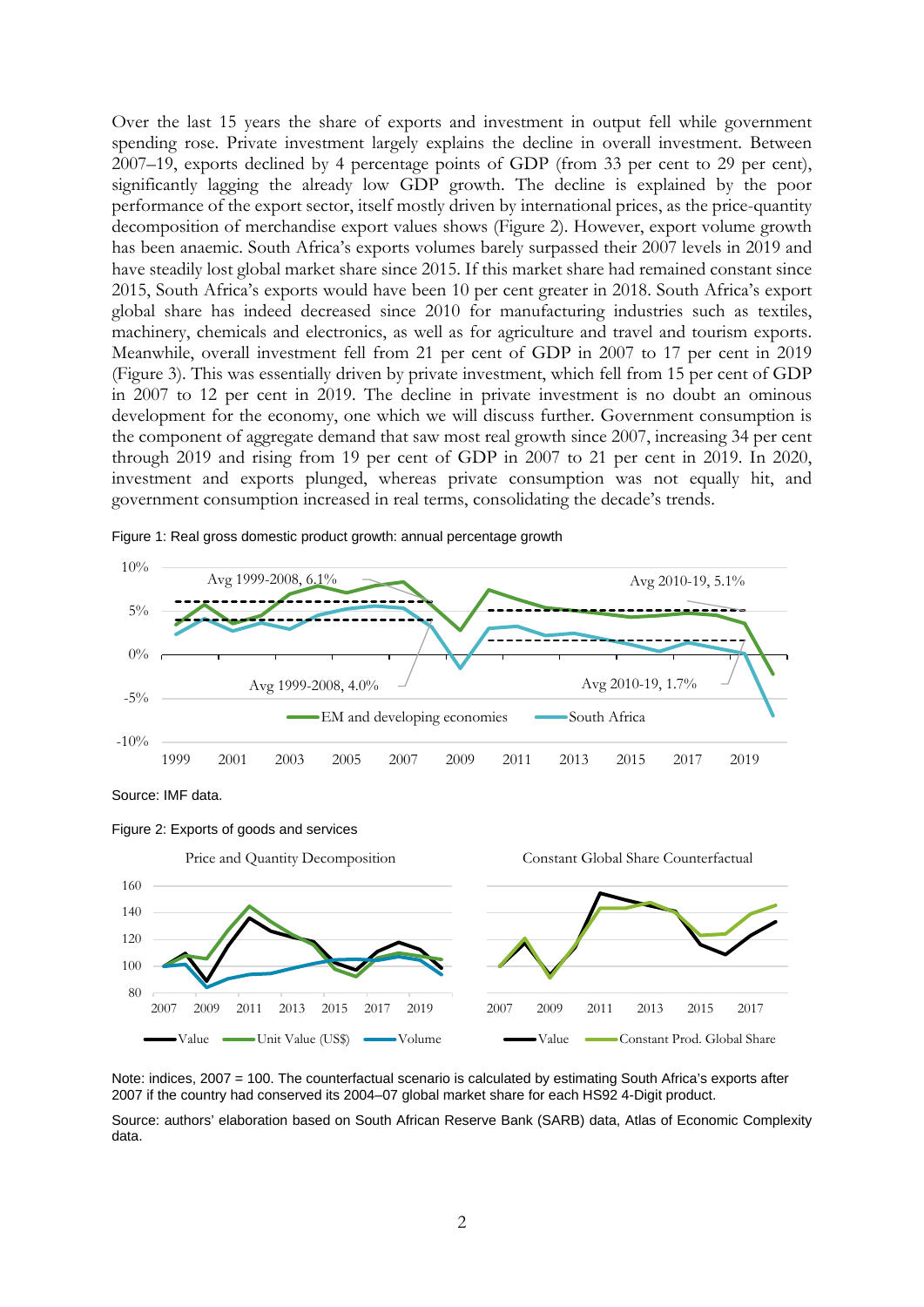Over the last 15 years the share of exports and investment in output fell while government spending rose. Private investment largely explains the decline in overall investment. Between 2007–19, exports declined by 4 percentage points of GDP (from 33 per cent to 29 per cent), significantly lagging the already low GDP growth. The decline is explained by the poor performance of the export sector, itself mostly driven by international prices, as the price-quantity decomposition of merchandise export values shows (Figure 2). However, export volume growth has been anaemic. South Africa's exports volumes barely surpassed their 2007 levels in 2019 and have steadily lost global market share since 2015. If this market share had remained constant since 2015, South Africa's exports would have been 10 per cent greater in 2018. South Africa's export global share has indeed decreased since 2010 for manufacturing industries such as textiles, machinery, chemicals and electronics, as well as for agriculture and travel and tourism exports. Meanwhile, overall investment fell from 21 per cent of GDP in 2007 to 17 per cent in 2019 (Figure 3). This was essentially driven by private investment, which fell from 15 per cent of GDP in 2007 to 12 per cent in 2019. The decline in private investment is no doubt an ominous development for the economy, one which we will discuss further. Government consumption is the component of aggregate demand that saw most real growth since 2007, increasing 34 per cent through 2019 and rising from 19 per cent of GDP in 2007 to 21 per cent in 2019. In 2020, investment and exports plunged, whereas private consumption was not equally hit, and government consumption increased in real terms, consolidating the decade's trends.



Figure 1: Real gross domestic product growth: annual percentage growth





Note: indices, 2007 = 100. The counterfactual scenario is calculated by estimating South Africa's exports after 2007 if the country had conserved its 2004–07 global market share for each HS92 4-Digit product.

Source: authors' elaboration based on South African Reserve Bank (SARB) data, Atlas of Economic Complexity data.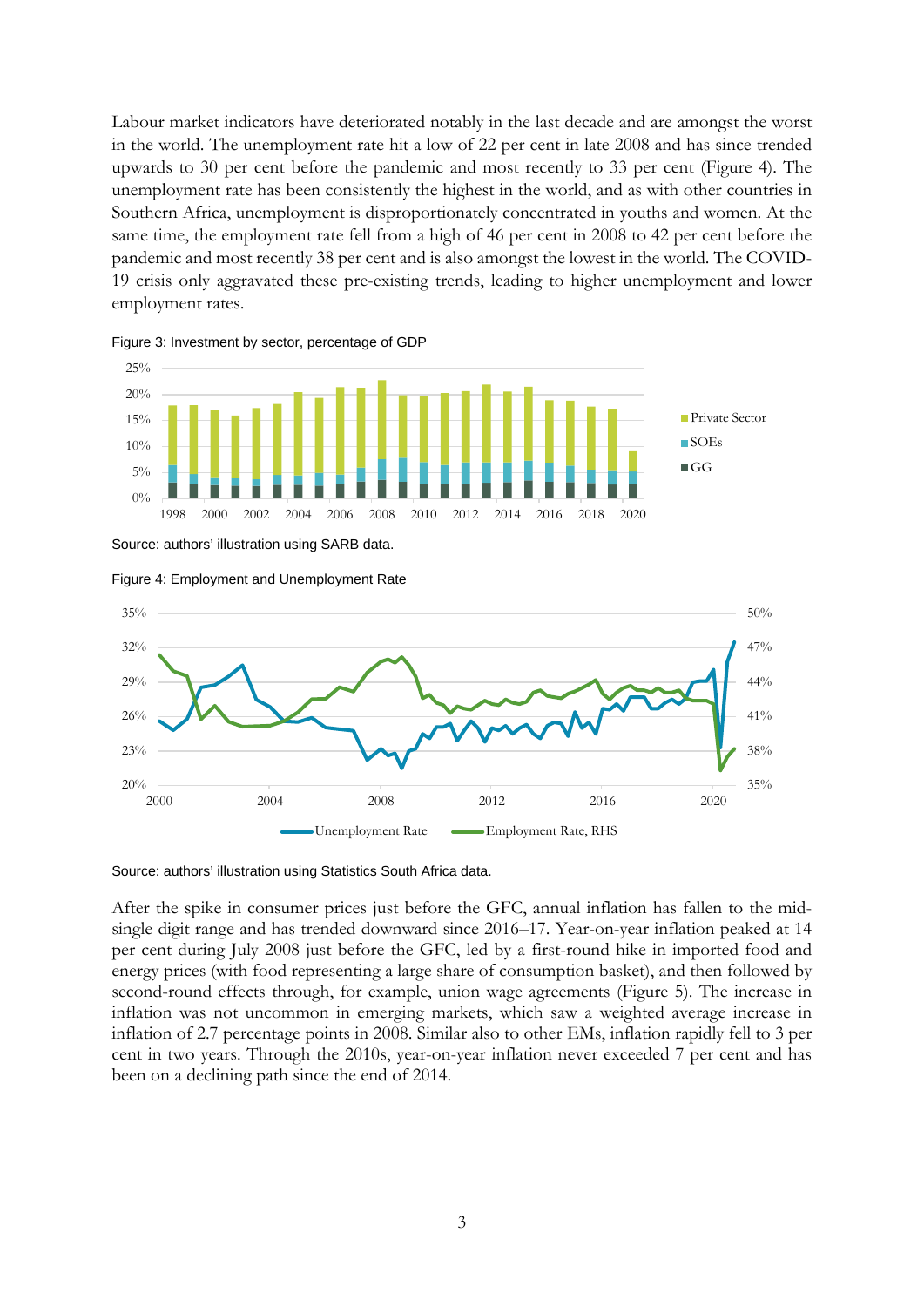Labour market indicators have deteriorated notably in the last decade and are amongst the worst in the world. The unemployment rate hit a low of 22 per cent in late 2008 and has since trended upwards to 30 per cent before the pandemic and most recently to 33 per cent (Figure 4). The unemployment rate has been consistently the highest in the world, and as with other countries in Southern Africa, unemployment is disproportionately concentrated in youths and women. At the same time, the employment rate fell from a high of 46 per cent in 2008 to 42 per cent before the pandemic and most recently 38 per cent and is also amongst the lowest in the world. The COVID-19 crisis only aggravated these pre-existing trends, leading to higher unemployment and lower employment rates.





Source: authors' illustration using SARB data.





Source: authors' illustration using Statistics South Africa data.

After the spike in consumer prices just before the GFC, annual inflation has fallen to the midsingle digit range and has trended downward since 2016–17. Year-on-year inflation peaked at 14 per cent during July 2008 just before the GFC, led by a first-round hike in imported food and energy prices (with food representing a large share of consumption basket), and then followed by second-round effects through, for example, union wage agreements (Figure 5). The increase in inflation was not uncommon in emerging markets, which saw a weighted average increase in inflation of 2.7 percentage points in 2008. Similar also to other EMs, inflation rapidly fell to 3 per cent in two years. Through the 2010s, year-on-year inflation never exceeded 7 per cent and has been on a declining path since the end of 2014.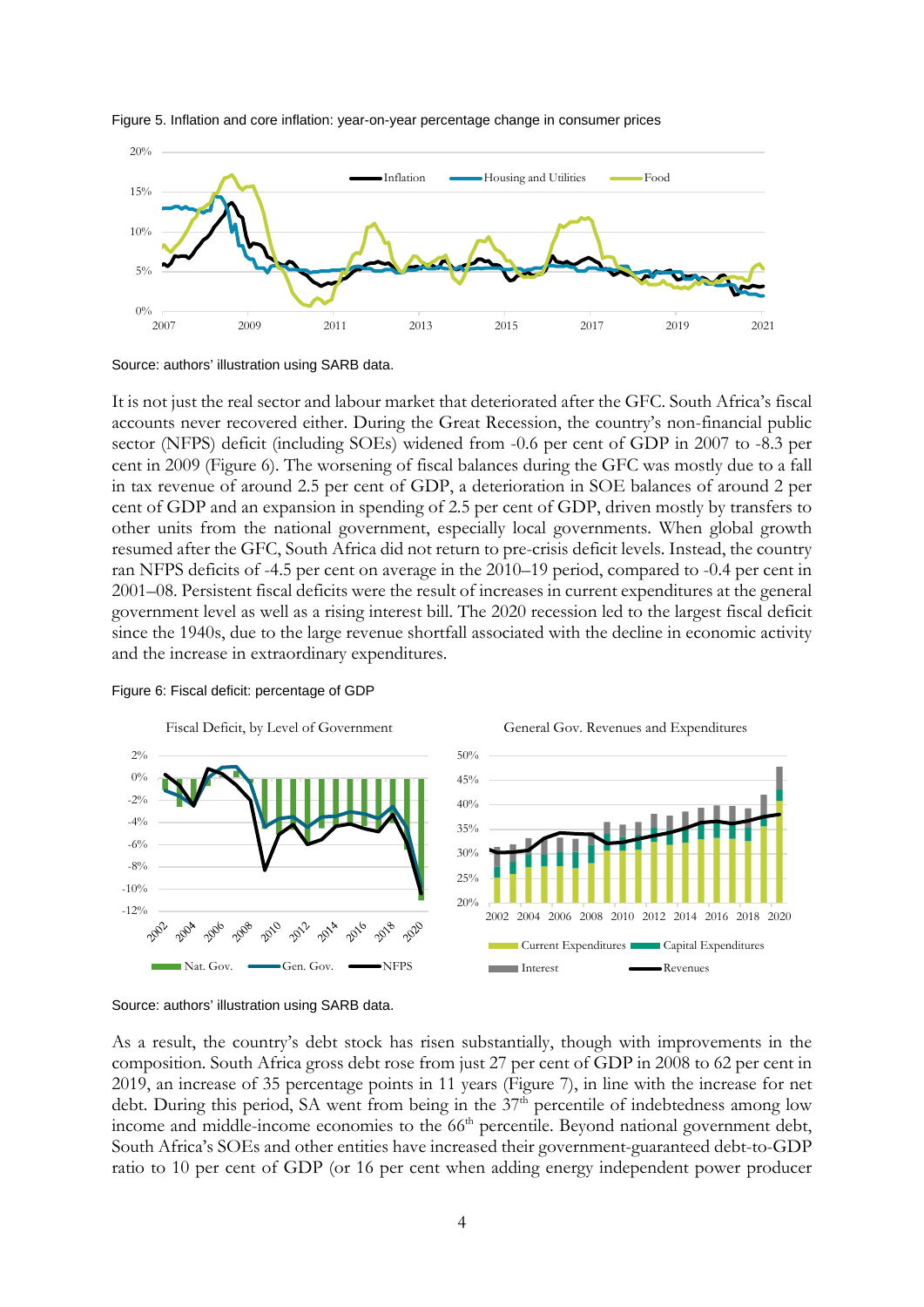

#### Figure 5. Inflation and core inflation: year-on-year percentage change in consumer prices

Source: authors' illustration using SARB data.

It is not just the real sector and labour market that deteriorated after the GFC. South Africa's fiscal accounts never recovered either. During the Great Recession, the country's non-financial public sector (NFPS) deficit (including SOEs) widened from -0.6 per cent of GDP in 2007 to -8.3 per cent in 2009 (Figure 6). The worsening of fiscal balances during the GFC was mostly due to a fall in tax revenue of around 2.5 per cent of GDP, a deterioration in SOE balances of around 2 per cent of GDP and an expansion in spending of 2.5 per cent of GDP, driven mostly by transfers to other units from the national government, especially local governments. When global growth resumed after the GFC, South Africa did not return to pre-crisis deficit levels. Instead, the country ran NFPS deficits of -4.5 per cent on average in the 2010–19 period, compared to -0.4 per cent in 2001–08. Persistent fiscal deficits were the result of increases in current expenditures at the general government level as well as a rising interest bill. The 2020 recession led to the largest fiscal deficit since the 1940s, due to the large revenue shortfall associated with the decline in economic activity and the increase in extraordinary expenditures.



#### Figure 6: Fiscal deficit: percentage of GDP

Source: authors' illustration using SARB data.

As a result, the country's debt stock has risen substantially, though with improvements in the composition. South Africa gross debt rose from just 27 per cent of GDP in 2008 to 62 per cent in 2019, an increase of 35 percentage points in 11 years (Figure 7), in line with the increase for net debt. During this period, SA went from being in the  $37<sup>th</sup>$  percentile of indebtedness among low income and middle-income economies to the 66<sup>th</sup> percentile. Beyond national government debt, South Africa's SOEs and other entities have increased their government-guaranteed debt-to-GDP ratio to 10 per cent of GDP (or 16 per cent when adding energy independent power producer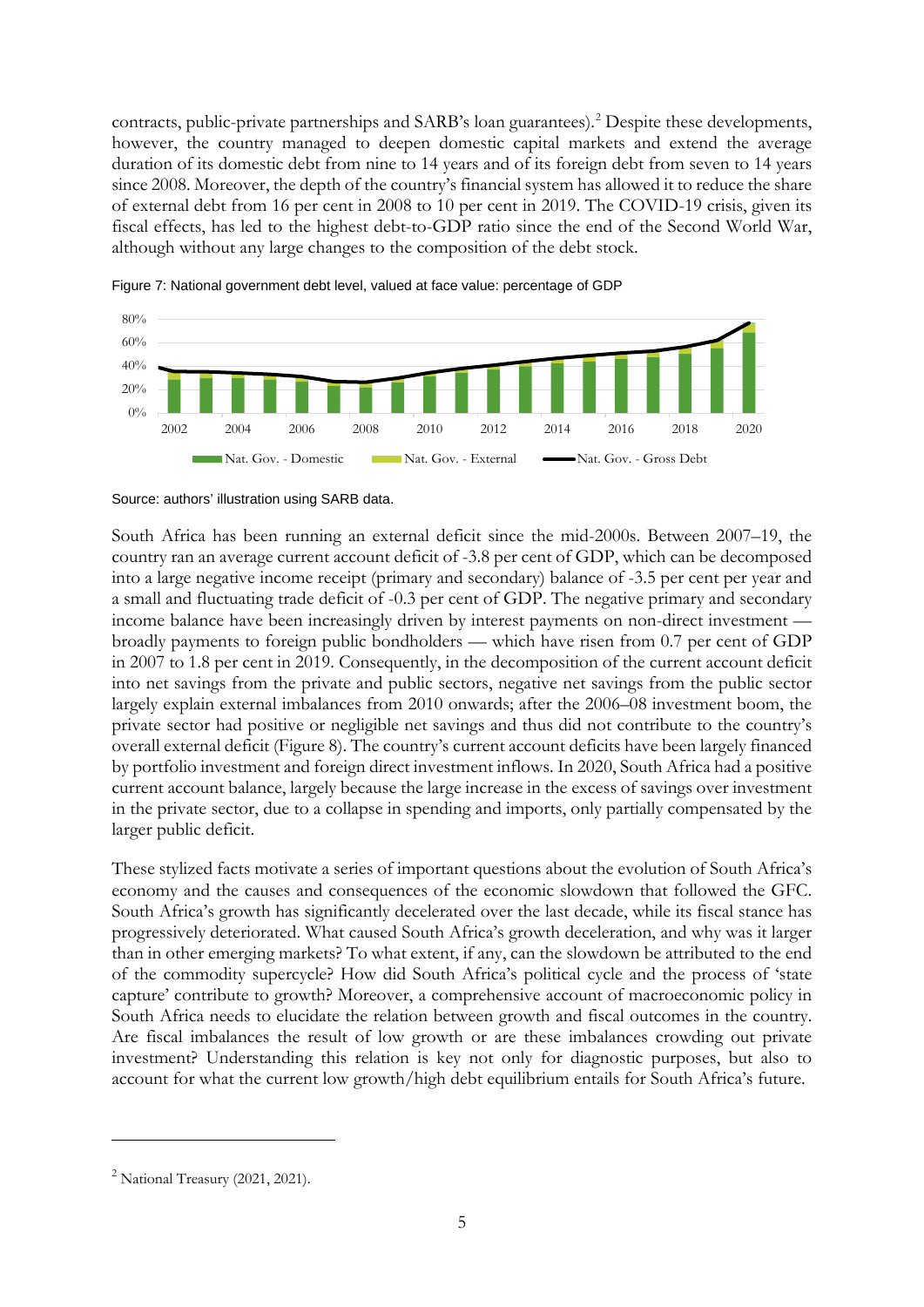contracts, public-private partnerships and SARB's loan guarantees).<sup>[2](#page-6-0)</sup> Despite these developments, however, the country managed to deepen domestic capital markets and extend the average duration of its domestic debt from nine to 14 years and of its foreign debt from seven to 14 years since 2008. Moreover, the depth of the country's financial system has allowed it to reduce the share of external debt from 16 per cent in 2008 to 10 per cent in 2019. The COVID-19 crisis, given its fiscal effects, has led to the highest debt-to-GDP ratio since the end of the Second World War, although without any large changes to the composition of the debt stock.





South Africa has been running an external deficit since the mid-2000s. Between 2007–19, the country ran an average current account deficit of -3.8 per cent of GDP, which can be decomposed into a large negative income receipt (primary and secondary) balance of -3.5 per cent per year and a small and fluctuating trade deficit of -0.3 per cent of GDP. The negative primary and secondary income balance have been increasingly driven by interest payments on non-direct investment broadly payments to foreign public bondholders — which have risen from 0.7 per cent of GDP in 2007 to 1.8 per cent in 2019. Consequently, in the decomposition of the current account deficit into net savings from the private and public sectors, negative net savings from the public sector largely explain external imbalances from 2010 onwards; after the 2006–08 investment boom, the private sector had positive or negligible net savings and thus did not contribute to the country's overall external deficit (Figure 8). The country's current account deficits have been largely financed by portfolio investment and foreign direct investment inflows. In 2020, South Africa had a positive current account balance, largely because the large increase in the excess of savings over investment in the private sector, due to a collapse in spending and imports, only partially compensated by the larger public deficit.

These stylized facts motivate a series of important questions about the evolution of South Africa's economy and the causes and consequences of the economic slowdown that followed the GFC. South Africa's growth has significantly decelerated over the last decade, while its fiscal stance has progressively deteriorated. What caused South Africa's growth deceleration, and why was it larger than in other emerging markets? To what extent, if any, can the slowdown be attributed to the end of the commodity supercycle? How did South Africa's political cycle and the process of 'state capture' contribute to growth? Moreover, a comprehensive account of macroeconomic policy in South Africa needs to elucidate the relation between growth and fiscal outcomes in the country. Are fiscal imbalances the result of low growth or are these imbalances crowding out private investment? Understanding this relation is key not only for diagnostic purposes, but also to account for what the current low growth/high debt equilibrium entails for South Africa's future.

Source: authors' illustration using SARB data.

<span id="page-6-0"></span> $2$  National Treasury (2021, 2021).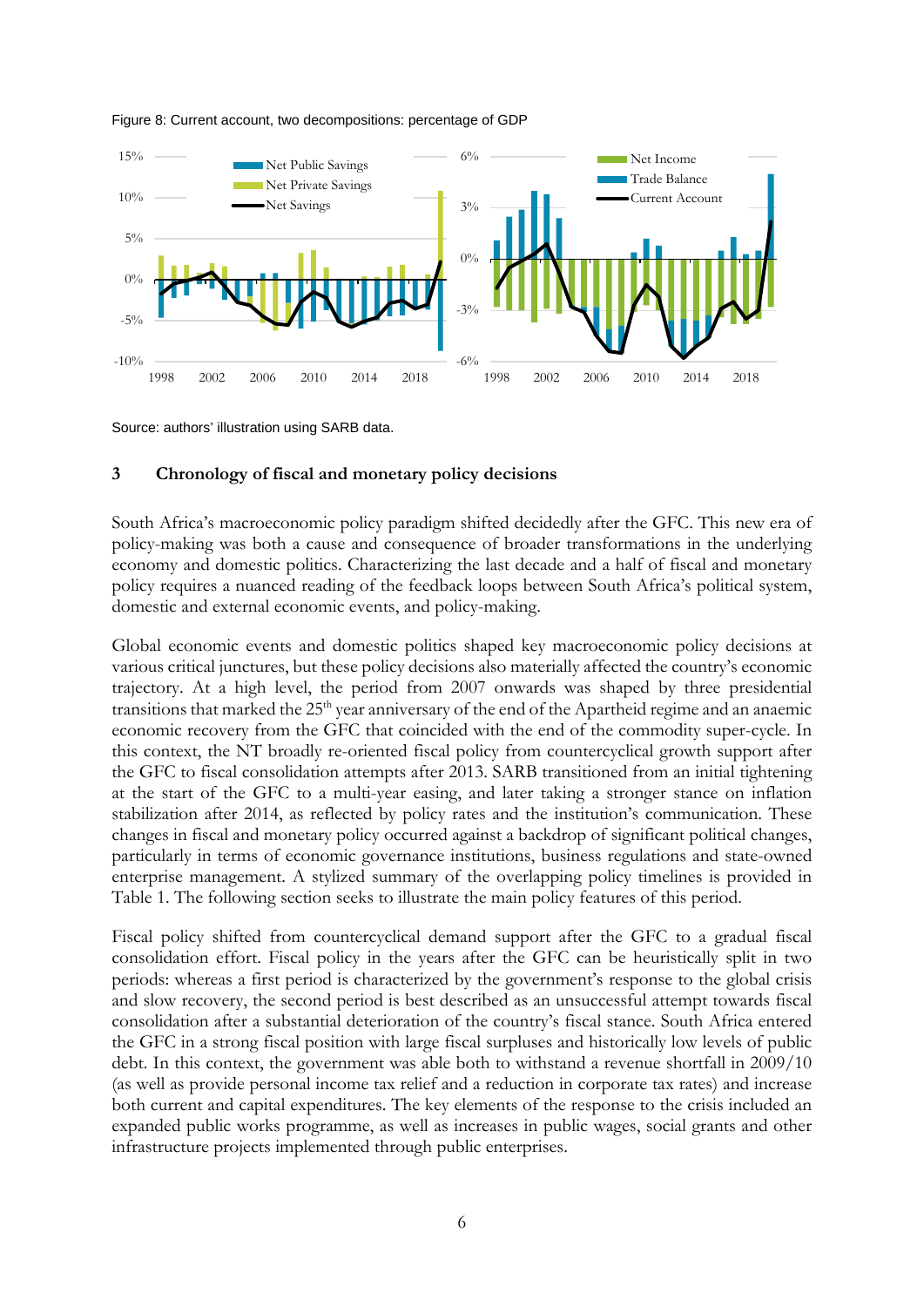

#### Figure 8: Current account, two decompositions: percentage of GDP

Source: authors' illustration using SARB data.

## **3 Chronology of fiscal and monetary policy decisions**

South Africa's macroeconomic policy paradigm shifted decidedly after the GFC. This new era of policy-making was both a cause and consequence of broader transformations in the underlying economy and domestic politics. Characterizing the last decade and a half of fiscal and monetary policy requires a nuanced reading of the feedback loops between South Africa's political system, domestic and external economic events, and policy-making.

Global economic events and domestic politics shaped key macroeconomic policy decisions at various critical junctures, but these policy decisions also materially affected the country's economic trajectory. At a high level, the period from 2007 onwards was shaped by three presidential transitions that marked the 25<sup>th</sup> year anniversary of the end of the Apartheid regime and an anaemic economic recovery from the GFC that coincided with the end of the commodity super-cycle. In this context, the NT broadly re-oriented fiscal policy from countercyclical growth support after the GFC to fiscal consolidation attempts after 2013. SARB transitioned from an initial tightening at the start of the GFC to a multi-year easing, and later taking a stronger stance on inflation stabilization after 2014, as reflected by policy rates and the institution's communication. These changes in fiscal and monetary policy occurred against a backdrop of significant political changes, particularly in terms of economic governance institutions, business regulations and state-owned enterprise management. A stylized summary of the overlapping policy timelines is provided in Table 1. The following section seeks to illustrate the main policy features of this period.

Fiscal policy shifted from countercyclical demand support after the GFC to a gradual fiscal consolidation effort. Fiscal policy in the years after the GFC can be heuristically split in two periods: whereas a first period is characterized by the government's response to the global crisis and slow recovery, the second period is best described as an unsuccessful attempt towards fiscal consolidation after a substantial deterioration of the country's fiscal stance. South Africa entered the GFC in a strong fiscal position with large fiscal surpluses and historically low levels of public debt. In this context, the government was able both to withstand a revenue shortfall in 2009/10 (as well as provide personal income tax relief and a reduction in corporate tax rates) and increase both current and capital expenditures. The key elements of the response to the crisis included an expanded public works programme, as well as increases in public wages, social grants and other infrastructure projects implemented through public enterprises.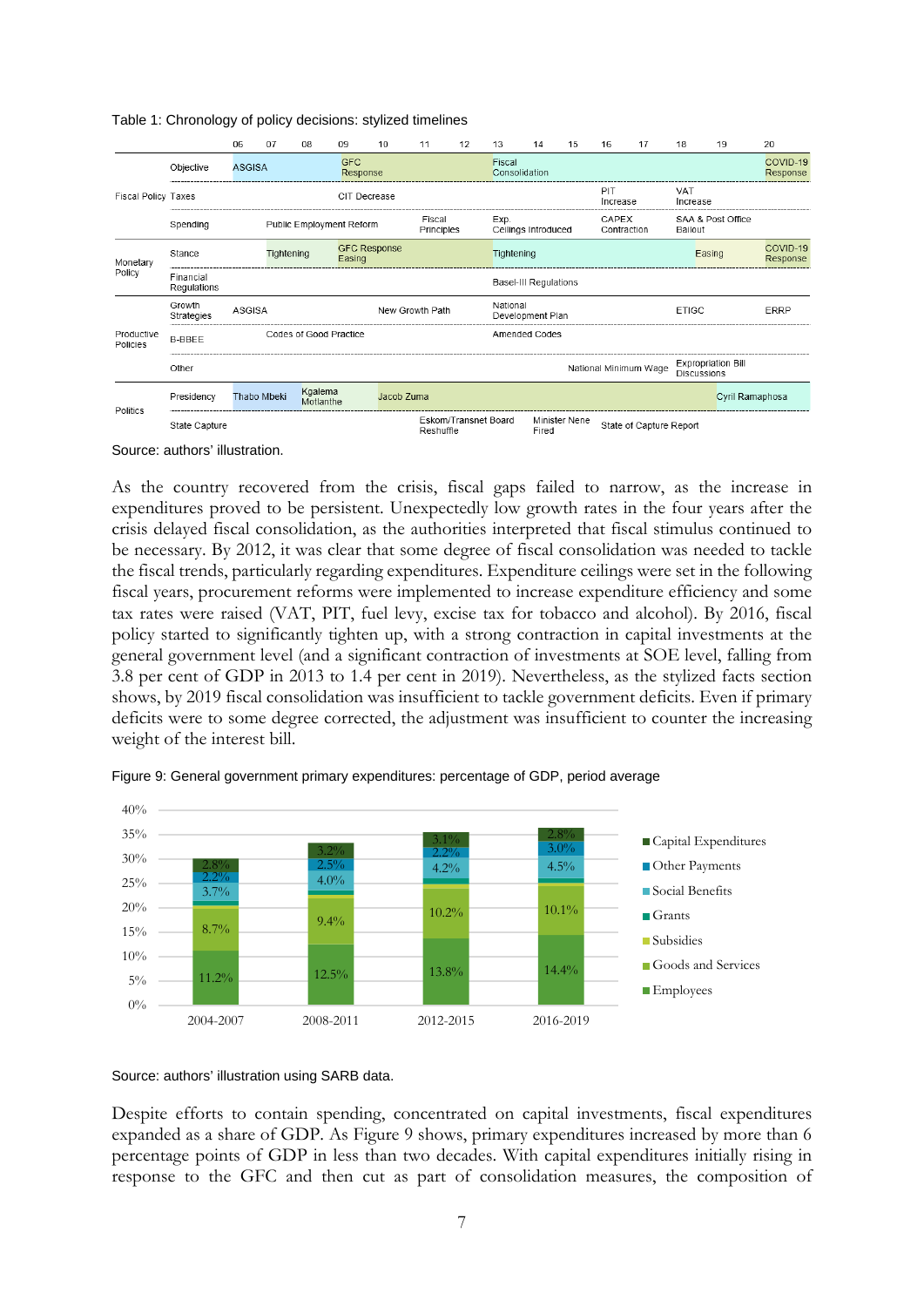|                               |                          | 06                       | 07         | 08                     | 09                            | 10                   | 11              | 12                   | 13                      | 14                           | 15            | 16                   | 17                      | 18                 | 19                        | 20                   |
|-------------------------------|--------------------------|--------------------------|------------|------------------------|-------------------------------|----------------------|-----------------|----------------------|-------------------------|------------------------------|---------------|----------------------|-------------------------|--------------------|---------------------------|----------------------|
|                               | Objective                | <b>ASGISA</b>            |            |                        | <b>GFC</b><br>Response        |                      |                 |                      | Fiscal<br>Consolidation |                              |               |                      |                         |                    |                           | COVID-19<br>Response |
| <b>Fiscal Policy Taxes</b>    |                          |                          |            |                        | CIT Decrease                  |                      |                 |                      |                         |                              |               | PIT<br>Increase      |                         | VAT<br>Increase    |                           |                      |
|                               | Spending                 | Public Employment Reform |            |                        |                               | Fiscal<br>Principles |                 |                      | Exp.                    | Ceilings Introduced          |               | CAPEX<br>Contraction |                         | Bailout            | SAA & Post Office         |                      |
| Monetary<br>Policy            | Stance                   |                          | Tightening |                        | <b>GFC Response</b><br>Easing |                      |                 |                      | Tightening              |                              |               |                      |                         |                    | Easing                    | COVID-19<br>Response |
|                               | Financial<br>Regulations |                          |            |                        |                               |                      |                 |                      |                         | <b>Basel-III Regulations</b> |               |                      |                         |                    |                           |                      |
|                               | Growth<br>Strategies     | ASGISA                   |            |                        |                               |                      | New Growth Path |                      | National                | Development Plan             |               |                      |                         | <b>ETIGC</b>       |                           | <b>ERRP</b>          |
| Productive<br><b>Policies</b> | <b>B-BBEE</b>            |                          |            | Codes of Good Practice |                               |                      |                 |                      |                         | <b>Amended Codes</b>         |               |                      |                         |                    |                           |                      |
|                               | Other                    |                          |            |                        |                               |                      |                 |                      |                         |                              |               |                      | National Minimum Wage   | <b>Discussions</b> | <b>Expropriation Bill</b> |                      |
| Politics                      | Presidency               | Thabo Mbeki              |            | Kgalema<br>Motlanthe   |                               | Jacob Zuma           |                 |                      |                         |                              |               |                      |                         |                    | Cyril Ramaphosa           |                      |
|                               | State Capture            |                          |            |                        |                               |                      | Reshuffle       | Eskom/Transnet Board |                         | Fired                        | Minister Nene |                      | State of Capture Report |                    |                           |                      |

Table 1: Chronology of policy decisions: stylized timelines

Source: authors' illustration.

As the country recovered from the crisis, fiscal gaps failed to narrow, as the increase in expenditures proved to be persistent. Unexpectedly low growth rates in the four years after the crisis delayed fiscal consolidation, as the authorities interpreted that fiscal stimulus continued to be necessary. By 2012, it was clear that some degree of fiscal consolidation was needed to tackle the fiscal trends, particularly regarding expenditures. Expenditure ceilings were set in the following fiscal years, procurement reforms were implemented to increase expenditure efficiency and some tax rates were raised (VAT, PIT, fuel levy, excise tax for tobacco and alcohol). By 2016, fiscal policy started to significantly tighten up, with a strong contraction in capital investments at the general government level (and a significant contraction of investments at SOE level, falling from 3.8 per cent of GDP in 2013 to 1.4 per cent in 2019). Nevertheless, as the stylized facts section shows, by 2019 fiscal consolidation was insufficient to tackle government deficits. Even if primary deficits were to some degree corrected, the adjustment was insufficient to counter the increasing weight of the interest bill.



Figure 9: General government primary expenditures: percentage of GDP, period average

Source: authors' illustration using SARB data.

Despite efforts to contain spending, concentrated on capital investments, fiscal expenditures expanded as a share of GDP. As Figure 9 shows, primary expenditures increased by more than 6 percentage points of GDP in less than two decades. With capital expenditures initially rising in response to the GFC and then cut as part of consolidation measures, the composition of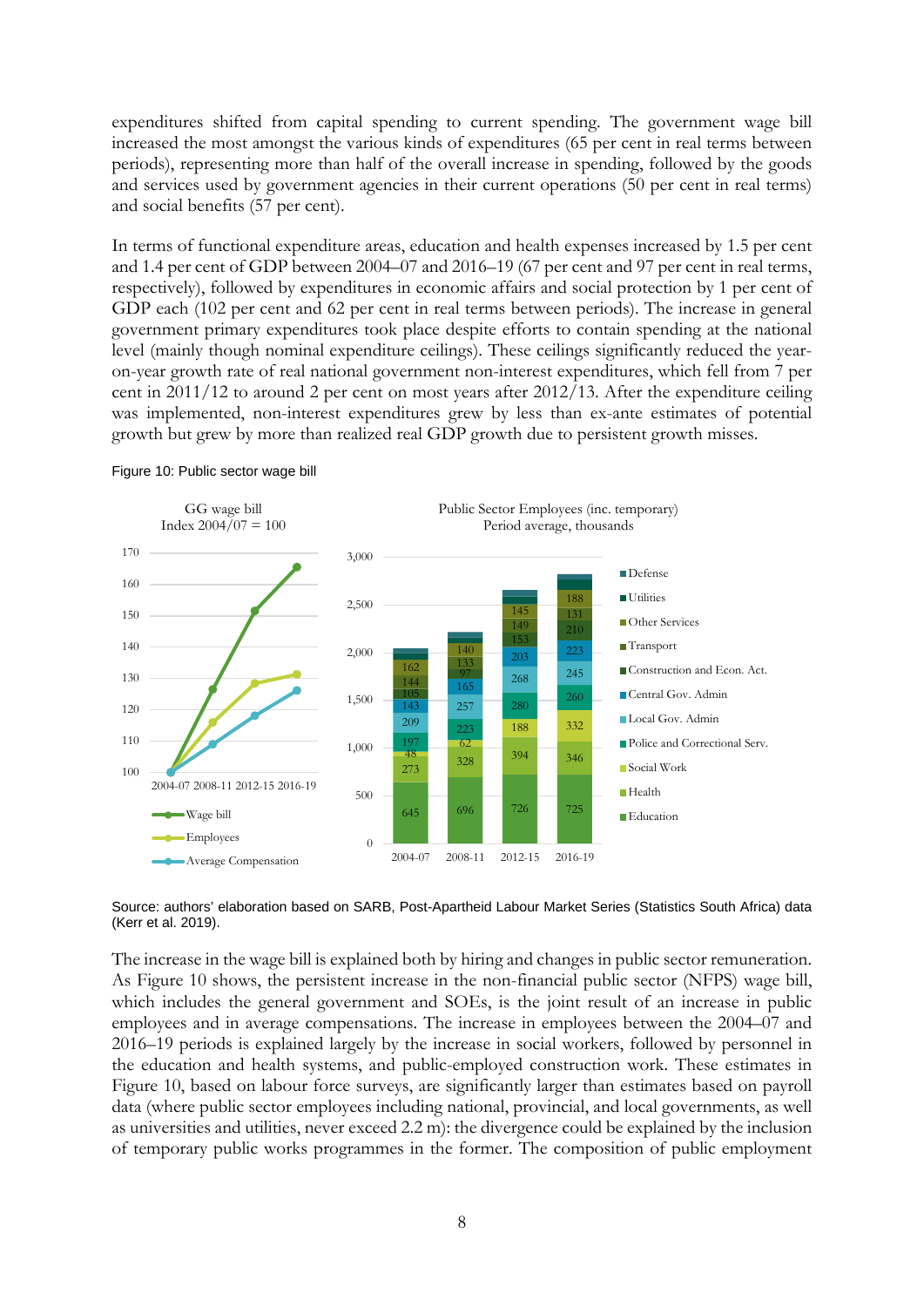expenditures shifted from capital spending to current spending. The government wage bill increased the most amongst the various kinds of expenditures (65 per cent in real terms between periods), representing more than half of the overall increase in spending, followed by the goods and services used by government agencies in their current operations (50 per cent in real terms) and social benefits (57 per cent).

In terms of functional expenditure areas, education and health expenses increased by 1.5 per cent and 1.4 per cent of GDP between 2004–07 and 2016–19 (67 per cent and 97 per cent in real terms, respectively), followed by expenditures in economic affairs and social protection by 1 per cent of GDP each (102 per cent and 62 per cent in real terms between periods). The increase in general government primary expenditures took place despite efforts to contain spending at the national level (mainly though nominal expenditure ceilings). These ceilings significantly reduced the yearon-year growth rate of real national government non-interest expenditures, which fell from 7 per cent in 2011/12 to around 2 per cent on most years after 2012/13. After the expenditure ceiling was implemented, non-interest expenditures grew by less than ex-ante estimates of potential growth but grew by more than realized real GDP growth due to persistent growth misses.



#### Figure 10: Public sector wage bill

Source: authors' elaboration based on SARB, Post-Apartheid Labour Market Series (Statistics South Africa) data (Kerr et al. 2019).

The increase in the wage bill is explained both by hiring and changes in public sector remuneration. As Figure 10 shows, the persistent increase in the non-financial public sector (NFPS) wage bill, which includes the general government and SOEs, is the joint result of an increase in public employees and in average compensations. The increase in employees between the 2004–07 and 2016–19 periods is explained largely by the increase in social workers, followed by personnel in the education and health systems, and public-employed construction work. These estimates in Figure 10, based on labour force surveys, are significantly larger than estimates based on payroll data (where public sector employees including national, provincial, and local governments, as well as universities and utilities, never exceed 2.2 m): the divergence could be explained by the inclusion of temporary public works programmes in the former. The composition of public employment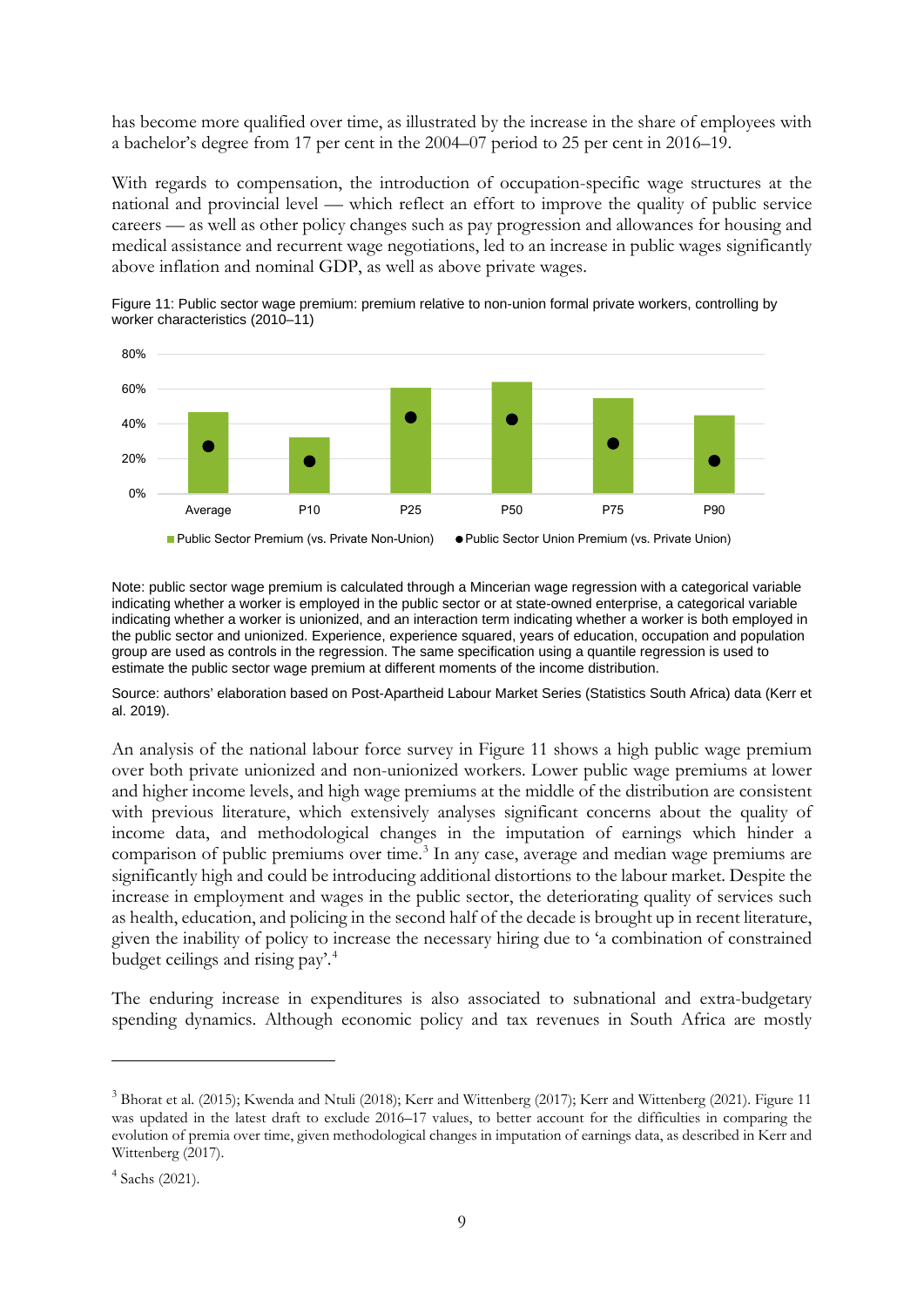has become more qualified over time, as illustrated by the increase in the share of employees with a bachelor's degree from 17 per cent in the 2004–07 period to 25 per cent in 2016–19.

With regards to compensation, the introduction of occupation-specific wage structures at the national and provincial level — which reflect an effort to improve the quality of public service careers — as well as other policy changes such as pay progression and allowances for housing and medical assistance and recurrent wage negotiations, led to an increase in public wages significantly above inflation and nominal GDP, as well as above private wages.





Note: public sector wage premium is calculated through a Mincerian wage regression with a categorical variable indicating whether a worker is employed in the public sector or at state-owned enterprise, a categorical variable indicating whether a worker is unionized, and an interaction term indicating whether a worker is both employed in the public sector and unionized. Experience, experience squared, years of education, occupation and population group are used as controls in the regression. The same specification using a quantile regression is used to estimate the public sector wage premium at different moments of the income distribution.

Source: authors' elaboration based on Post-Apartheid Labour Market Series (Statistics South Africa) data (Kerr et al. 2019).

An analysis of the national labour force survey in Figure 11 shows a high public wage premium over both private unionized and non-unionized workers. Lower public wage premiums at lower and higher income levels, and high wage premiums at the middle of the distribution are consistent with previous literature, which extensively analyses significant concerns about the quality of income data, and methodological changes in the imputation of earnings which hinder a comparison of public premiums over time. [3](#page-10-0) In any case, average and median wage premiums are significantly high and could be introducing additional distortions to the labour market. Despite the increase in employment and wages in the public sector, the deteriorating quality of services such as health, education, and policing in the second half of the decade is brought up in recent literature, given the inability of policy to increase the necessary hiring due to 'a combination of constrained budget ceilings and rising pay'. [4](#page-10-1)

The enduring increase in expenditures is also associated to subnational and extra-budgetary spending dynamics. Although economic policy and tax revenues in South Africa are mostly

<span id="page-10-0"></span><sup>3</sup> Bhorat et al. (2015); Kwenda and Ntuli (2018); Kerr and Wittenberg (2017); Kerr and Wittenberg (2021). Figure 11 was updated in the latest draft to exclude 2016–17 values, to better account for the difficulties in comparing the evolution of premia over time, given methodological changes in imputation of earnings data, as described in Kerr and Wittenberg (2017).

<span id="page-10-1"></span><sup>4</sup> Sachs (2021).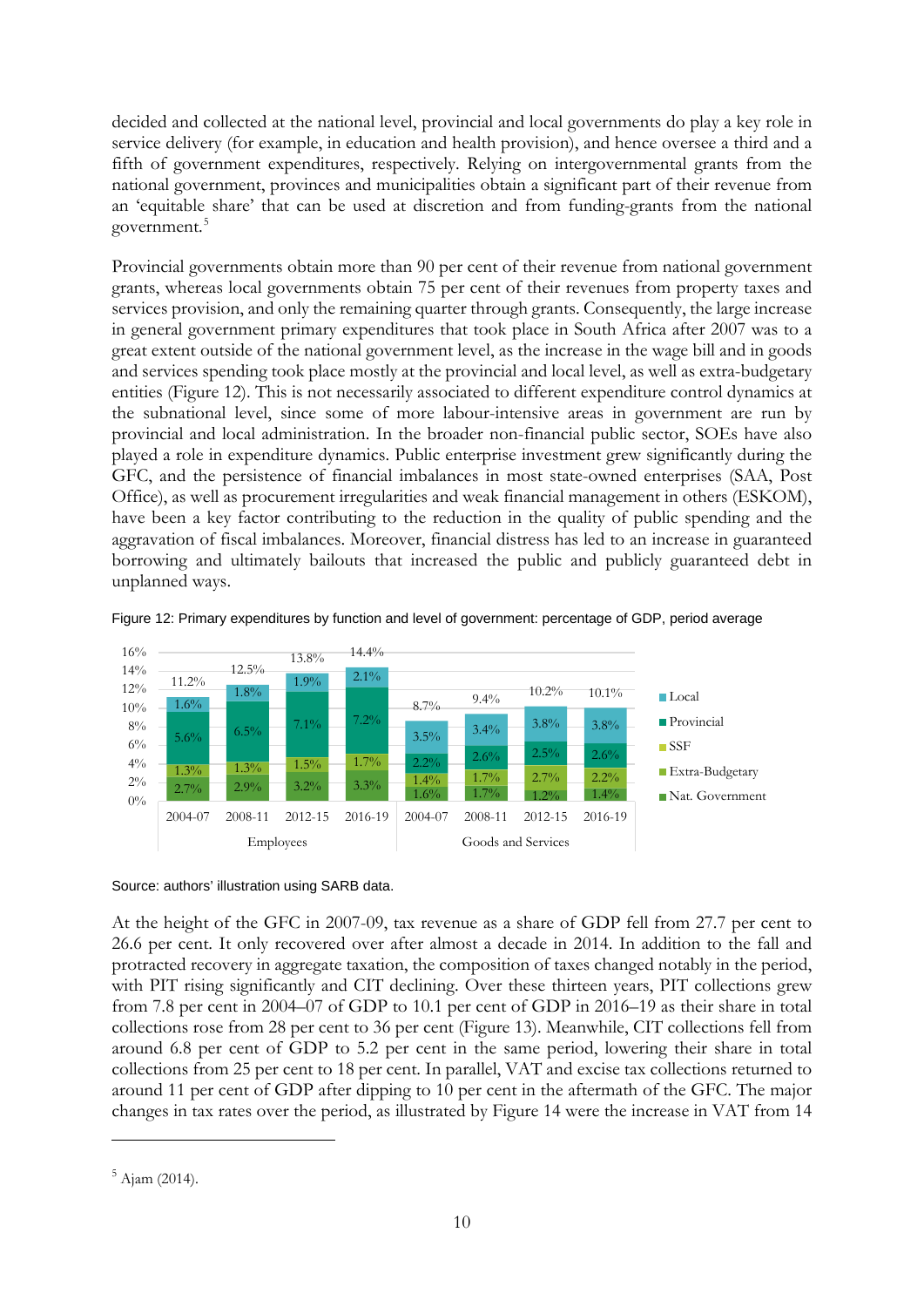decided and collected at the national level, provincial and local governments do play a key role in service delivery (for example, in education and health provision), and hence oversee a third and a fifth of government expenditures, respectively. Relying on intergovernmental grants from the national government, provinces and municipalities obtain a significant part of their revenue from an 'equitable share' that can be used at discretion and from funding-grants from the national government.<sup>[5](#page-11-0)</sup>

Provincial governments obtain more than 90 per cent of their revenue from national government grants, whereas local governments obtain 75 per cent of their revenues from property taxes and services provision, and only the remaining quarter through grants. Consequently, the large increase in general government primary expenditures that took place in South Africa after 2007 was to a great extent outside of the national government level, as the increase in the wage bill and in goods and services spending took place mostly at the provincial and local level, as well as extra-budgetary entities (Figure 12). This is not necessarily associated to different expenditure control dynamics at the subnational level, since some of more labour-intensive areas in government are run by provincial and local administration. In the broader non-financial public sector, SOEs have also played a role in expenditure dynamics. Public enterprise investment grew significantly during the GFC, and the persistence of financial imbalances in most state-owned enterprises (SAA, Post Office), as well as procurement irregularities and weak financial management in others (ESKOM), have been a key factor contributing to the reduction in the quality of public spending and the aggravation of fiscal imbalances. Moreover, financial distress has led to an increase in guaranteed borrowing and ultimately bailouts that increased the public and publicly guaranteed debt in unplanned ways.



Figure 12: Primary expenditures by function and level of government: percentage of GDP, period average

At the height of the GFC in 2007-09, tax revenue as a share of GDP fell from 27.7 per cent to 26.6 per cent. It only recovered over after almost a decade in 2014. In addition to the fall and protracted recovery in aggregate taxation, the composition of taxes changed notably in the period, with PIT rising significantly and CIT declining. Over these thirteen years, PIT collections grew from 7.8 per cent in 2004–07 of GDP to 10.1 per cent of GDP in 2016–19 as their share in total collections rose from 28 per cent to 36 per cent (Figure 13). Meanwhile, CIT collections fell from around 6.8 per cent of GDP to 5.2 per cent in the same period, lowering their share in total collections from 25 per cent to 18 per cent. In parallel, VAT and excise tax collections returned to around 11 per cent of GDP after dipping to 10 per cent in the aftermath of the GFC. The major changes in tax rates over the period, as illustrated by Figure 14 were the increase in VAT from 14

Source: authors' illustration using SARB data.

<span id="page-11-0"></span> $5$  Ajam (2014).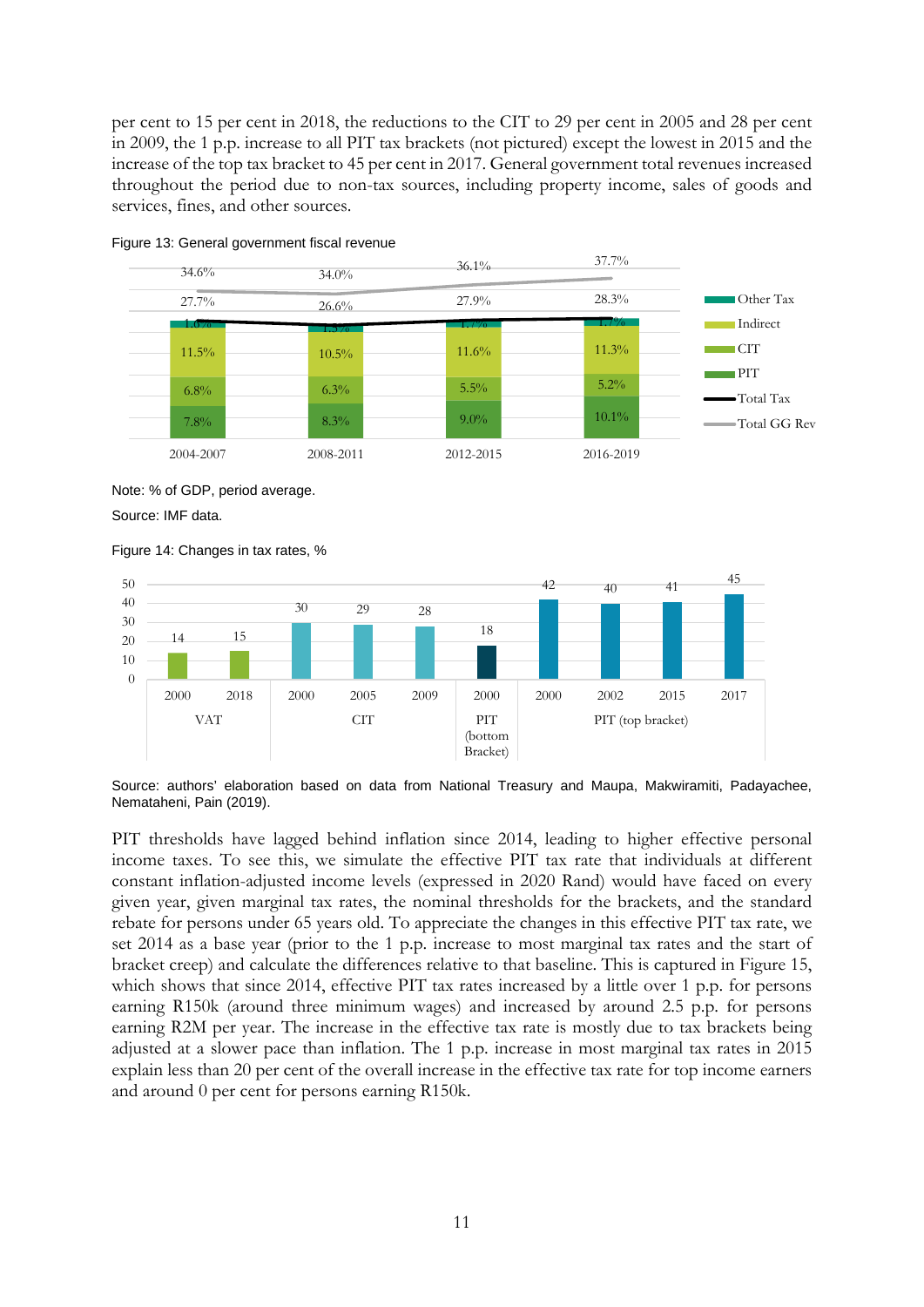per cent to 15 per cent in 2018, the reductions to the CIT to 29 per cent in 2005 and 28 per cent in 2009, the 1 p.p. increase to all PIT tax brackets (not pictured) except the lowest in 2015 and the increase of the top tax bracket to 45 per cent in 2017. General government total revenues increased throughout the period due to non-tax sources, including property income, sales of goods and services, fines, and other sources.



Figure 13: General government fiscal revenue

Note: % of GDP, period average.

Source: IMF data.





Source: authors' elaboration based on data from National Treasury and Maupa, Makwiramiti, Padayachee, Nemataheni, Pain (2019).

PIT thresholds have lagged behind inflation since 2014, leading to higher effective personal income taxes. To see this, we simulate the effective PIT tax rate that individuals at different constant inflation-adjusted income levels (expressed in 2020 Rand) would have faced on every given year, given marginal tax rates, the nominal thresholds for the brackets, and the standard rebate for persons under 65 years old. To appreciate the changes in this effective PIT tax rate, we set 2014 as a base year (prior to the 1 p.p. increase to most marginal tax rates and the start of bracket creep) and calculate the differences relative to that baseline. This is captured in Figure 15, which shows that since 2014, effective PIT tax rates increased by a little over 1 p.p. for persons earning R150k (around three minimum wages) and increased by around 2.5 p.p. for persons earning R2M per year. The increase in the effective tax rate is mostly due to tax brackets being adjusted at a slower pace than inflation. The 1 p.p. increase in most marginal tax rates in 2015 explain less than 20 per cent of the overall increase in the effective tax rate for top income earners and around 0 per cent for persons earning R150k.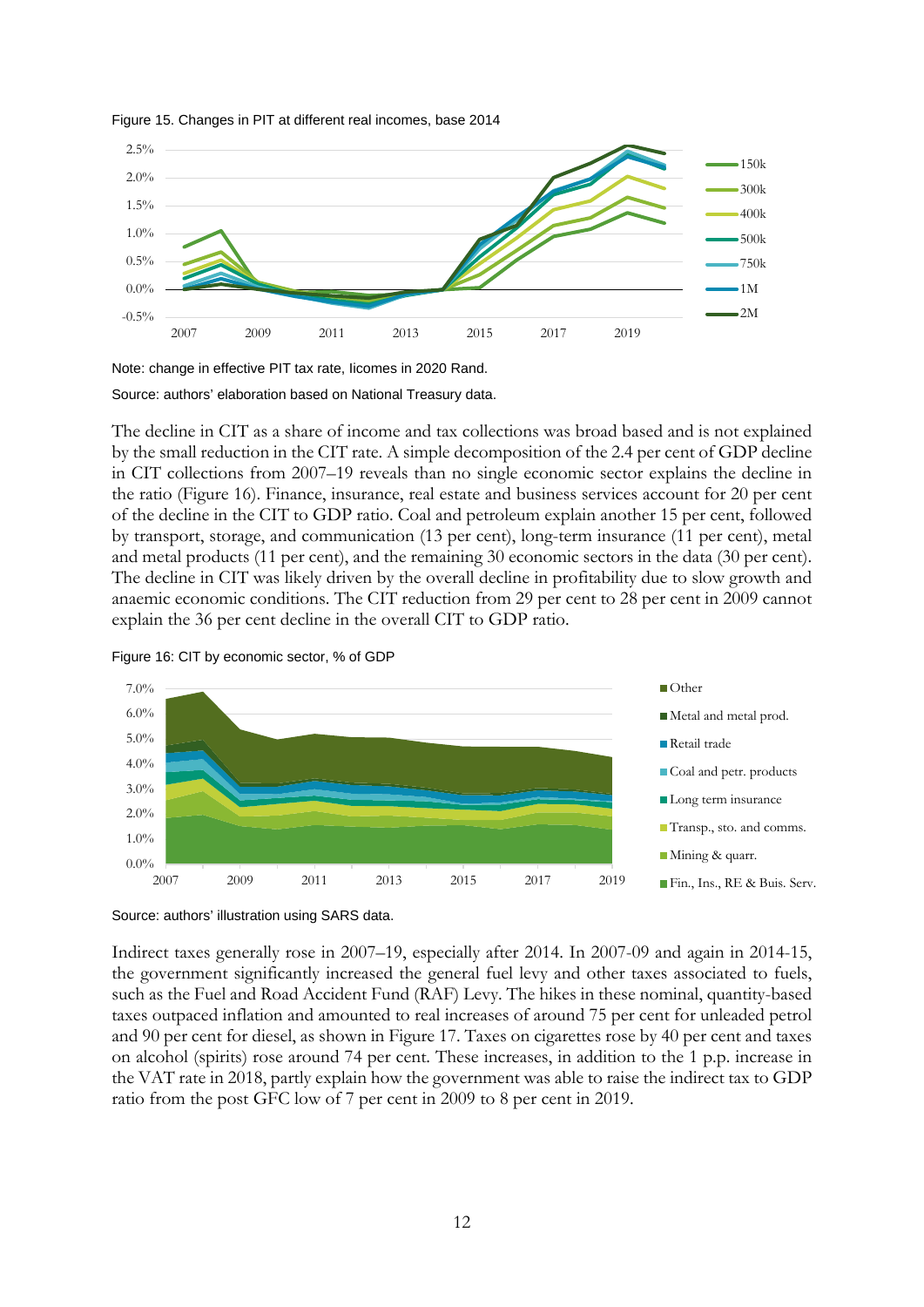

Figure 15. Changes in PIT at different real incomes, base 2014

Note: change in effective PIT tax rate, Iicomes in 2020 Rand.

Source: authors' elaboration based on National Treasury data.

The decline in CIT as a share of income and tax collections was broad based and is not explained by the small reduction in the CIT rate. A simple decomposition of the 2.4 per cent of GDP decline in CIT collections from 2007–19 reveals than no single economic sector explains the decline in the ratio (Figure 16). Finance, insurance, real estate and business services account for 20 per cent of the decline in the CIT to GDP ratio. Coal and petroleum explain another 15 per cent, followed by transport, storage, and communication (13 per cent), long-term insurance (11 per cent), metal and metal products (11 per cent), and the remaining 30 economic sectors in the data (30 per cent). The decline in CIT was likely driven by the overall decline in profitability due to slow growth and anaemic economic conditions. The CIT reduction from 29 per cent to 28 per cent in 2009 cannot explain the 36 per cent decline in the overall CIT to GDP ratio.







Indirect taxes generally rose in 2007–19, especially after 2014. In 2007-09 and again in 2014-15, the government significantly increased the general fuel levy and other taxes associated to fuels, such as the Fuel and Road Accident Fund (RAF) Levy. The hikes in these nominal, quantity-based taxes outpaced inflation and amounted to real increases of around 75 per cent for unleaded petrol and 90 per cent for diesel, as shown in Figure 17. Taxes on cigarettes rose by 40 per cent and taxes on alcohol (spirits) rose around 74 per cent. These increases, in addition to the 1 p.p. increase in the VAT rate in 2018, partly explain how the government was able to raise the indirect tax to GDP ratio from the post GFC low of 7 per cent in 2009 to 8 per cent in 2019.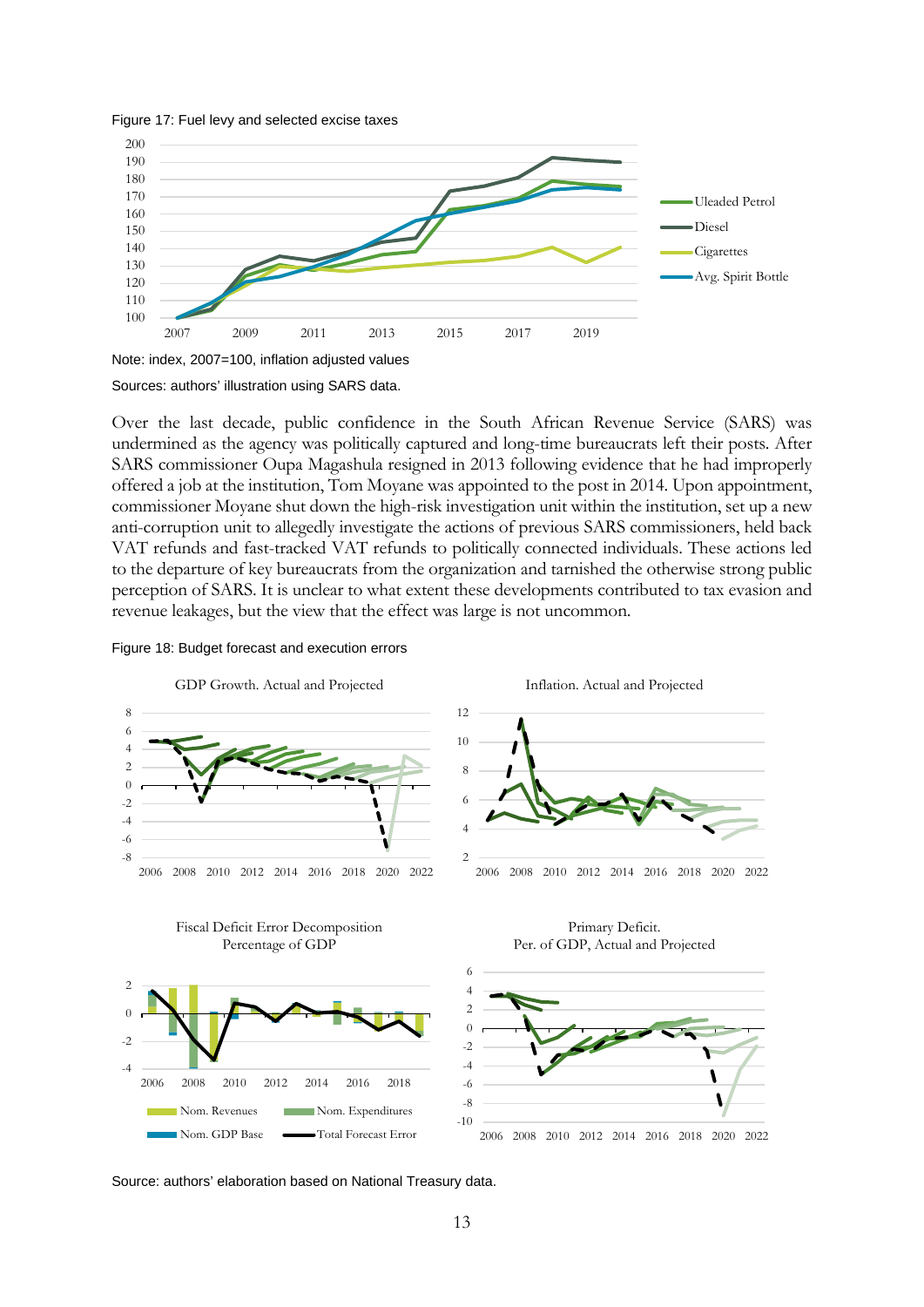

#### Figure 17: Fuel levy and selected excise taxes

Sources: authors' illustration using SARS data.

Over the last decade, public confidence in the South African Revenue Service (SARS) was undermined as the agency was politically captured and long-time bureaucrats left their posts. After SARS commissioner Oupa Magashula resigned in 2013 following evidence that he had improperly offered a job at the institution, Tom Moyane was appointed to the post in 2014. Upon appointment, commissioner Moyane shut down the high-risk investigation unit within the institution, set up a new anti-corruption unit to allegedly investigate the actions of previous SARS commissioners, held back VAT refunds and fast-tracked VAT refunds to politically connected individuals. These actions led to the departure of key bureaucrats from the organization and tarnished the otherwise strong public perception of SARS. It is unclear to what extent these developments contributed to tax evasion and revenue leakages, but the view that the effect was large is not uncommon.

#### Figure 18: Budget forecast and execution errors



Source: authors' elaboration based on National Treasury data.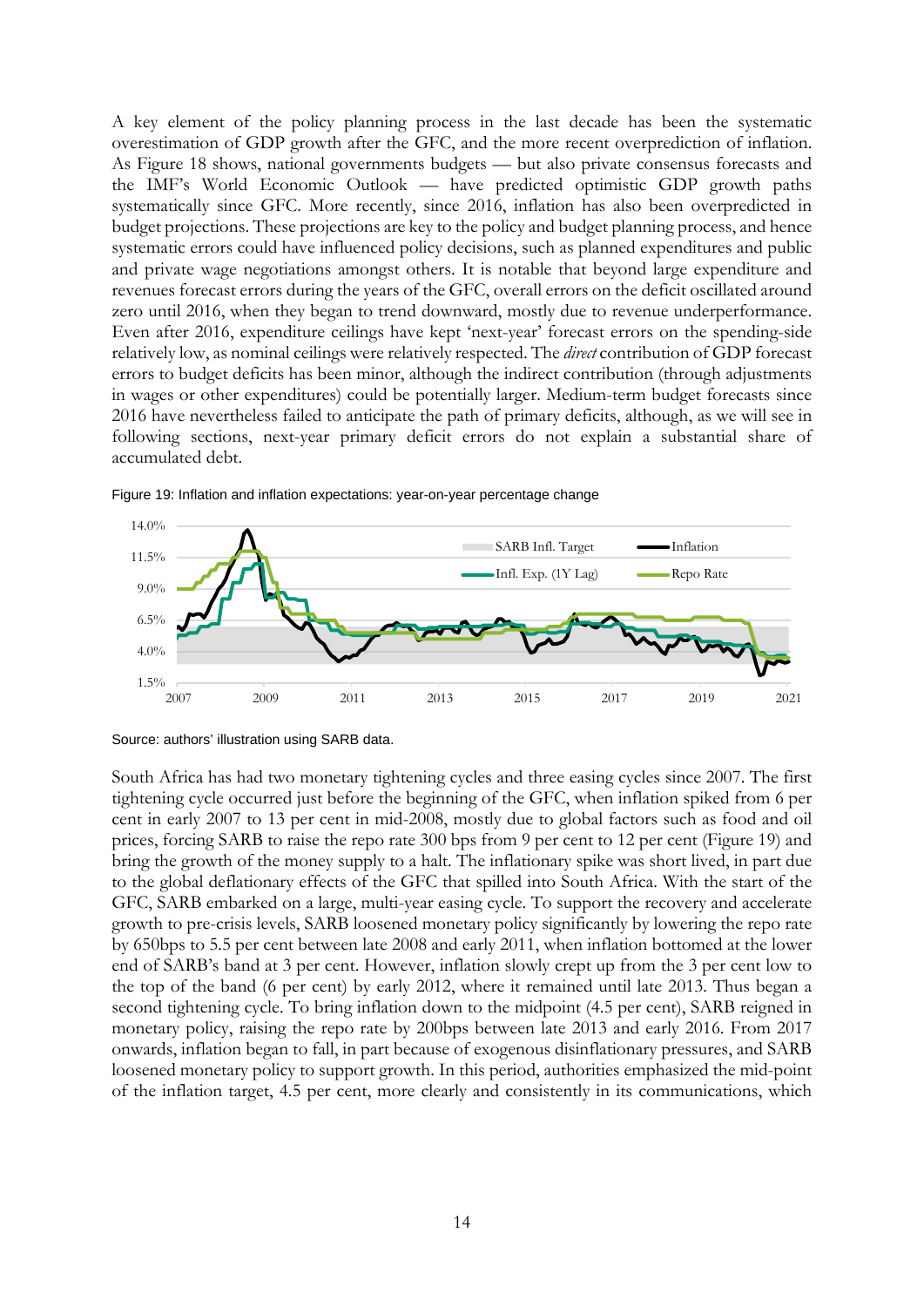A key element of the policy planning process in the last decade has been the systematic overestimation of GDP growth after the GFC, and the more recent overprediction of inflation. As Figure 18 shows, national governments budgets — but also private consensus forecasts and the IMF's World Economic Outlook — have predicted optimistic GDP growth paths systematically since GFC. More recently, since 2016, inflation has also been overpredicted in budget projections. These projections are key to the policy and budget planning process, and hence systematic errors could have influenced policy decisions, such as planned expenditures and public and private wage negotiations amongst others. It is notable that beyond large expenditure and revenues forecast errors during the years of the GFC, overall errors on the deficit oscillated around zero until 2016, when they began to trend downward, mostly due to revenue underperformance. Even after 2016, expenditure ceilings have kept 'next-year' forecast errors on the spending-side relatively low, as nominal ceilings were relatively respected. The *direct* contribution of GDP forecast errors to budget deficits has been minor, although the indirect contribution (through adjustments in wages or other expenditures) could be potentially larger. Medium-term budget forecasts since 2016 have nevertheless failed to anticipate the path of primary deficits, although, as we will see in following sections, next-year primary deficit errors do not explain a substantial share of accumulated debt.



Figure 19: Inflation and inflation expectations: year-on-year percentage change

South Africa has had two monetary tightening cycles and three easing cycles since 2007. The first tightening cycle occurred just before the beginning of the GFC, when inflation spiked from 6 per cent in early 2007 to 13 per cent in mid-2008, mostly due to global factors such as food and oil prices, forcing SARB to raise the repo rate 300 bps from 9 per cent to 12 per cent (Figure 19) and bring the growth of the money supply to a halt. The inflationary spike was short lived, in part due to the global deflationary effects of the GFC that spilled into South Africa. With the start of the GFC, SARB embarked on a large, multi-year easing cycle. To support the recovery and accelerate growth to pre-crisis levels, SARB loosened monetary policy significantly by lowering the repo rate by 650bps to 5.5 per cent between late 2008 and early 2011, when inflation bottomed at the lower end of SARB's band at 3 per cent. However, inflation slowly crept up from the 3 per cent low to the top of the band (6 per cent) by early 2012, where it remained until late 2013. Thus began a second tightening cycle. To bring inflation down to the midpoint (4.5 per cent), SARB reigned in monetary policy, raising the repo rate by 200bps between late 2013 and early 2016. From 2017 onwards, inflation began to fall, in part because of exogenous disinflationary pressures, and SARB loosened monetary policy to support growth. In this period, authorities emphasized the mid-point of the inflation target, 4.5 per cent, more clearly and consistently in its communications, which

Source: authors' illustration using SARB data.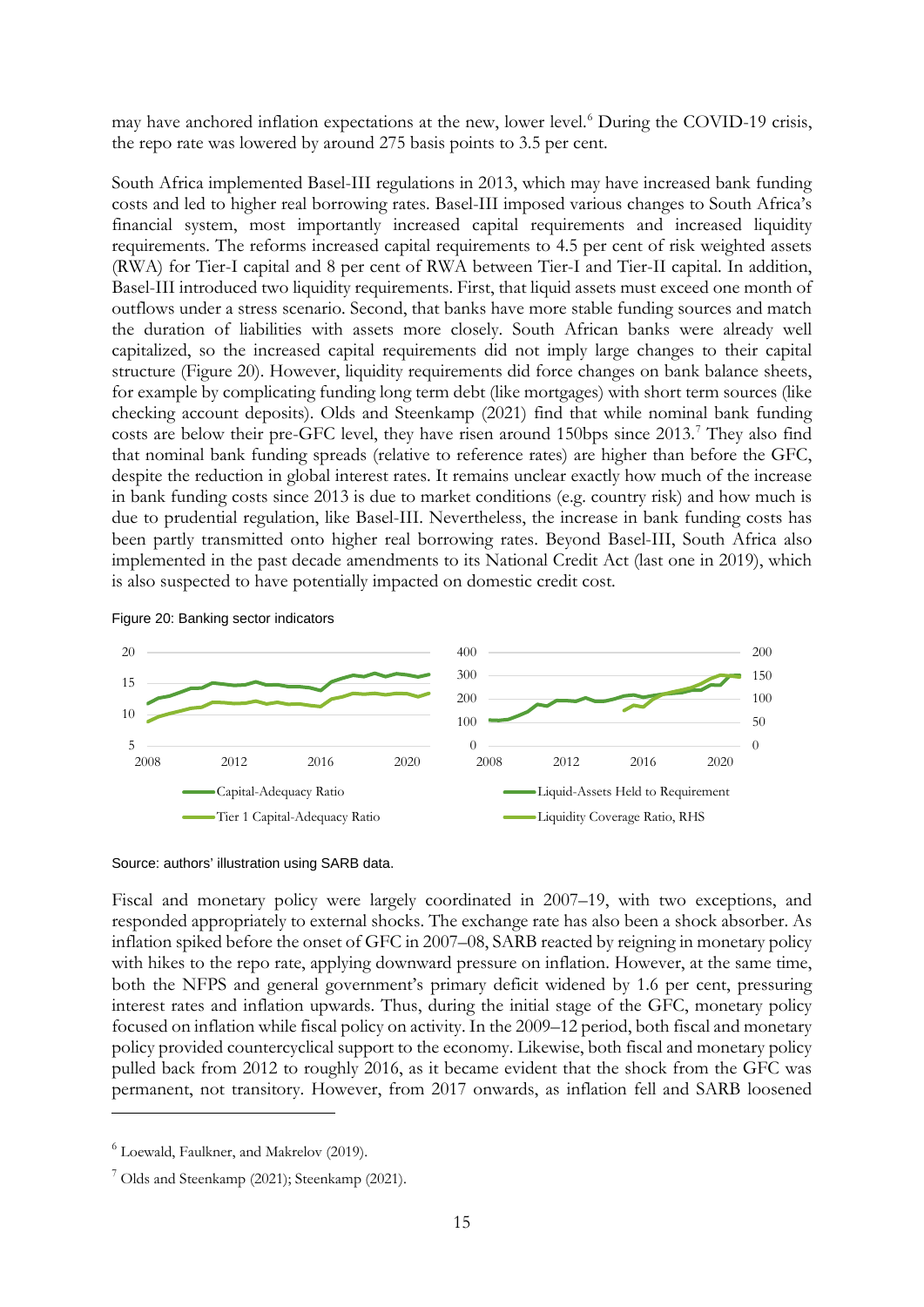may have anchored inflation expectations at the new, lower level.<sup>[6](#page-16-0)</sup> During the COVID-19 crisis, the repo rate was lowered by around 275 basis points to 3.5 per cent.

South Africa implemented Basel-III regulations in 2013, which may have increased bank funding costs and led to higher real borrowing rates. Basel-III imposed various changes to South Africa's financial system, most importantly increased capital requirements and increased liquidity requirements. The reforms increased capital requirements to 4.5 per cent of risk weighted assets (RWA) for Tier-I capital and 8 per cent of RWA between Tier-I and Tier-II capital. In addition, Basel-III introduced two liquidity requirements. First, that liquid assets must exceed one month of outflows under a stress scenario. Second, that banks have more stable funding sources and match the duration of liabilities with assets more closely. South African banks were already well capitalized, so the increased capital requirements did not imply large changes to their capital structure (Figure 20). However, liquidity requirements did force changes on bank balance sheets, for example by complicating funding long term debt (like mortgages) with short term sources (like checking account deposits). Olds and Steenkamp (2021) find that while nominal bank funding costs are below their pre-GFC level, they have risen around 150bps since 2013.<sup>[7](#page-16-1)</sup> They also find that nominal bank funding spreads (relative to reference rates) are higher than before the GFC, despite the reduction in global interest rates. It remains unclear exactly how much of the increase in bank funding costs since 2013 is due to market conditions (e.g. country risk) and how much is due to prudential regulation, like Basel-III. Nevertheless, the increase in bank funding costs has been partly transmitted onto higher real borrowing rates. Beyond Basel-III, South Africa also implemented in the past decade amendments to its National Credit Act (last one in 2019), which is also suspected to have potentially impacted on domestic credit cost.



Figure 20: Banking sector indicators

Source: authors' illustration using SARB data.

Fiscal and monetary policy were largely coordinated in 2007–19, with two exceptions, and responded appropriately to external shocks. The exchange rate has also been a shock absorber. As inflation spiked before the onset of GFC in 2007–08, SARB reacted by reigning in monetary policy with hikes to the repo rate, applying downward pressure on inflation. However, at the same time, both the NFPS and general government's primary deficit widened by 1.6 per cent, pressuring interest rates and inflation upwards. Thus, during the initial stage of the GFC, monetary policy focused on inflation while fiscal policy on activity. In the 2009–12 period, both fiscal and monetary policy provided countercyclical support to the economy. Likewise, both fiscal and monetary policy pulled back from 2012 to roughly 2016, as it became evident that the shock from the GFC was permanent, not transitory. However, from 2017 onwards, as inflation fell and SARB loosened

<span id="page-16-0"></span> $6$  Loewald, Faulkner, and Makrelov (2019).

<span id="page-16-1"></span> $<sup>7</sup>$  Olds and Steenkamp (2021); Steenkamp (2021).</sup>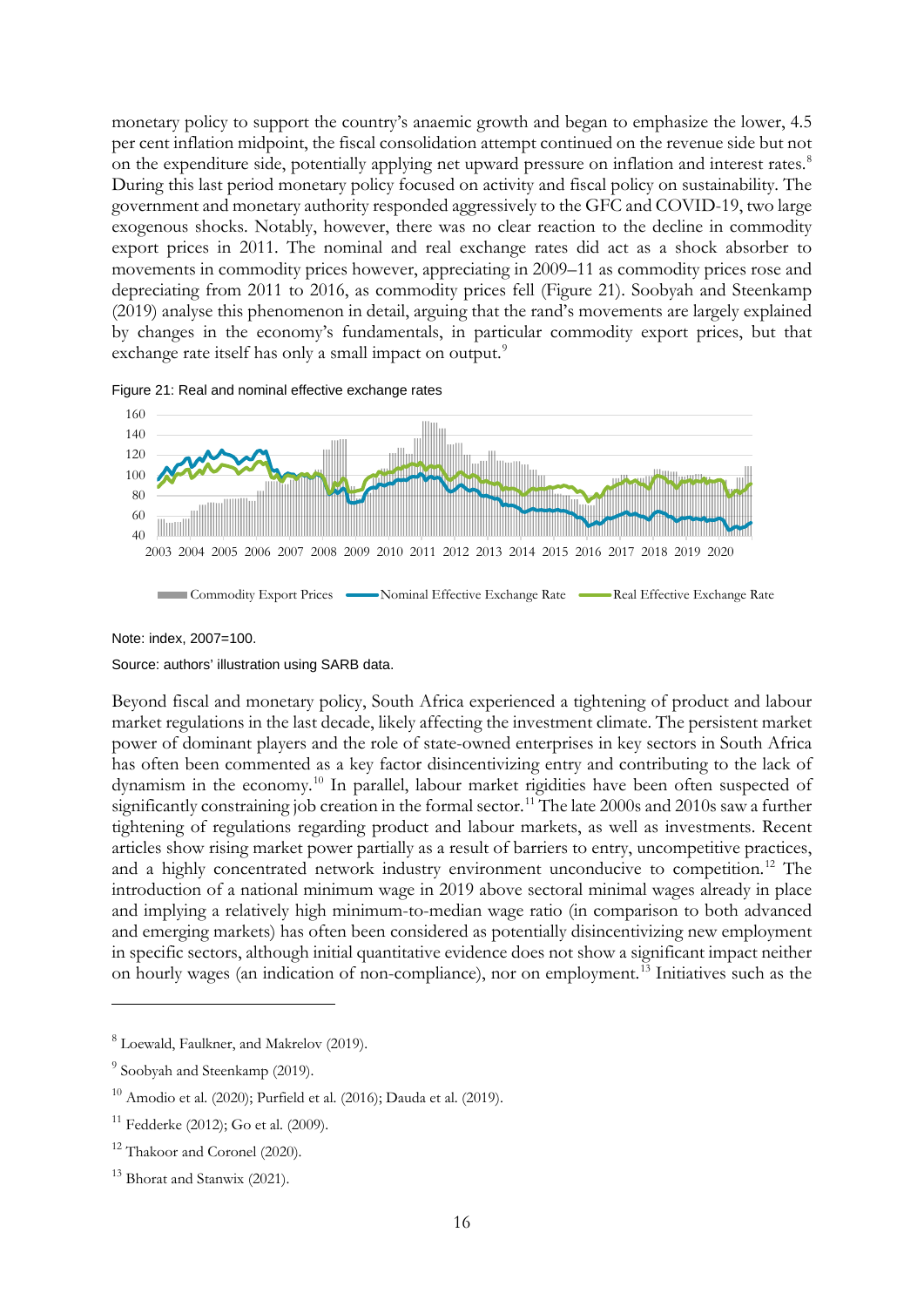monetary policy to support the country's anaemic growth and began to emphasize the lower, 4.5 per cent inflation midpoint, the fiscal consolidation attempt continued on the revenue side but not on the expenditure side, potentially applying net upward pressure on inflation and interest rates.<sup>[8](#page-17-0)</sup> During this last period monetary policy focused on activity and fiscal policy on sustainability. The government and monetary authority responded aggressively to the GFC and COVID-19, two large exogenous shocks. Notably, however, there was no clear reaction to the decline in commodity export prices in 2011. The nominal and real exchange rates did act as a shock absorber to movements in commodity prices however, appreciating in 2009–11 as commodity prices rose and depreciating from 2011 to 2016, as commodity prices fell (Figure 21). Soobyah and Steenkamp (2019) analyse this phenomenon in detail, arguing that the rand's movements are largely explained by changes in the economy's fundamentals, in particular commodity export prices, but that exchange rate itself has only a small impact on output.<sup>[9](#page-17-1)</sup>





Note: index, 2007=100.

Source: authors' illustration using SARB data.

Beyond fiscal and monetary policy, South Africa experienced a tightening of product and labour market regulations in the last decade, likely affecting the investment climate. The persistent market power of dominant players and the role of state-owned enterprises in key sectors in South Africa has often been commented as a key factor disincentivizing entry and contributing to the lack of dynamism in the economy.<sup>[10](#page-17-2)</sup> In parallel, labour market rigidities have been often suspected of significantly constraining job creation in the formal sector.<sup>[11](#page-17-3)</sup> The late 2000s and 2010s saw a further tightening of regulations regarding product and labour markets, as well as investments. Recent articles show rising market power partially as a result of barriers to entry, uncompetitive practices, and a highly concentrated network industry environment unconducive to competition.<sup>[12](#page-17-4)</sup> The introduction of a national minimum wage in 2019 above sectoral minimal wages already in place and implying a relatively high minimum-to-median wage ratio (in comparison to both advanced and emerging markets) has often been considered as potentially disincentivizing new employment in specific sectors, although initial quantitative evidence does not show a significant impact neither on hourly wages (an indication of non-compliance), nor on employment.[13](#page-17-5) Initiatives such as the

<span id="page-17-0"></span><sup>8</sup> Loewald, Faulkner, and Makrelov (2019).

<span id="page-17-1"></span> $9$  Soobyah and Steenkamp (2019).

<span id="page-17-2"></span> $10$  Amodio et al. (2020); Purfield et al. (2016); Dauda et al. (2019).

<span id="page-17-3"></span> $11$  Fedderke (2012); Go et al. (2009).

<span id="page-17-4"></span><sup>&</sup>lt;sup>12</sup> Thakoor and Coronel (2020).

<span id="page-17-5"></span><sup>&</sup>lt;sup>13</sup> Bhorat and Stanwix (2021).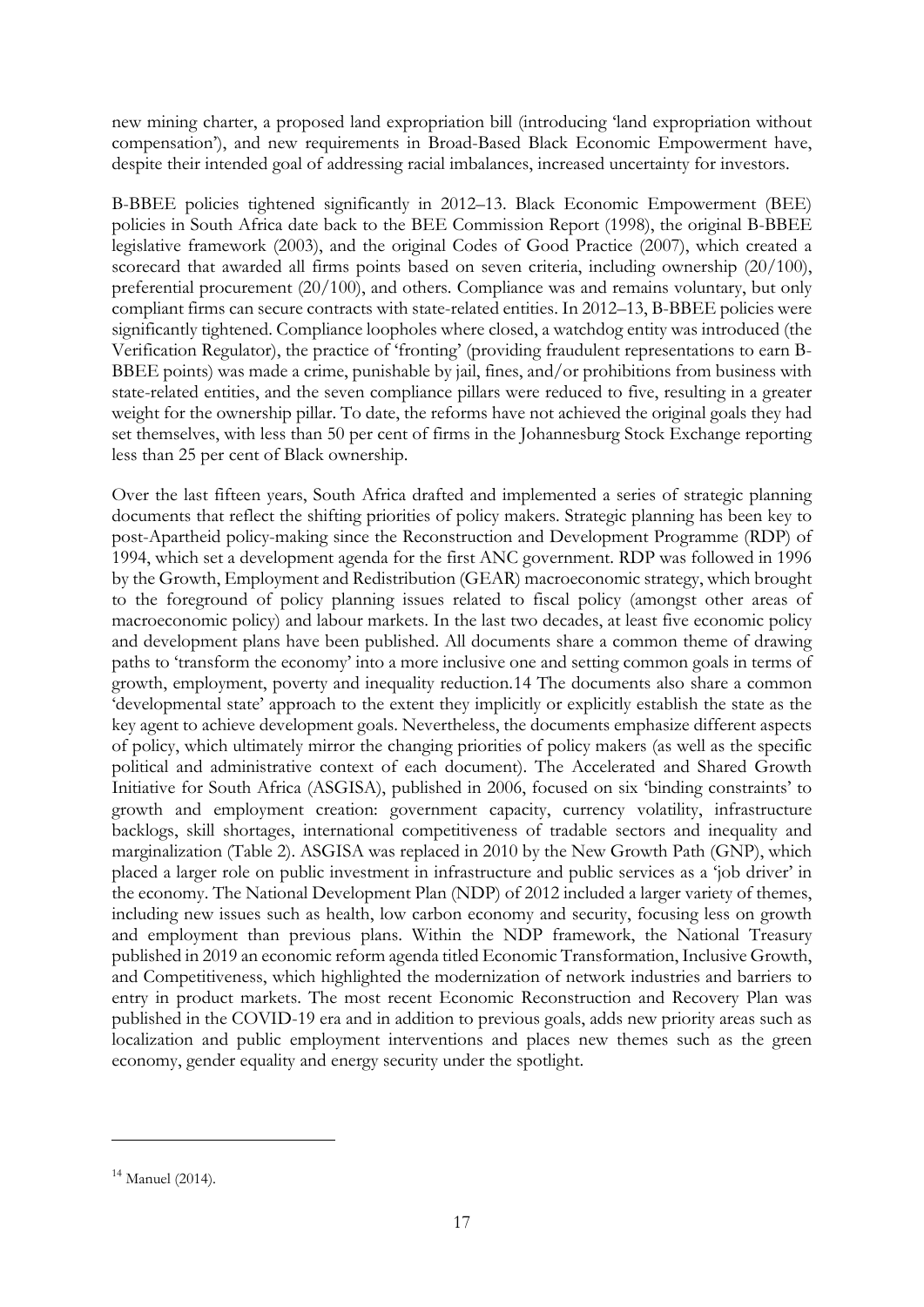new mining charter, a proposed land expropriation bill (introducing 'land expropriation without compensation'), and new requirements in Broad-Based Black Economic Empowerment have, despite their intended goal of addressing racial imbalances, increased uncertainty for investors.

B-BBEE policies tightened significantly in 2012–13. Black Economic Empowerment (BEE) policies in South Africa date back to the BEE Commission Report (1998), the original B-BBEE legislative framework (2003), and the original Codes of Good Practice (2007), which created a scorecard that awarded all firms points based on seven criteria, including ownership (20/100), preferential procurement (20/100), and others. Compliance was and remains voluntary, but only compliant firms can secure contracts with state-related entities. In 2012–13, B-BBEE policies were significantly tightened. Compliance loopholes where closed, a watchdog entity was introduced (the Verification Regulator), the practice of 'fronting' (providing fraudulent representations to earn B-BBEE points) was made a crime, punishable by jail, fines, and/or prohibitions from business with state-related entities, and the seven compliance pillars were reduced to five, resulting in a greater weight for the ownership pillar. To date, the reforms have not achieved the original goals they had set themselves, with less than 50 per cent of firms in the Johannesburg Stock Exchange reporting less than 25 per cent of Black ownership.

Over the last fifteen years, South Africa drafted and implemented a series of strategic planning documents that reflect the shifting priorities of policy makers. Strategic planning has been key to post-Apartheid policy-making since the Reconstruction and Development Programme (RDP) of 1994, which set a development agenda for the first ANC government. RDP was followed in 1996 by the Growth, Employment and Redistribution (GEAR) macroeconomic strategy, which brought to the foreground of policy planning issues related to fiscal policy (amongst other areas of macroeconomic policy) and labour markets. In the last two decades, at least five economic policy and development plans have been published. All documents share a common theme of drawing paths to 'transform the economy' into a more inclusive one and setting common goals in terms of growth, employment, poverty and inequality reduction.[14](#page-18-0) The documents also share a common 'developmental state' approach to the extent they implicitly or explicitly establish the state as the key agent to achieve development goals. Nevertheless, the documents emphasize different aspects of policy, which ultimately mirror the changing priorities of policy makers (as well as the specific political and administrative context of each document). The Accelerated and Shared Growth Initiative for South Africa (ASGISA), published in 2006, focused on six 'binding constraints' to growth and employment creation: government capacity, currency volatility, infrastructure backlogs, skill shortages, international competitiveness of tradable sectors and inequality and marginalization (Table 2). ASGISA was replaced in 2010 by the New Growth Path (GNP), which placed a larger role on public investment in infrastructure and public services as a 'job driver' in the economy. The National Development Plan (NDP) of 2012 included a larger variety of themes, including new issues such as health, low carbon economy and security, focusing less on growth and employment than previous plans. Within the NDP framework, the National Treasury published in 2019 an economic reform agenda titled Economic Transformation, Inclusive Growth, and Competitiveness, which highlighted the modernization of network industries and barriers to entry in product markets. The most recent Economic Reconstruction and Recovery Plan was published in the COVID-19 era and in addition to previous goals, adds new priority areas such as localization and public employment interventions and places new themes such as the green economy, gender equality and energy security under the spotlight.

<span id="page-18-0"></span> $14$  Manuel (2014).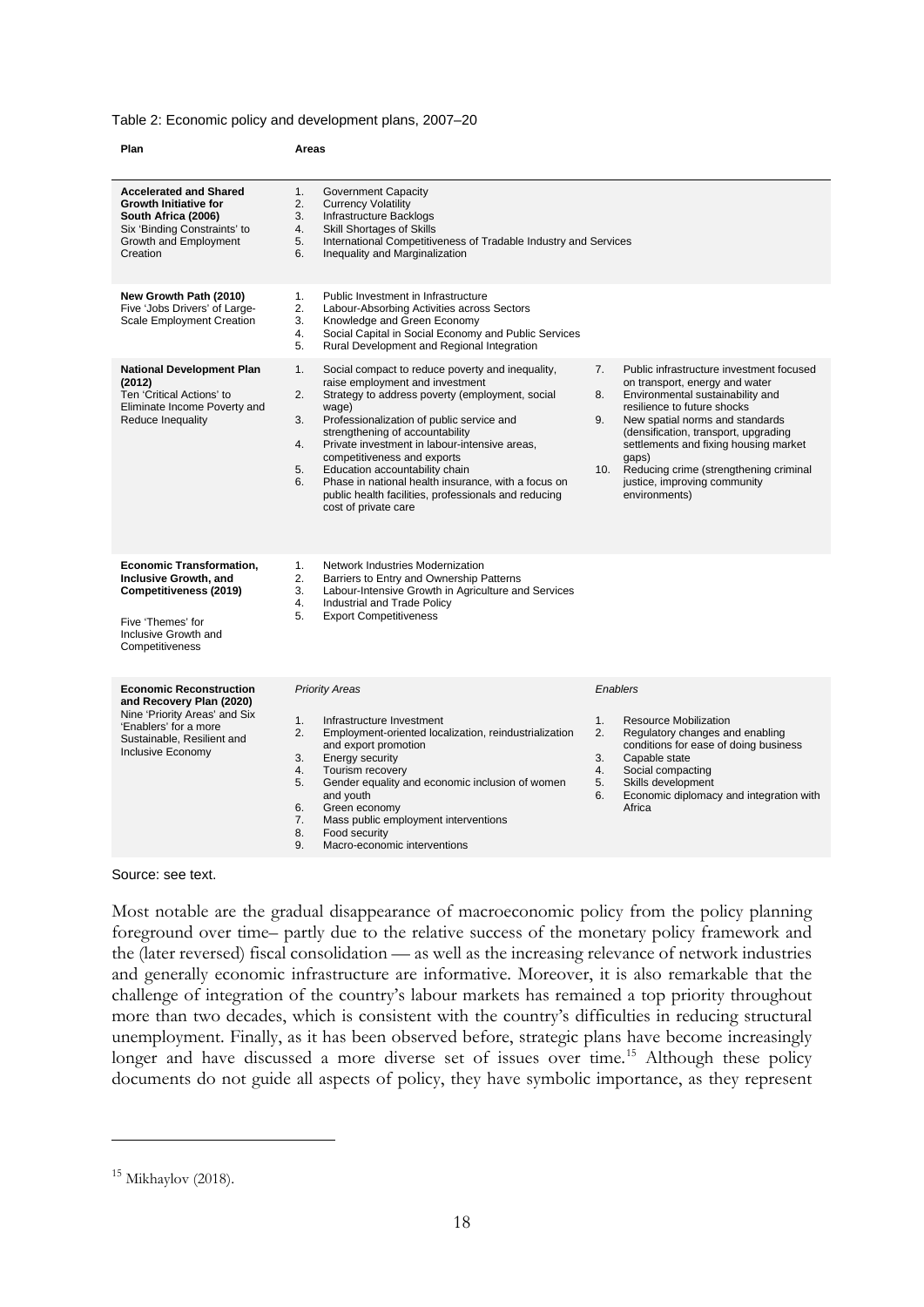#### Table 2: Economic policy and development plans, 2007–20

| Plan                                                                                                                                                                    | Areas                                                                                                                                                                                                                                                                                                                                                                                                                                                                                                                        |                                                                                                                                                                                                                                                                                                                                                                                             |
|-------------------------------------------------------------------------------------------------------------------------------------------------------------------------|------------------------------------------------------------------------------------------------------------------------------------------------------------------------------------------------------------------------------------------------------------------------------------------------------------------------------------------------------------------------------------------------------------------------------------------------------------------------------------------------------------------------------|---------------------------------------------------------------------------------------------------------------------------------------------------------------------------------------------------------------------------------------------------------------------------------------------------------------------------------------------------------------------------------------------|
| <b>Accelerated and Shared</b><br><b>Growth Initiative for</b><br>South Africa (2006)<br>Six 'Binding Constraints' to<br>Growth and Employment<br>Creation               | 1.<br>Government Capacity<br>2.<br><b>Currency Volatility</b><br>Infrastructure Backlogs<br>3.<br>4.<br><b>Skill Shortages of Skills</b><br>5.<br>International Competitiveness of Tradable Industry and Services<br>6.<br>Inequality and Marginalization                                                                                                                                                                                                                                                                    |                                                                                                                                                                                                                                                                                                                                                                                             |
| New Growth Path (2010)<br>Five 'Jobs Drivers' of Large-<br><b>Scale Employment Creation</b>                                                                             | 1.<br>Public Investment in Infrastructure<br>2.<br>Labour-Absorbing Activities across Sectors<br>3.<br>Knowledge and Green Economy<br>Social Capital in Social Economy and Public Services<br>4.<br>Rural Development and Regional Integration<br>5.                                                                                                                                                                                                                                                                         |                                                                                                                                                                                                                                                                                                                                                                                             |
| <b>National Development Plan</b><br>(2012)<br>Ten 'Critical Actions' to<br>Eliminate Income Poverty and<br>Reduce Inequality                                            | 1.<br>Social compact to reduce poverty and inequality,<br>raise employment and investment<br>2.<br>Strategy to address poverty (employment, social<br>wage)<br>3.<br>Professionalization of public service and<br>strengthening of accountability<br>Private investment in labour-intensive areas,<br>4.<br>competitiveness and exports<br>Education accountability chain<br>5.<br>Phase in national health insurance, with a focus on<br>6.<br>public health facilities, professionals and reducing<br>cost of private care | Public infrastructure investment focused<br>7.<br>on transport, energy and water<br>Environmental sustainability and<br>8.<br>resilience to future shocks<br>9.<br>New spatial norms and standards<br>(densification, transport, upgrading<br>settlements and fixing housing market<br>qaps)<br>10. Reducing crime (strengthening criminal<br>justice, improving community<br>environments) |
| <b>Economic Transformation,</b><br>Inclusive Growth, and<br>Competitiveness (2019)<br>Five 'Themes' for<br>Inclusive Growth and<br>Competitiveness                      | 1.<br>Network Industries Modernization<br>2.<br>Barriers to Entry and Ownership Patterns<br>Labour-Intensive Growth in Agriculture and Services<br>3.<br>Industrial and Trade Policy<br>4.<br>5.<br><b>Export Competitiveness</b>                                                                                                                                                                                                                                                                                            |                                                                                                                                                                                                                                                                                                                                                                                             |
| <b>Economic Reconstruction</b><br>and Recovery Plan (2020)<br>Nine 'Priority Areas' and Six<br>'Enablers' for a more<br>Sustainable, Resilient and<br>Inclusive Economy | <b>Priority Areas</b><br>1.<br>Infrastructure Investment<br>2.<br>Employment-oriented localization, reindustrialization<br>and export promotion<br>Energy security<br>3.<br>Tourism recovery<br>4.<br>Gender equality and economic inclusion of women<br>5.<br>and youth<br>Green economy<br>6.<br>Mass public employment interventions<br>7.<br>8.<br>Food security<br>9.<br>Macro-economic interventions                                                                                                                   | Enablers<br>1.<br><b>Resource Mobilization</b><br>Regulatory changes and enabling<br>2.<br>conditions for ease of doing business<br>3.<br>Capable state<br>Social compacting<br>4.<br>Skills development<br>5.<br>Economic diplomacy and integration with<br>6.<br>Africa                                                                                                                   |

#### Source: see text.

Most notable are the gradual disappearance of macroeconomic policy from the policy planning foreground over time– partly due to the relative success of the monetary policy framework and the (later reversed) fiscal consolidation — as well as the increasing relevance of network industries and generally economic infrastructure are informative. Moreover, it is also remarkable that the challenge of integration of the country's labour markets has remained a top priority throughout more than two decades, which is consistent with the country's difficulties in reducing structural unemployment. Finally, as it has been observed before, strategic plans have become increasingly longer and have discussed a more diverse set of issues over time.<sup>[15](#page-19-0)</sup> Although these policy documents do not guide all aspects of policy, they have symbolic importance, as they represent

<span id="page-19-0"></span> $15$  Mikhaylov (2018).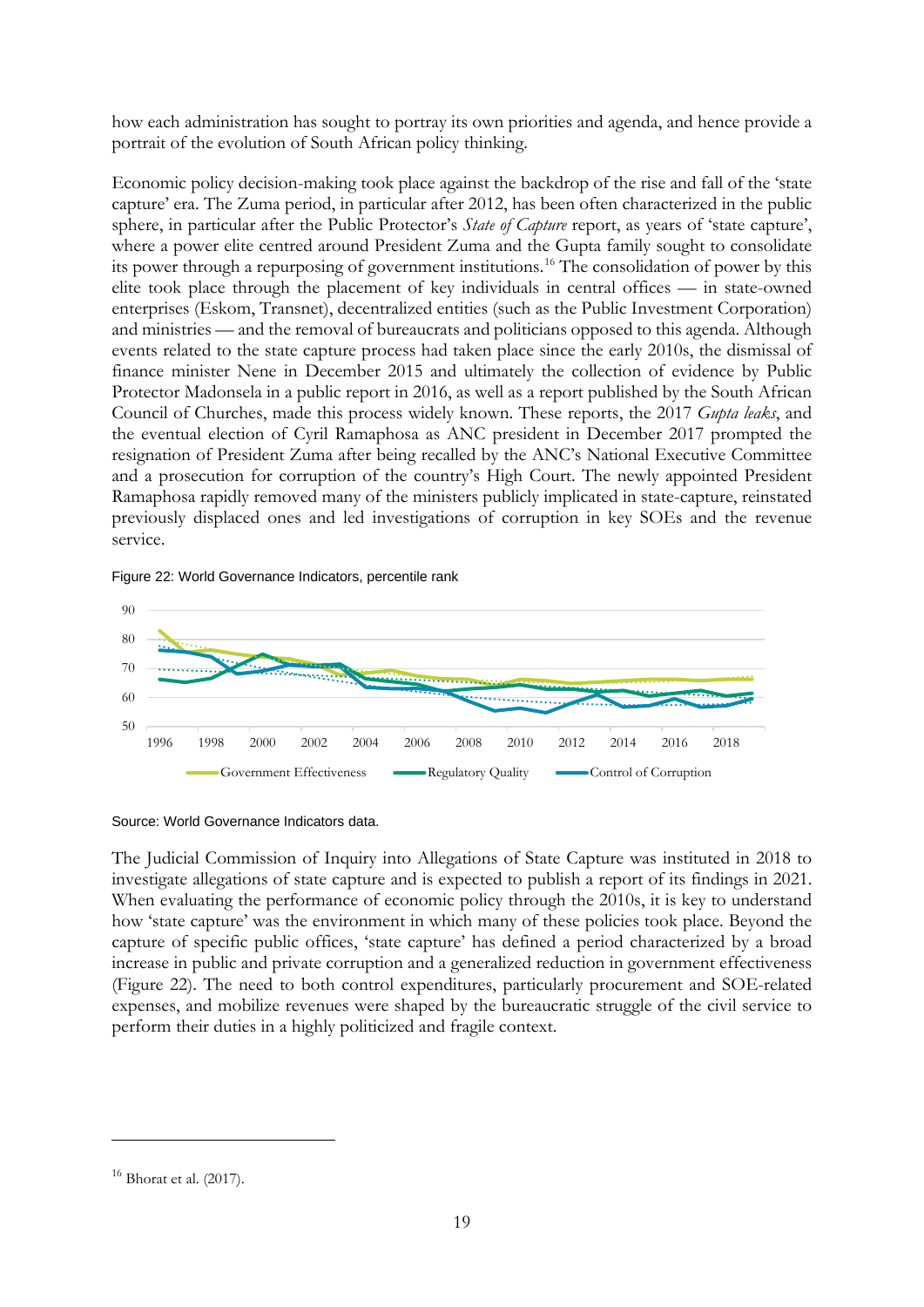how each administration has sought to portray its own priorities and agenda, and hence provide a portrait of the evolution of South African policy thinking.

Economic policy decision-making took place against the backdrop of the rise and fall of the 'state capture' era. The Zuma period, in particular after 2012, has been often characterized in the public sphere, in particular after the Public Protector's *State of Capture* report, as years of 'state capture', where a power elite centred around President Zuma and the Gupta family sought to consolidate its power through a repurposing of government institutions.[16](#page-20-0) The consolidation of power by this elite took place through the placement of key individuals in central offices — in state-owned enterprises (Eskom, Transnet), decentralized entities (such as the Public Investment Corporation) and ministries — and the removal of bureaucrats and politicians opposed to this agenda. Although events related to the state capture process had taken place since the early 2010s, the dismissal of finance minister Nene in December 2015 and ultimately the collection of evidence by Public Protector Madonsela in a public report in 2016, as well as a report published by the South African Council of Churches, made this process widely known. These reports, the 2017 *Gupta leaks*, and the eventual election of Cyril Ramaphosa as ANC president in December 2017 prompted the resignation of President Zuma after being recalled by the ANC's National Executive Committee and a prosecution for corruption of the country's High Court. The newly appointed President Ramaphosa rapidly removed many of the ministers publicly implicated in state-capture, reinstated previously displaced ones and led investigations of corruption in key SOEs and the revenue service.

Figure 22: World Governance Indicators, percentile rank



Source: World Governance Indicators data.

The Judicial Commission of Inquiry into Allegations of State Capture was instituted in 2018 to investigate allegations of state capture and is expected to publish a report of its findings in 2021. When evaluating the performance of economic policy through the 2010s, it is key to understand how 'state capture' was the environment in which many of these policies took place. Beyond the capture of specific public offices, 'state capture' has defined a period characterized by a broad increase in public and private corruption and a generalized reduction in government effectiveness (Figure 22). The need to both control expenditures, particularly procurement and SOE-related expenses, and mobilize revenues were shaped by the bureaucratic struggle of the civil service to perform their duties in a highly politicized and fragile context.

<span id="page-20-0"></span><sup>16</sup> Bhorat et al. (2017).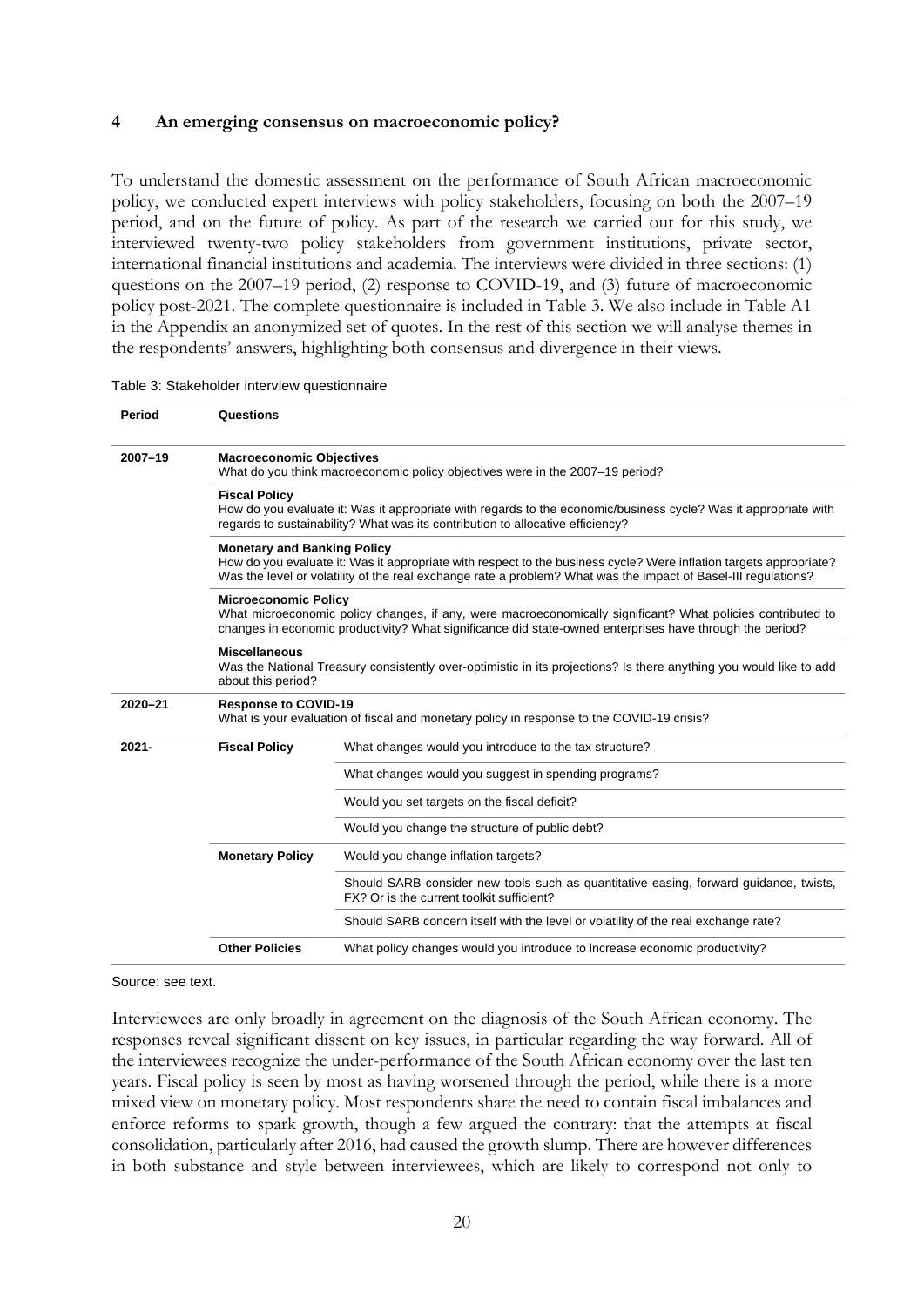## **4 An emerging consensus on macroeconomic policy?**

To understand the domestic assessment on the performance of South African macroeconomic policy, we conducted expert interviews with policy stakeholders, focusing on both the 2007–19 period, and on the future of policy. As part of the research we carried out for this study, we interviewed twenty-two policy stakeholders from government institutions, private sector, international financial institutions and academia. The interviews were divided in three sections: (1) questions on the 2007–19 period, (2) response to COVID-19, and (3) future of macroeconomic policy post-2021. The complete questionnaire is included in Table 3. We also include in Table A1 in the Appendix an anonymized set of quotes. In the rest of this section we will analyse themes in the respondents' answers, highlighting both consensus and divergence in their views.

| Period      | Questions                                                                                                                                                                                                                                                                  |                                                                                                                                    |  |  |  |  |  |
|-------------|----------------------------------------------------------------------------------------------------------------------------------------------------------------------------------------------------------------------------------------------------------------------------|------------------------------------------------------------------------------------------------------------------------------------|--|--|--|--|--|
| 2007-19     | <b>Macroeconomic Objectives</b><br>What do you think macroeconomic policy objectives were in the 2007–19 period?                                                                                                                                                           |                                                                                                                                    |  |  |  |  |  |
|             | <b>Fiscal Policy</b><br>How do you evaluate it: Was it appropriate with regards to the economic/business cycle? Was it appropriate with<br>regards to sustainability? What was its contribution to allocative efficiency?                                                  |                                                                                                                                    |  |  |  |  |  |
|             | <b>Monetary and Banking Policy</b><br>How do you evaluate it: Was it appropriate with respect to the business cycle? Were inflation targets appropriate?<br>Was the level or volatility of the real exchange rate a problem? What was the impact of Basel-III regulations? |                                                                                                                                    |  |  |  |  |  |
|             | <b>Microeconomic Policy</b><br>What microeconomic policy changes, if any, were macroeconomically significant? What policies contributed to<br>changes in economic productivity? What significance did state-owned enterprises have through the period?                     |                                                                                                                                    |  |  |  |  |  |
|             | <b>Miscellaneous</b><br>Was the National Treasury consistently over-optimistic in its projections? Is there anything you would like to add<br>about this period?                                                                                                           |                                                                                                                                    |  |  |  |  |  |
| $2020 - 21$ | <b>Response to COVID-19</b><br>What is your evaluation of fiscal and monetary policy in response to the COVID-19 crisis?                                                                                                                                                   |                                                                                                                                    |  |  |  |  |  |
| $2021 -$    | <b>Fiscal Policy</b>                                                                                                                                                                                                                                                       | What changes would you introduce to the tax structure?                                                                             |  |  |  |  |  |
|             |                                                                                                                                                                                                                                                                            | What changes would you suggest in spending programs?                                                                               |  |  |  |  |  |
|             |                                                                                                                                                                                                                                                                            | Would you set targets on the fiscal deficit?                                                                                       |  |  |  |  |  |
|             |                                                                                                                                                                                                                                                                            | Would you change the structure of public debt?                                                                                     |  |  |  |  |  |
|             | <b>Monetary Policy</b>                                                                                                                                                                                                                                                     | Would you change inflation targets?                                                                                                |  |  |  |  |  |
|             |                                                                                                                                                                                                                                                                            | Should SARB consider new tools such as quantitative easing, forward guidance, twists,<br>FX? Or is the current toolkit sufficient? |  |  |  |  |  |
|             |                                                                                                                                                                                                                                                                            | Should SARB concern itself with the level or volatility of the real exchange rate?                                                 |  |  |  |  |  |
|             | <b>Other Policies</b><br>What policy changes would you introduce to increase economic productivity?                                                                                                                                                                        |                                                                                                                                    |  |  |  |  |  |

Table 3: Stakeholder interview questionnaire

Source: see text.

Interviewees are only broadly in agreement on the diagnosis of the South African economy. The responses reveal significant dissent on key issues, in particular regarding the way forward. All of the interviewees recognize the under-performance of the South African economy over the last ten years. Fiscal policy is seen by most as having worsened through the period, while there is a more mixed view on monetary policy. Most respondents share the need to contain fiscal imbalances and enforce reforms to spark growth, though a few argued the contrary: that the attempts at fiscal consolidation, particularly after 2016, had caused the growth slump. There are however differences in both substance and style between interviewees, which are likely to correspond not only to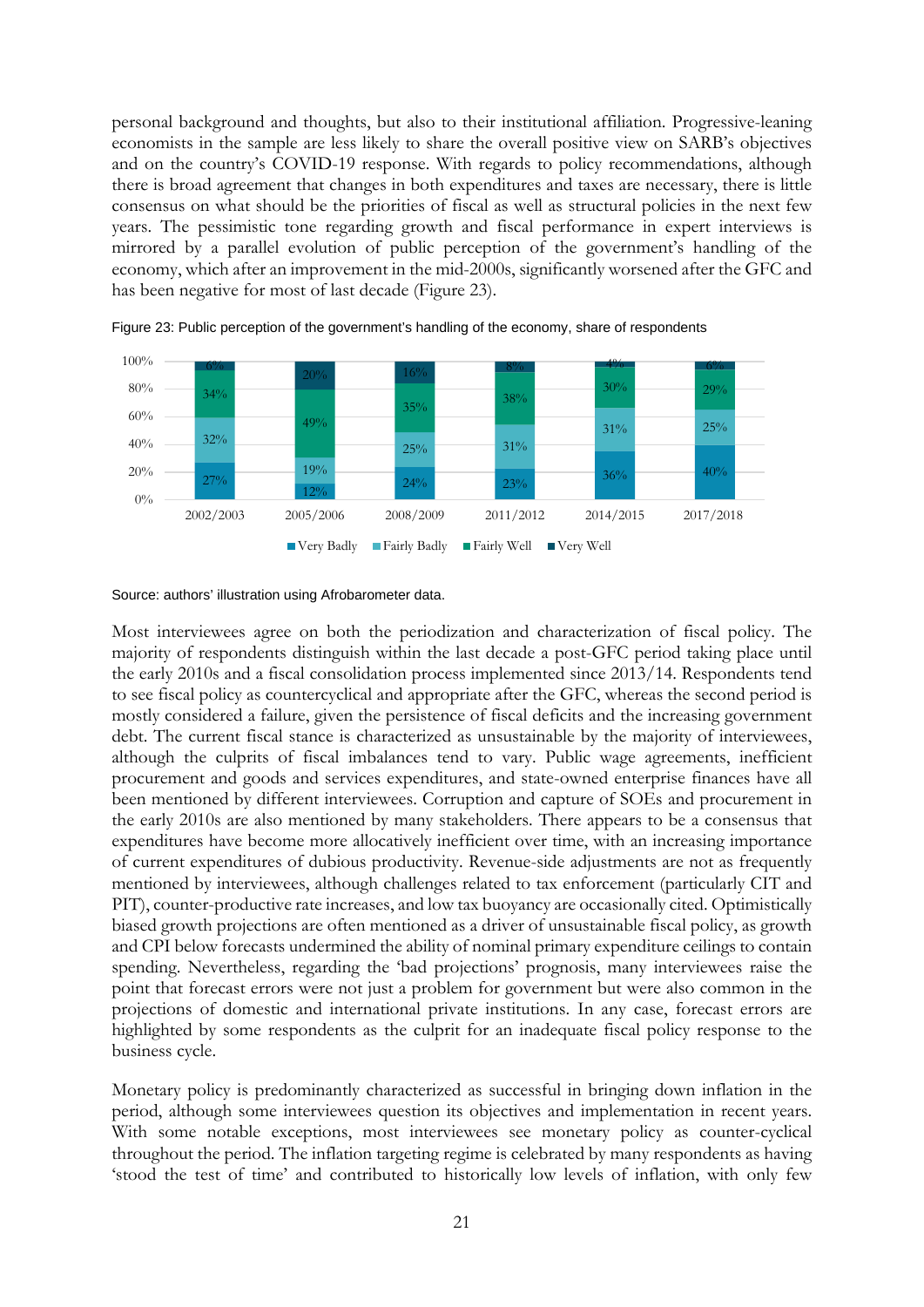personal background and thoughts, but also to their institutional affiliation. Progressive-leaning economists in the sample are less likely to share the overall positive view on SARB's objectives and on the country's COVID-19 response. With regards to policy recommendations, although there is broad agreement that changes in both expenditures and taxes are necessary, there is little consensus on what should be the priorities of fiscal as well as structural policies in the next few years. The pessimistic tone regarding growth and fiscal performance in expert interviews is mirrored by a parallel evolution of public perception of the government's handling of the economy, which after an improvement in the mid-2000s, significantly worsened after the GFC and has been negative for most of last decade (Figure 23).



Figure 23: Public perception of the government's handling of the economy, share of respondents

Source: authors' illustration using Afrobarometer data.

Most interviewees agree on both the periodization and characterization of fiscal policy. The majority of respondents distinguish within the last decade a post-GFC period taking place until the early 2010s and a fiscal consolidation process implemented since 2013/14. Respondents tend to see fiscal policy as countercyclical and appropriate after the GFC, whereas the second period is mostly considered a failure, given the persistence of fiscal deficits and the increasing government debt. The current fiscal stance is characterized as unsustainable by the majority of interviewees, although the culprits of fiscal imbalances tend to vary. Public wage agreements, inefficient procurement and goods and services expenditures, and state-owned enterprise finances have all been mentioned by different interviewees. Corruption and capture of SOEs and procurement in the early 2010s are also mentioned by many stakeholders. There appears to be a consensus that expenditures have become more allocatively inefficient over time, with an increasing importance of current expenditures of dubious productivity. Revenue-side adjustments are not as frequently mentioned by interviewees, although challenges related to tax enforcement (particularly CIT and PIT), counter-productive rate increases, and low tax buoyancy are occasionally cited. Optimistically biased growth projections are often mentioned as a driver of unsustainable fiscal policy, as growth and CPI below forecasts undermined the ability of nominal primary expenditure ceilings to contain spending. Nevertheless, regarding the 'bad projections' prognosis, many interviewees raise the point that forecast errors were not just a problem for government but were also common in the projections of domestic and international private institutions. In any case, forecast errors are highlighted by some respondents as the culprit for an inadequate fiscal policy response to the business cycle.

Monetary policy is predominantly characterized as successful in bringing down inflation in the period, although some interviewees question its objectives and implementation in recent years. With some notable exceptions, most interviewees see monetary policy as counter-cyclical throughout the period. The inflation targeting regime is celebrated by many respondents as having 'stood the test of time' and contributed to historically low levels of inflation, with only few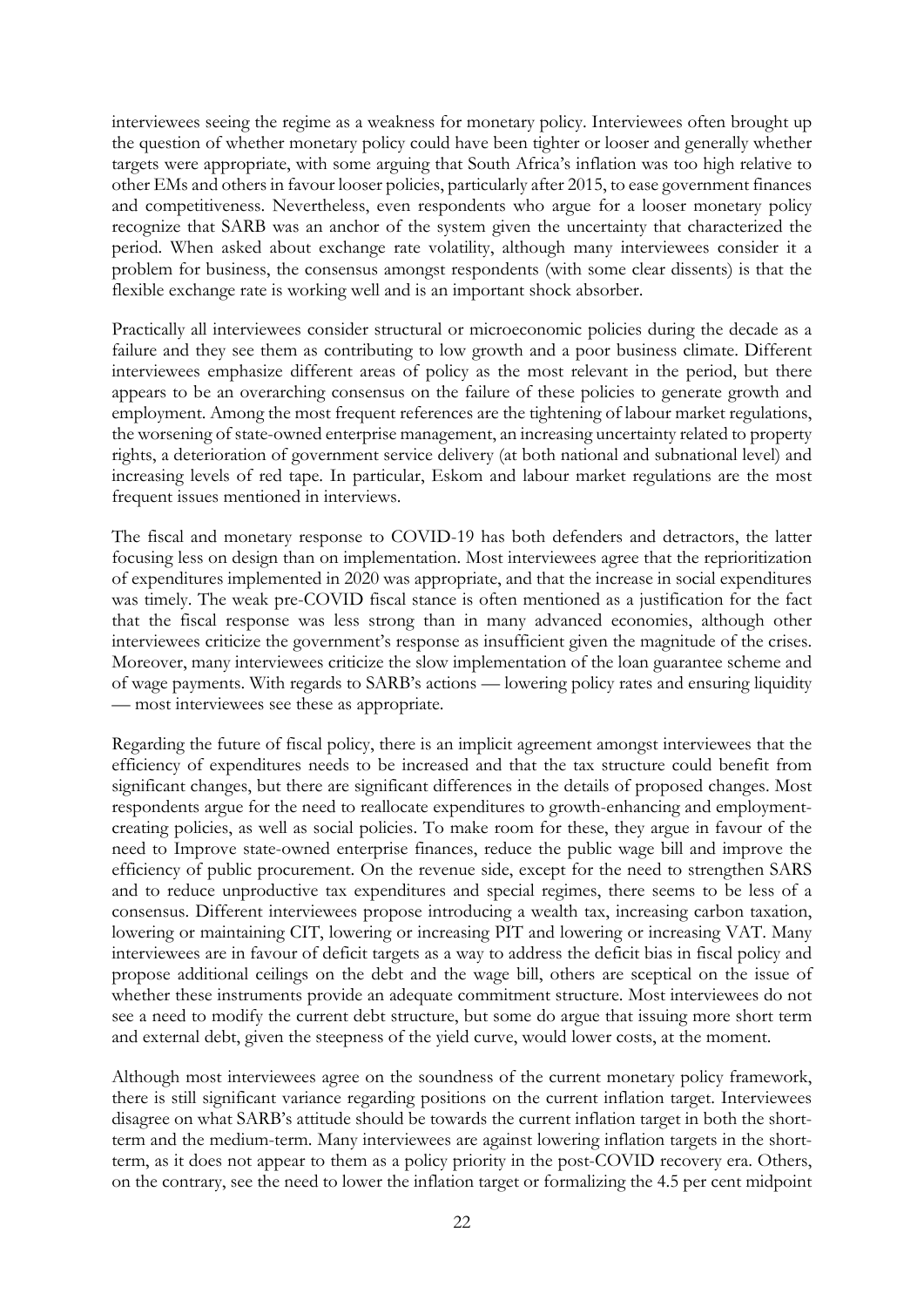interviewees seeing the regime as a weakness for monetary policy. Interviewees often brought up the question of whether monetary policy could have been tighter or looser and generally whether targets were appropriate, with some arguing that South Africa's inflation was too high relative to other EMs and others in favour looser policies, particularly after 2015, to ease government finances and competitiveness. Nevertheless, even respondents who argue for a looser monetary policy recognize that SARB was an anchor of the system given the uncertainty that characterized the period. When asked about exchange rate volatility, although many interviewees consider it a problem for business, the consensus amongst respondents (with some clear dissents) is that the flexible exchange rate is working well and is an important shock absorber.

Practically all interviewees consider structural or microeconomic policies during the decade as a failure and they see them as contributing to low growth and a poor business climate. Different interviewees emphasize different areas of policy as the most relevant in the period, but there appears to be an overarching consensus on the failure of these policies to generate growth and employment. Among the most frequent references are the tightening of labour market regulations, the worsening of state-owned enterprise management, an increasing uncertainty related to property rights, a deterioration of government service delivery (at both national and subnational level) and increasing levels of red tape. In particular, Eskom and labour market regulations are the most frequent issues mentioned in interviews.

The fiscal and monetary response to COVID-19 has both defenders and detractors, the latter focusing less on design than on implementation. Most interviewees agree that the reprioritization of expenditures implemented in 2020 was appropriate, and that the increase in social expenditures was timely. The weak pre-COVID fiscal stance is often mentioned as a justification for the fact that the fiscal response was less strong than in many advanced economies, although other interviewees criticize the government's response as insufficient given the magnitude of the crises. Moreover, many interviewees criticize the slow implementation of the loan guarantee scheme and of wage payments. With regards to SARB's actions — lowering policy rates and ensuring liquidity — most interviewees see these as appropriate.

Regarding the future of fiscal policy, there is an implicit agreement amongst interviewees that the efficiency of expenditures needs to be increased and that the tax structure could benefit from significant changes, but there are significant differences in the details of proposed changes. Most respondents argue for the need to reallocate expenditures to growth-enhancing and employmentcreating policies, as well as social policies. To make room for these, they argue in favour of the need to Improve state-owned enterprise finances, reduce the public wage bill and improve the efficiency of public procurement. On the revenue side, except for the need to strengthen SARS and to reduce unproductive tax expenditures and special regimes, there seems to be less of a consensus. Different interviewees propose introducing a wealth tax, increasing carbon taxation, lowering or maintaining CIT, lowering or increasing PIT and lowering or increasing VAT. Many interviewees are in favour of deficit targets as a way to address the deficit bias in fiscal policy and propose additional ceilings on the debt and the wage bill, others are sceptical on the issue of whether these instruments provide an adequate commitment structure. Most interviewees do not see a need to modify the current debt structure, but some do argue that issuing more short term and external debt, given the steepness of the yield curve, would lower costs, at the moment.

Although most interviewees agree on the soundness of the current monetary policy framework, there is still significant variance regarding positions on the current inflation target. Interviewees disagree on what SARB's attitude should be towards the current inflation target in both the shortterm and the medium-term. Many interviewees are against lowering inflation targets in the shortterm, as it does not appear to them as a policy priority in the post-COVID recovery era. Others, on the contrary, see the need to lower the inflation target or formalizing the 4.5 per cent midpoint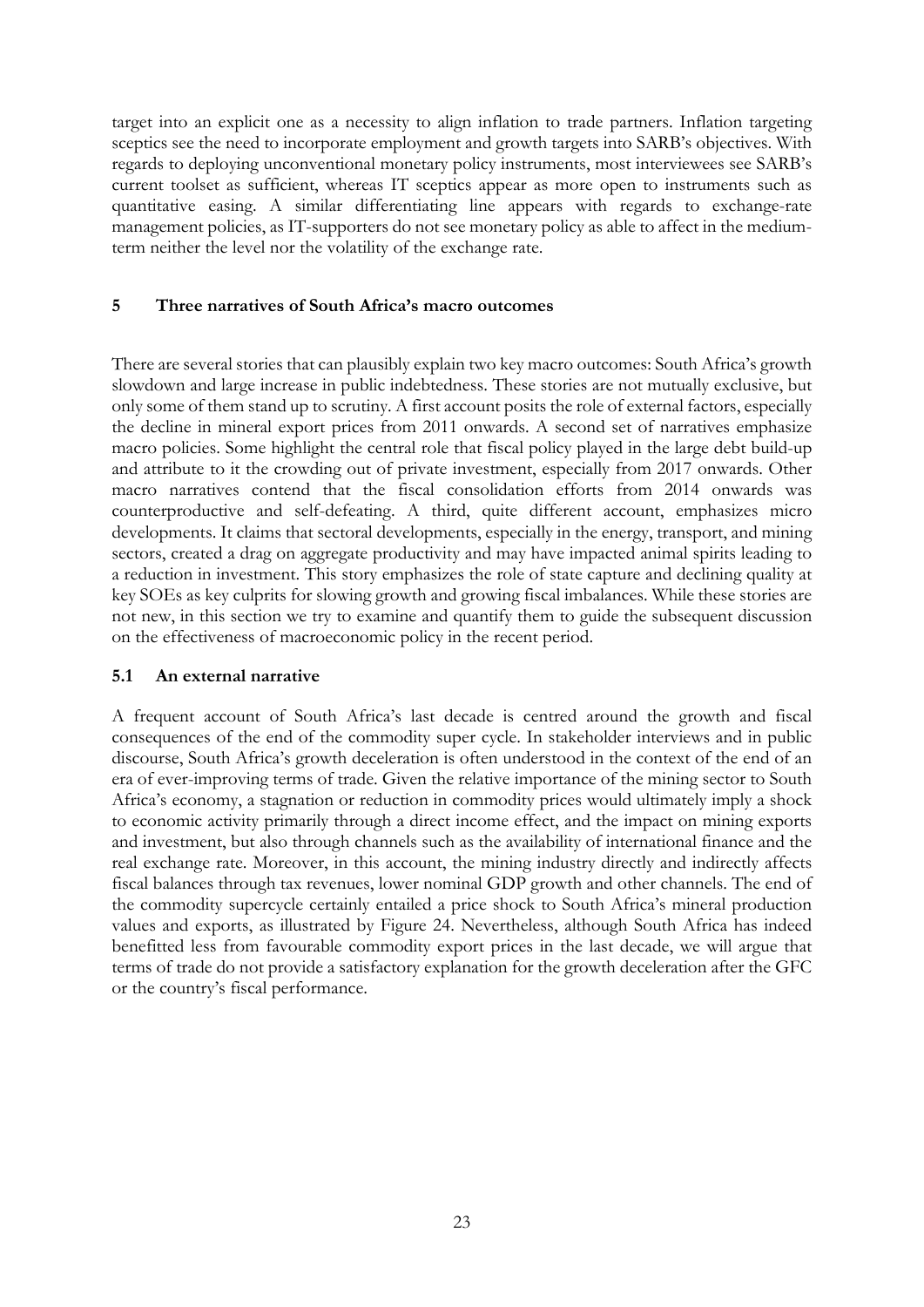target into an explicit one as a necessity to align inflation to trade partners. Inflation targeting sceptics see the need to incorporate employment and growth targets into SARB's objectives. With regards to deploying unconventional monetary policy instruments, most interviewees see SARB's current toolset as sufficient, whereas IT sceptics appear as more open to instruments such as quantitative easing. A similar differentiating line appears with regards to exchange-rate management policies, as IT-supporters do not see monetary policy as able to affect in the mediumterm neither the level nor the volatility of the exchange rate.

## **5 Three narratives of South Africa's macro outcomes**

There are several stories that can plausibly explain two key macro outcomes: South Africa's growth slowdown and large increase in public indebtedness. These stories are not mutually exclusive, but only some of them stand up to scrutiny. A first account posits the role of external factors, especially the decline in mineral export prices from 2011 onwards. A second set of narratives emphasize macro policies. Some highlight the central role that fiscal policy played in the large debt build-up and attribute to it the crowding out of private investment, especially from 2017 onwards. Other macro narratives contend that the fiscal consolidation efforts from 2014 onwards was counterproductive and self-defeating. A third, quite different account, emphasizes micro developments. It claims that sectoral developments, especially in the energy, transport, and mining sectors, created a drag on aggregate productivity and may have impacted animal spirits leading to a reduction in investment. This story emphasizes the role of state capture and declining quality at key SOEs as key culprits for slowing growth and growing fiscal imbalances. While these stories are not new, in this section we try to examine and quantify them to guide the subsequent discussion on the effectiveness of macroeconomic policy in the recent period.

## **5.1 An external narrative**

A frequent account of South Africa's last decade is centred around the growth and fiscal consequences of the end of the commodity super cycle. In stakeholder interviews and in public discourse, South Africa's growth deceleration is often understood in the context of the end of an era of ever-improving terms of trade. Given the relative importance of the mining sector to South Africa's economy, a stagnation or reduction in commodity prices would ultimately imply a shock to economic activity primarily through a direct income effect, and the impact on mining exports and investment, but also through channels such as the availability of international finance and the real exchange rate. Moreover, in this account, the mining industry directly and indirectly affects fiscal balances through tax revenues, lower nominal GDP growth and other channels. The end of the commodity supercycle certainly entailed a price shock to South Africa's mineral production values and exports, as illustrated by Figure 24. Nevertheless, although South Africa has indeed benefitted less from favourable commodity export prices in the last decade, we will argue that terms of trade do not provide a satisfactory explanation for the growth deceleration after the GFC or the country's fiscal performance.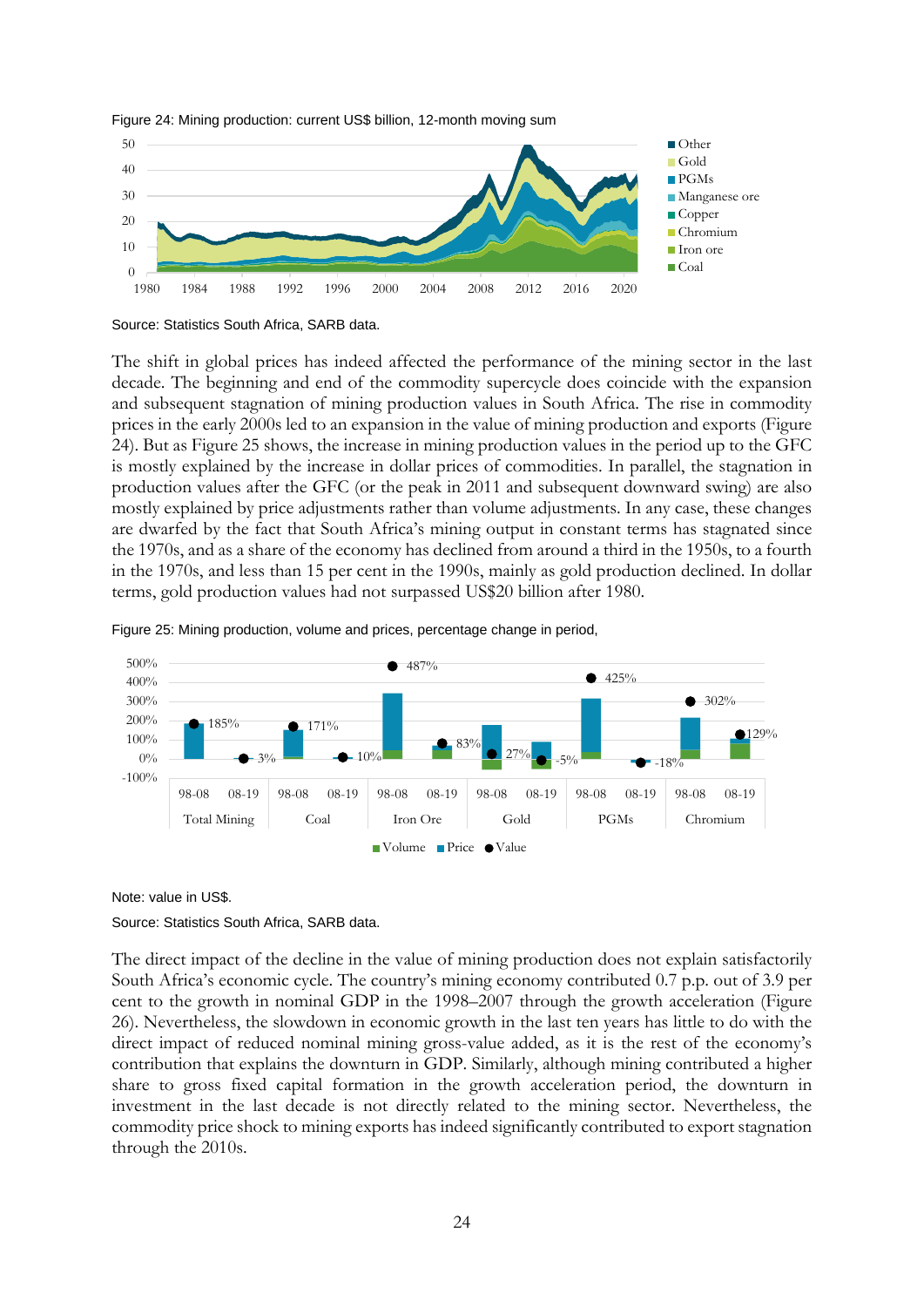

Figure 24: Mining production: current US\$ billion, 12-month moving sum

The shift in global prices has indeed affected the performance of the mining sector in the last decade. The beginning and end of the commodity supercycle does coincide with the expansion and subsequent stagnation of mining production values in South Africa. The rise in commodity prices in the early 2000s led to an expansion in the value of mining production and exports (Figure 24). But as Figure 25 shows, the increase in mining production values in the period up to the GFC is mostly explained by the increase in dollar prices of commodities. In parallel, the stagnation in production values after the GFC (or the peak in 2011 and subsequent downward swing) are also mostly explained by price adjustments rather than volume adjustments. In any case, these changes are dwarfed by the fact that South Africa's mining output in constant terms has stagnated since the 1970s, and as a share of the economy has declined from around a third in the 1950s, to a fourth in the 1970s, and less than 15 per cent in the 1990s, mainly as gold production declined. In dollar terms, gold production values had not surpassed US\$20 billion after 1980.





Note: value in US\$.

#### Source: Statistics South Africa, SARB data.

The direct impact of the decline in the value of mining production does not explain satisfactorily South Africa's economic cycle. The country's mining economy contributed 0.7 p.p. out of 3.9 per cent to the growth in nominal GDP in the 1998–2007 through the growth acceleration (Figure 26). Nevertheless, the slowdown in economic growth in the last ten years has little to do with the direct impact of reduced nominal mining gross-value added, as it is the rest of the economy's contribution that explains the downturn in GDP. Similarly, although mining contributed a higher share to gross fixed capital formation in the growth acceleration period, the downturn in investment in the last decade is not directly related to the mining sector. Nevertheless, the commodity price shock to mining exports has indeed significantly contributed to export stagnation through the 2010s.

Source: Statistics South Africa, SARB data.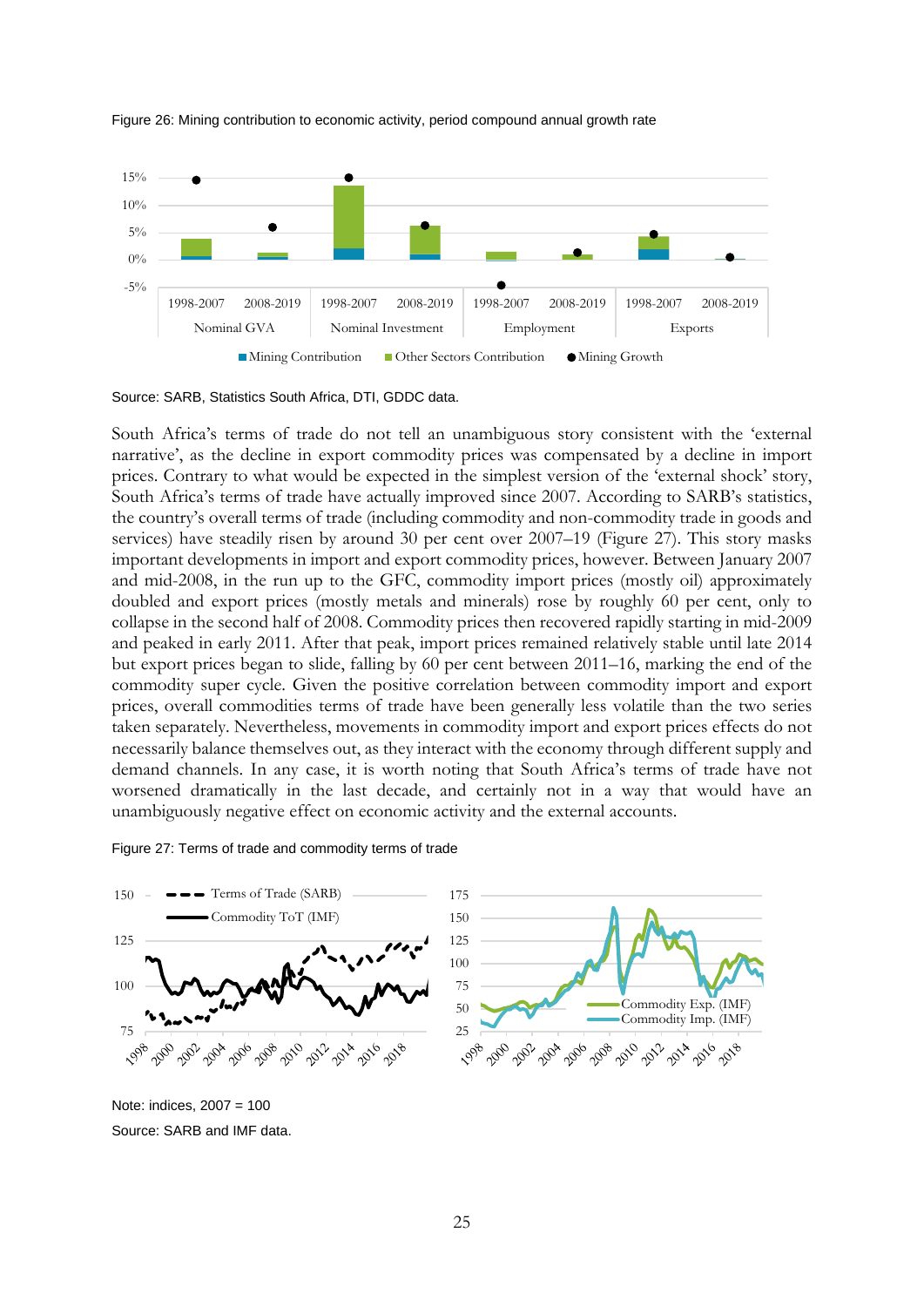

Figure 26: Mining contribution to economic activity, period compound annual growth rate

Source: SARB, Statistics South Africa, DTI, GDDC data.

South Africa's terms of trade do not tell an unambiguous story consistent with the 'external narrative', as the decline in export commodity prices was compensated by a decline in import prices. Contrary to what would be expected in the simplest version of the 'external shock' story, South Africa's terms of trade have actually improved since 2007. According to SARB's statistics, the country's overall terms of trade (including commodity and non-commodity trade in goods and services) have steadily risen by around 30 per cent over 2007–19 (Figure 27). This story masks important developments in import and export commodity prices, however. Between January 2007 and mid-2008, in the run up to the GFC, commodity import prices (mostly oil) approximately doubled and export prices (mostly metals and minerals) rose by roughly 60 per cent, only to collapse in the second half of 2008. Commodity prices then recovered rapidly starting in mid-2009 and peaked in early 2011. After that peak, import prices remained relatively stable until late 2014 but export prices began to slide, falling by 60 per cent between 2011–16, marking the end of the commodity super cycle. Given the positive correlation between commodity import and export prices, overall commodities terms of trade have been generally less volatile than the two series taken separately. Nevertheless, movements in commodity import and export prices effects do not necessarily balance themselves out, as they interact with the economy through different supply and demand channels. In any case, it is worth noting that South Africa's terms of trade have not worsened dramatically in the last decade, and certainly not in a way that would have an unambiguously negative effect on economic activity and the external accounts.

#### Figure 27: Terms of trade and commodity terms of trade



Note: indices, 2007 = 100 Source: SARB and IMF data.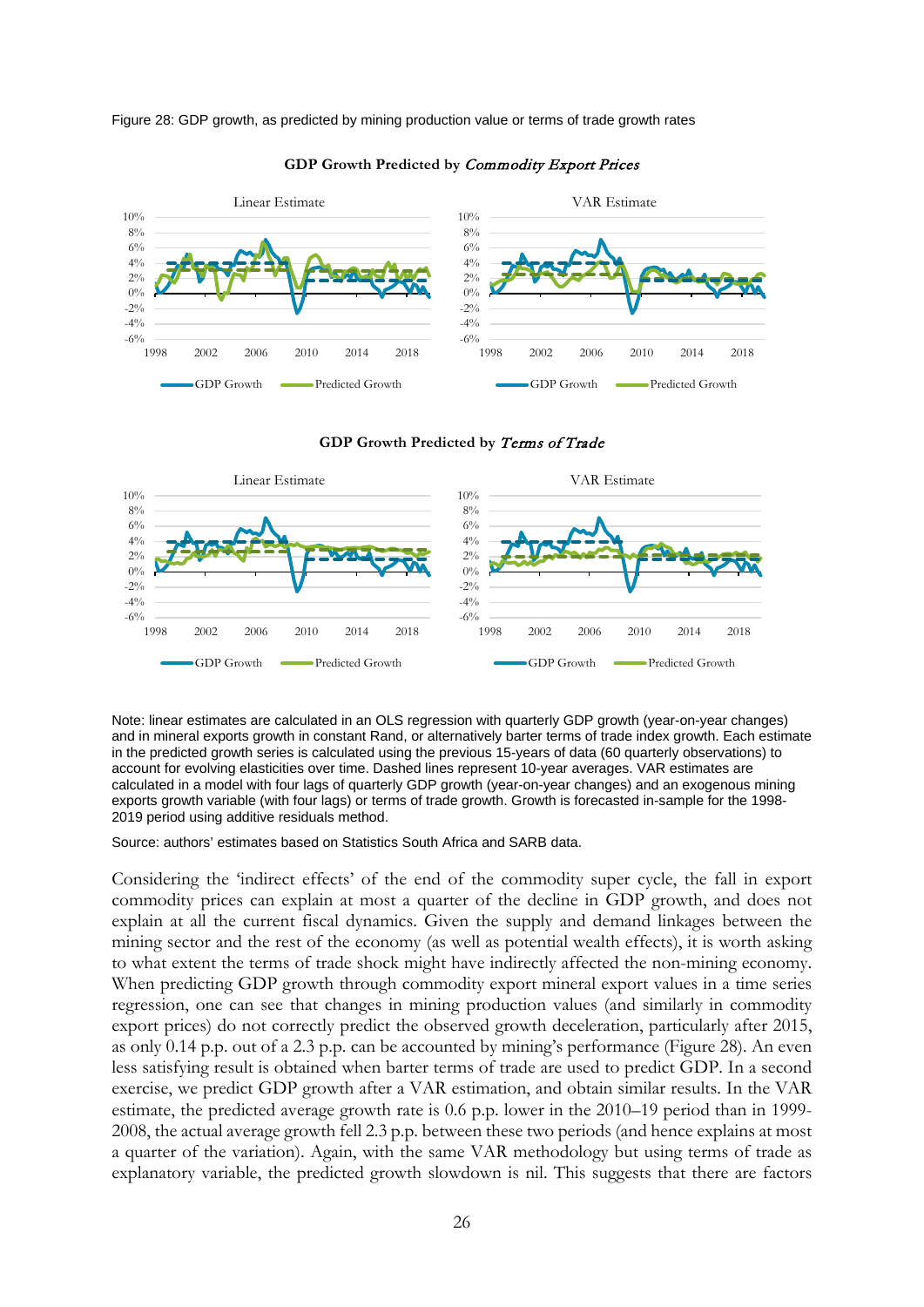Figure 28: GDP growth, as predicted by mining production value or terms of trade growth rates



#### **GDP Growth Predicted by** Commodity Export Prices



**GDP Growth Predicted by** Terms of Trade

Note: linear estimates are calculated in an OLS regression with quarterly GDP growth (year-on-year changes) and in mineral exports growth in constant Rand, or alternatively barter terms of trade index growth. Each estimate in the predicted growth series is calculated using the previous 15-years of data (60 quarterly observations) to account for evolving elasticities over time. Dashed lines represent 10-year averages. VAR estimates are calculated in a model with four lags of quarterly GDP growth (year-on-year changes) and an exogenous mining exports growth variable (with four lags) or terms of trade growth. Growth is forecasted in-sample for the 1998- 2019 period using additive residuals method.

Source: authors' estimates based on Statistics South Africa and SARB data.

Considering the 'indirect effects' of the end of the commodity super cycle, the fall in export commodity prices can explain at most a quarter of the decline in GDP growth, and does not explain at all the current fiscal dynamics. Given the supply and demand linkages between the mining sector and the rest of the economy (as well as potential wealth effects), it is worth asking to what extent the terms of trade shock might have indirectly affected the non-mining economy. When predicting GDP growth through commodity export mineral export values in a time series regression, one can see that changes in mining production values (and similarly in commodity export prices) do not correctly predict the observed growth deceleration, particularly after 2015, as only 0.14 p.p. out of a 2.3 p.p. can be accounted by mining's performance (Figure 28). An even less satisfying result is obtained when barter terms of trade are used to predict GDP. In a second exercise, we predict GDP growth after a VAR estimation, and obtain similar results. In the VAR estimate, the predicted average growth rate is 0.6 p.p. lower in the 2010–19 period than in 1999- 2008, the actual average growth fell 2.3 p.p. between these two periods (and hence explains at most a quarter of the variation). Again, with the same VAR methodology but using terms of trade as explanatory variable, the predicted growth slowdown is nil. This suggests that there are factors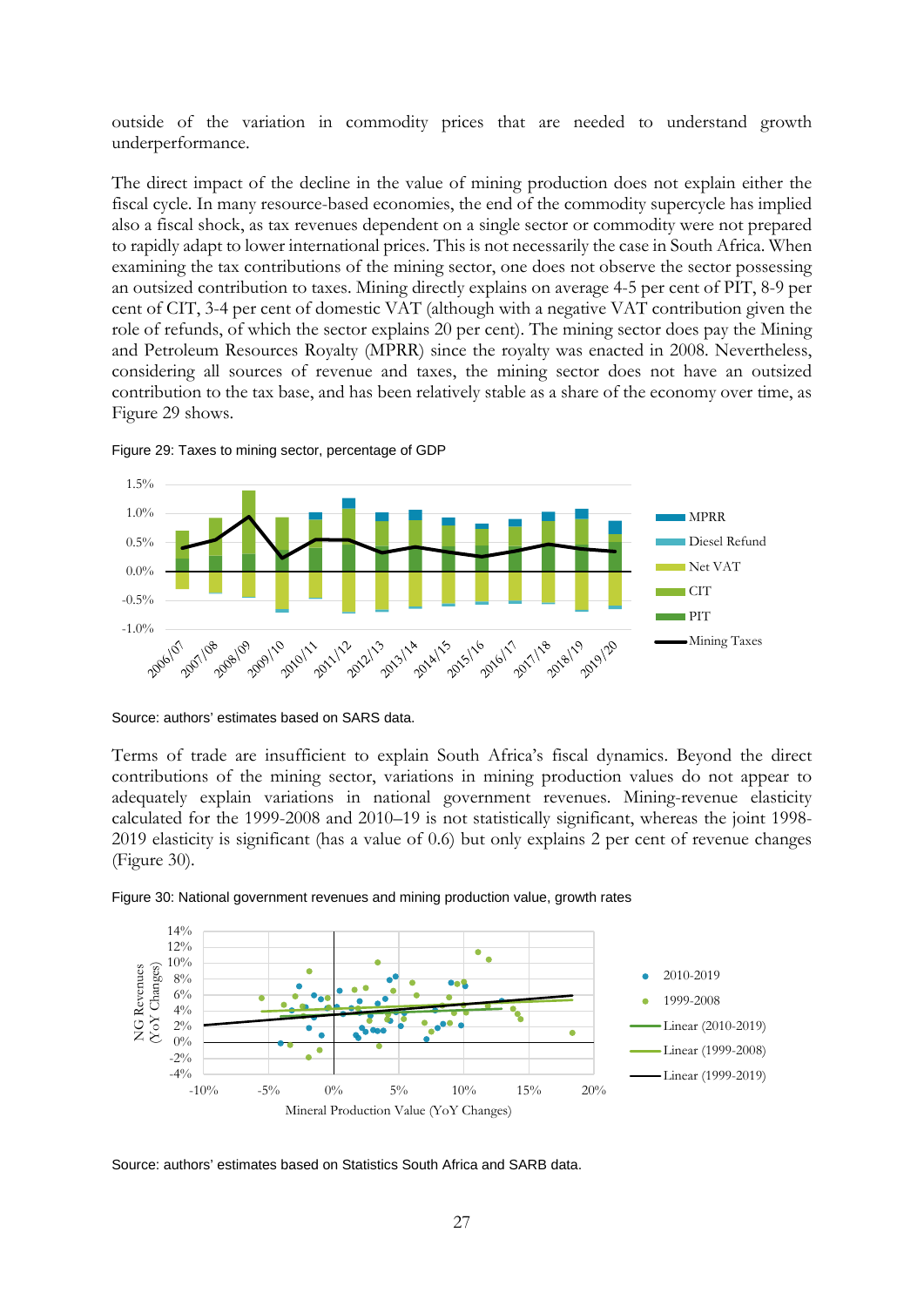outside of the variation in commodity prices that are needed to understand growth underperformance.

The direct impact of the decline in the value of mining production does not explain either the fiscal cycle. In many resource-based economies, the end of the commodity supercycle has implied also a fiscal shock, as tax revenues dependent on a single sector or commodity were not prepared to rapidly adapt to lower international prices. This is not necessarily the case in South Africa. When examining the tax contributions of the mining sector, one does not observe the sector possessing an outsized contribution to taxes. Mining directly explains on average 4-5 per cent of PIT, 8-9 per cent of CIT, 3-4 per cent of domestic VAT (although with a negative VAT contribution given the role of refunds, of which the sector explains 20 per cent). The mining sector does pay the Mining and Petroleum Resources Royalty (MPRR) since the royalty was enacted in 2008. Nevertheless, considering all sources of revenue and taxes, the mining sector does not have an outsized contribution to the tax base, and has been relatively stable as a share of the economy over time, as Figure 29 shows.





Source: authors' estimates based on SARS data.

Terms of trade are insufficient to explain South Africa's fiscal dynamics. Beyond the direct contributions of the mining sector, variations in mining production values do not appear to adequately explain variations in national government revenues. Mining-revenue elasticity calculated for the 1999-2008 and 2010–19 is not statistically significant, whereas the joint 1998- 2019 elasticity is significant (has a value of 0.6) but only explains 2 per cent of revenue changes (Figure 30).





Source: authors' estimates based on Statistics South Africa and SARB data.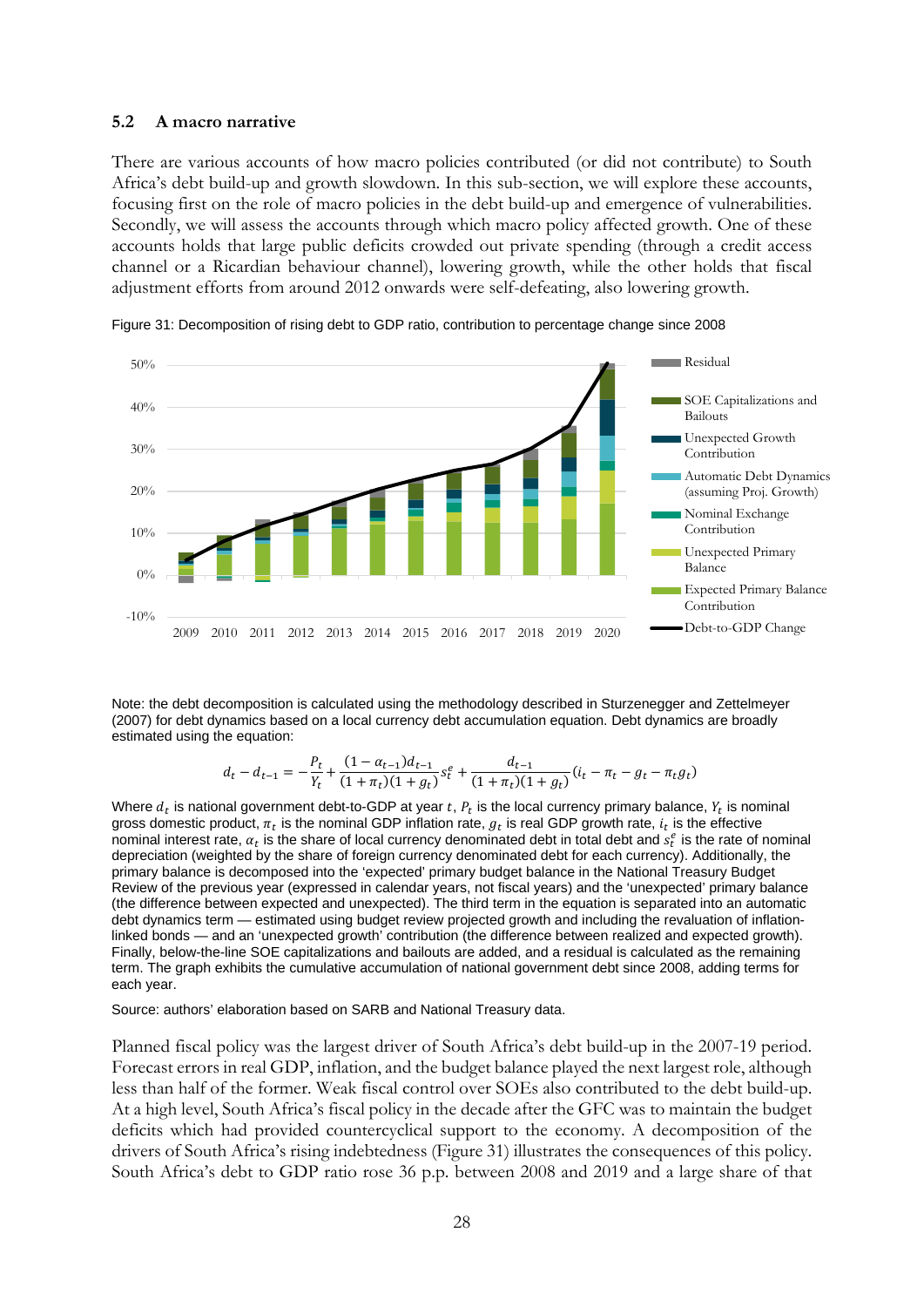#### **5.2 A macro narrative**

There are various accounts of how macro policies contributed (or did not contribute) to South Africa's debt build-up and growth slowdown. In this sub-section, we will explore these accounts, focusing first on the role of macro policies in the debt build-up and emergence of vulnerabilities. Secondly, we will assess the accounts through which macro policy affected growth. One of these accounts holds that large public deficits crowded out private spending (through a credit access channel or a Ricardian behaviour channel), lowering growth, while the other holds that fiscal adjustment efforts from around 2012 onwards were self-defeating, also lowering growth.



Figure 31: Decomposition of rising debt to GDP ratio, contribution to percentage change since 2008

Note: the debt decomposition is calculated using the methodology described in Sturzenegger and Zettelmeyer (2007) for debt dynamics based on a local currency debt accumulation equation. Debt dynamics are broadly estimated using the equation:

$$
d_t - d_{t-1} = -\frac{P_t}{Y_t} + \frac{(1 - \alpha_{t-1})d_{t-1}}{(1 + \pi_t)(1 + g_t)} s_t^e + \frac{d_{t-1}}{(1 + \pi_t)(1 + g_t)} (i_t - \pi_t - g_t - \pi_t g_t)
$$

Where  $d_t$  is national government debt-to-GDP at year t,  $P_t$  is the local currency primary balance,  $Y_t$  is nominal gross domestic product,  $\pi_r$  is the nominal GDP inflation rate,  $g_r$  is real GDP growth rate,  $i_r$  is the effective nominal interest rate,  $a_t$  is the share of local currency denominated debt in total debt and  $s_t^e$  is the rate of nominal depreciation (weighted by the share of foreign currency denominated debt for each currency). Additionally, the primary balance is decomposed into the 'expected' primary budget balance in the National Treasury Budget Review of the previous year (expressed in calendar years, not fiscal years) and the 'unexpected' primary balance (the difference between expected and unexpected). The third term in the equation is separated into an automatic debt dynamics term — estimated using budget review projected growth and including the revaluation of inflationlinked bonds — and an 'unexpected growth' contribution (the difference between realized and expected growth). Finally, below-the-line SOE capitalizations and bailouts are added, and a residual is calculated as the remaining term. The graph exhibits the cumulative accumulation of national government debt since 2008, adding terms for each year.

Source: authors' elaboration based on SARB and National Treasury data.

Planned fiscal policy was the largest driver of South Africa's debt build-up in the 2007-19 period. Forecast errors in real GDP, inflation, and the budget balance played the next largest role, although less than half of the former. Weak fiscal control over SOEs also contributed to the debt build-up. At a high level, South Africa's fiscal policy in the decade after the GFC was to maintain the budget deficits which had provided countercyclical support to the economy. A decomposition of the drivers of South Africa's rising indebtedness (Figure 31) illustrates the consequences of this policy. South Africa's debt to GDP ratio rose 36 p.p. between 2008 and 2019 and a large share of that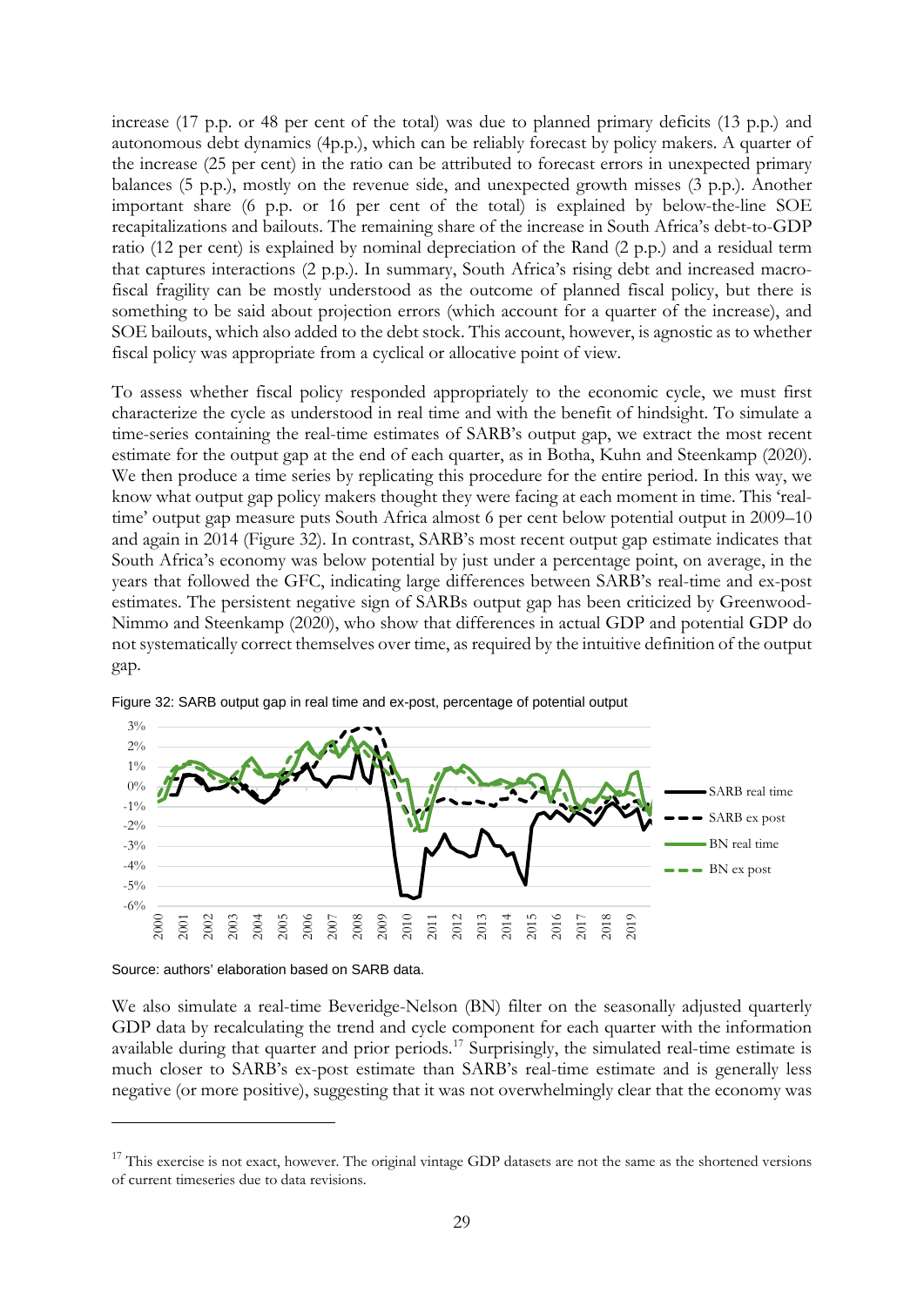increase (17 p.p. or 48 per cent of the total) was due to planned primary deficits (13 p.p.) and autonomous debt dynamics (4p.p.), which can be reliably forecast by policy makers. A quarter of the increase (25 per cent) in the ratio can be attributed to forecast errors in unexpected primary balances (5 p.p.), mostly on the revenue side, and unexpected growth misses (3 p.p.). Another important share (6 p.p. or 16 per cent of the total) is explained by below-the-line SOE recapitalizations and bailouts. The remaining share of the increase in South Africa's debt-to-GDP ratio (12 per cent) is explained by nominal depreciation of the Rand (2 p.p.) and a residual term that captures interactions (2 p.p.). In summary, South Africa's rising debt and increased macrofiscal fragility can be mostly understood as the outcome of planned fiscal policy, but there is something to be said about projection errors (which account for a quarter of the increase), and SOE bailouts, which also added to the debt stock. This account, however, is agnostic as to whether fiscal policy was appropriate from a cyclical or allocative point of view.

To assess whether fiscal policy responded appropriately to the economic cycle, we must first characterize the cycle as understood in real time and with the benefit of hindsight. To simulate a time-series containing the real-time estimates of SARB's output gap, we extract the most recent estimate for the output gap at the end of each quarter, as in Botha, Kuhn and Steenkamp (2020). We then produce a time series by replicating this procedure for the entire period. In this way, we know what output gap policy makers thought they were facing at each moment in time. This 'realtime' output gap measure puts South Africa almost 6 per cent below potential output in 2009–10 and again in 2014 (Figure 32). In contrast, SARB's most recent output gap estimate indicates that South Africa's economy was below potential by just under a percentage point, on average, in the years that followed the GFC, indicating large differences between SARB's real-time and ex-post estimates. The persistent negative sign of SARBs output gap has been criticized by Greenwood-Nimmo and Steenkamp (2020), who show that differences in actual GDP and potential GDP do not systematically correct themselves over time, as required by the intuitive definition of the output gap.



Figure 32: SARB output gap in real time and ex-post, percentage of potential output

We also simulate a real-time Beveridge-Nelson (BN) filter on the seasonally adjusted quarterly GDP data by recalculating the trend and cycle component for each quarter with the information available during that quarter and prior periods.<sup>[17](#page-30-0)</sup> Surprisingly, the simulated real-time estimate is much closer to SARB's ex-post estimate than SARB's real-time estimate and is generally less negative (or more positive), suggesting that it was not overwhelmingly clear that the economy was

Source: authors' elaboration based on SARB data.

<span id="page-30-0"></span> $17$  This exercise is not exact, however. The original vintage GDP datasets are not the same as the shortened versions of current timeseries due to data revisions.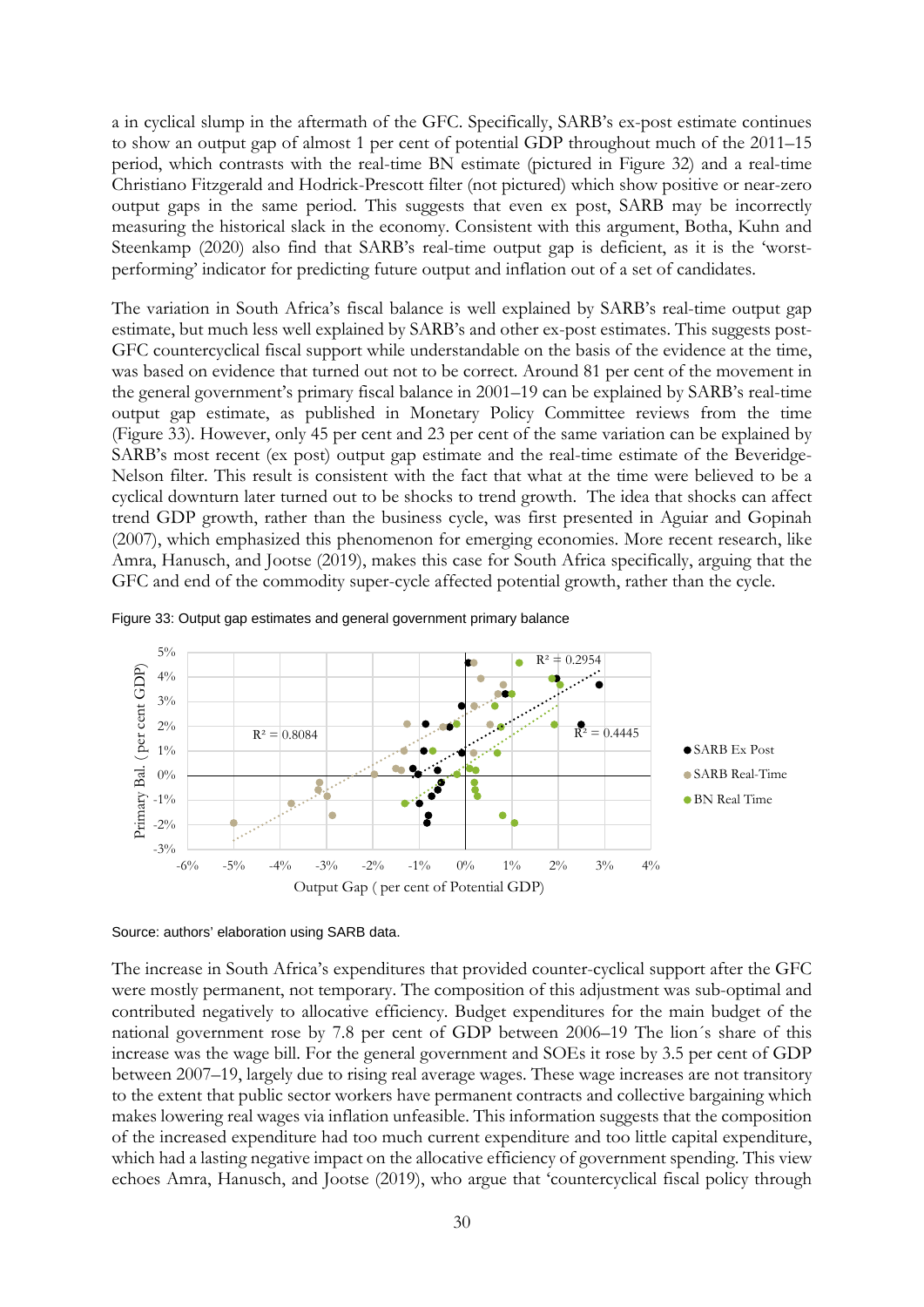a in cyclical slump in the aftermath of the GFC. Specifically, SARB's ex-post estimate continues to show an output gap of almost 1 per cent of potential GDP throughout much of the 2011–15 period, which contrasts with the real-time BN estimate (pictured in Figure 32) and a real-time Christiano Fitzgerald and Hodrick-Prescott filter (not pictured) which show positive or near-zero output gaps in the same period. This suggests that even ex post, SARB may be incorrectly measuring the historical slack in the economy. Consistent with this argument, Botha, Kuhn and Steenkamp (2020) also find that SARB's real-time output gap is deficient, as it is the 'worstperforming' indicator for predicting future output and inflation out of a set of candidates.

The variation in South Africa's fiscal balance is well explained by SARB's real-time output gap estimate, but much less well explained by SARB's and other ex-post estimates. This suggests post-GFC countercyclical fiscal support while understandable on the basis of the evidence at the time, was based on evidence that turned out not to be correct. Around 81 per cent of the movement in the general government's primary fiscal balance in 2001–19 can be explained by SARB's real-time output gap estimate, as published in Monetary Policy Committee reviews from the time (Figure 33). However, only 45 per cent and 23 per cent of the same variation can be explained by SARB's most recent (ex post) output gap estimate and the real-time estimate of the Beveridge-Nelson filter. This result is consistent with the fact that what at the time were believed to be a cyclical downturn later turned out to be shocks to trend growth. The idea that shocks can affect trend GDP growth, rather than the business cycle, was first presented in Aguiar and Gopinah (2007), which emphasized this phenomenon for emerging economies. More recent research, like Amra, Hanusch, and Jootse (2019), makes this case for South Africa specifically, arguing that the GFC and end of the commodity super-cycle affected potential growth, rather than the cycle.





Source: authors' elaboration using SARB data.

The increase in South Africa's expenditures that provided counter-cyclical support after the GFC were mostly permanent, not temporary. The composition of this adjustment was sub-optimal and contributed negatively to allocative efficiency. Budget expenditures for the main budget of the national government rose by 7.8 per cent of GDP between 2006–19 The lion´s share of this increase was the wage bill. For the general government and SOEs it rose by 3.5 per cent of GDP between 2007–19, largely due to rising real average wages. These wage increases are not transitory to the extent that public sector workers have permanent contracts and collective bargaining which makes lowering real wages via inflation unfeasible. This information suggests that the composition of the increased expenditure had too much current expenditure and too little capital expenditure, which had a lasting negative impact on the allocative efficiency of government spending. This view echoes Amra, Hanusch, and Jootse (2019), who argue that 'countercyclical fiscal policy through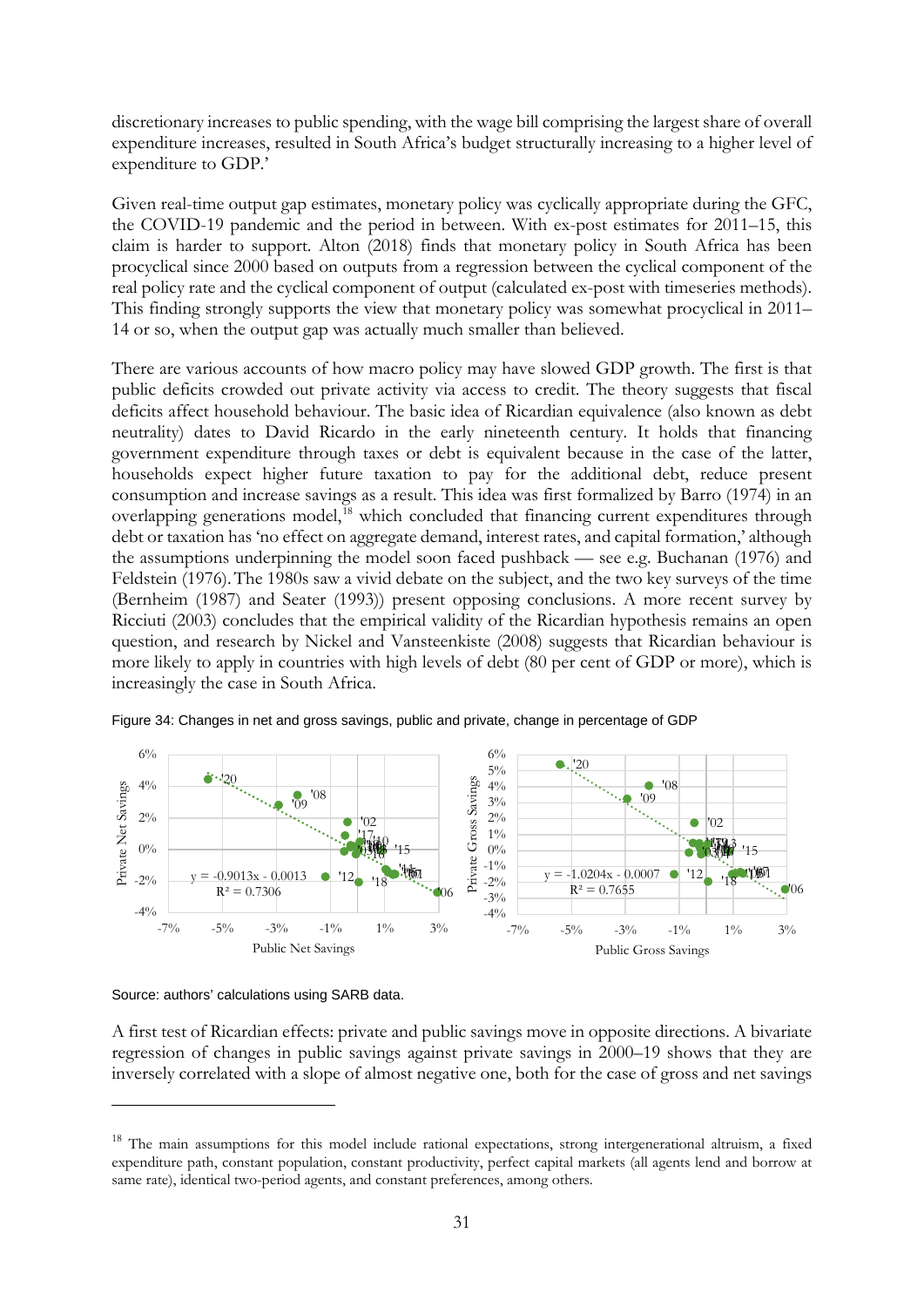discretionary increases to public spending, with the wage bill comprising the largest share of overall expenditure increases, resulted in South Africa's budget structurally increasing to a higher level of expenditure to GDP.'

Given real-time output gap estimates, monetary policy was cyclically appropriate during the GFC, the COVID-19 pandemic and the period in between. With ex-post estimates for 2011–15, this claim is harder to support. Alton (2018) finds that monetary policy in South Africa has been procyclical since 2000 based on outputs from a regression between the cyclical component of the real policy rate and the cyclical component of output (calculated ex-post with timeseries methods). This finding strongly supports the view that monetary policy was somewhat procyclical in 2011– 14 or so, when the output gap was actually much smaller than believed.

There are various accounts of how macro policy may have slowed GDP growth. The first is that public deficits crowded out private activity via access to credit. The theory suggests that fiscal deficits affect household behaviour. The basic idea of Ricardian equivalence (also known as debt neutrality) dates to David Ricardo in the early nineteenth century. It holds that financing government expenditure through taxes or debt is equivalent because in the case of the latter, households expect higher future taxation to pay for the additional debt, reduce present consumption and increase savings as a result. This idea was first formalized by Barro (1974) in an overlapping generations model,<sup>[18](#page-32-0)</sup> which concluded that financing current expenditures through debt or taxation has 'no effect on aggregate demand, interest rates, and capital formation,' although the assumptions underpinning the model soon faced pushback — see e.g. Buchanan (1976) and Feldstein (1976).The 1980s saw a vivid debate on the subject, and the two key surveys of the time (Bernheim (1987) and Seater (1993)) present opposing conclusions. A more recent survey by Ricciuti (2003) concludes that the empirical validity of the Ricardian hypothesis remains an open question, and research by Nickel and Vansteenkiste (2008) suggests that Ricardian behaviour is more likely to apply in countries with high levels of debt (80 per cent of GDP or more), which is increasingly the case in South Africa.



Figure 34: Changes in net and gross savings, public and private, change in percentage of GDP

Source: authors' calculations using SARB data.

A first test of Ricardian effects: private and public savings move in opposite directions. A bivariate regression of changes in public savings against private savings in 2000–19 shows that they are inversely correlated with a slope of almost negative one, both for the case of gross and net savings

<span id="page-32-0"></span><sup>&</sup>lt;sup>18</sup> The main assumptions for this model include rational expectations, strong intergenerational altruism, a fixed expenditure path, constant population, constant productivity, perfect capital markets (all agents lend and borrow at same rate), identical two-period agents, and constant preferences, among others.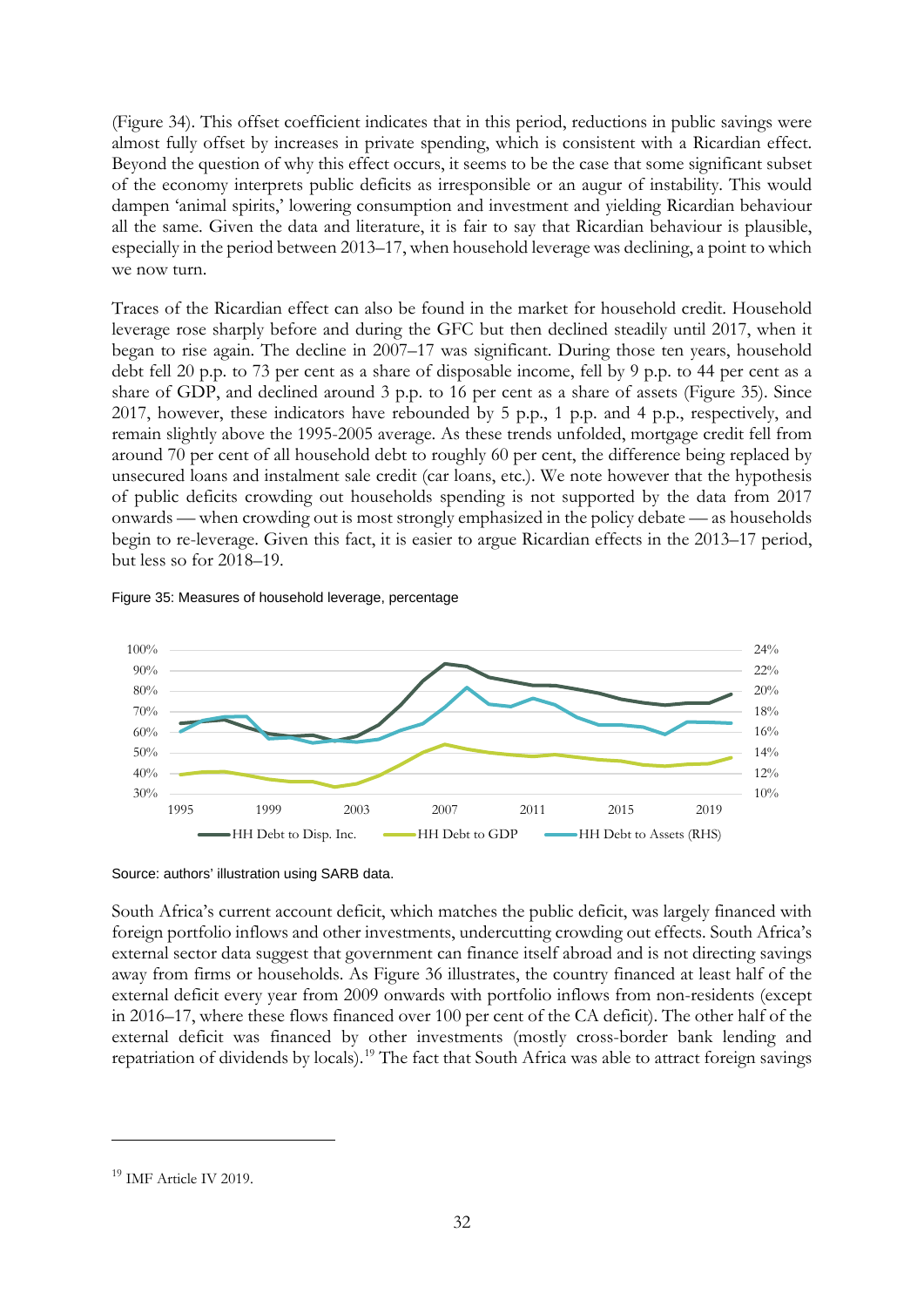(Figure 34). This offset coefficient indicates that in this period, reductions in public savings were almost fully offset by increases in private spending, which is consistent with a Ricardian effect. Beyond the question of why this effect occurs, it seems to be the case that some significant subset of the economy interprets public deficits as irresponsible or an augur of instability. This would dampen 'animal spirits,' lowering consumption and investment and yielding Ricardian behaviour all the same. Given the data and literature, it is fair to say that Ricardian behaviour is plausible, especially in the period between 2013–17, when household leverage was declining, a point to which we now turn.

Traces of the Ricardian effect can also be found in the market for household credit. Household leverage rose sharply before and during the GFC but then declined steadily until 2017, when it began to rise again. The decline in 2007–17 was significant. During those ten years, household debt fell 20 p.p. to 73 per cent as a share of disposable income, fell by 9 p.p. to 44 per cent as a share of GDP, and declined around 3 p.p. to 16 per cent as a share of assets (Figure 35). Since 2017, however, these indicators have rebounded by 5 p.p., 1 p.p. and 4 p.p., respectively, and remain slightly above the 1995-2005 average. As these trends unfolded, mortgage credit fell from around 70 per cent of all household debt to roughly 60 per cent, the difference being replaced by unsecured loans and instalment sale credit (car loans, etc.). We note however that the hypothesis of public deficits crowding out households spending is not supported by the data from 2017 onwards — when crowding out is most strongly emphasized in the policy debate — as households begin to re-leverage. Given this fact, it is easier to argue Ricardian effects in the 2013–17 period, but less so for 2018–19.

#### Figure 35: Measures of household leverage, percentage



Source: authors' illustration using SARB data.

South Africa's current account deficit, which matches the public deficit, was largely financed with foreign portfolio inflows and other investments, undercutting crowding out effects. South Africa's external sector data suggest that government can finance itself abroad and is not directing savings away from firms or households. As Figure 36 illustrates, the country financed at least half of the external deficit every year from 2009 onwards with portfolio inflows from non-residents (except in 2016–17, where these flows financed over 100 per cent of the CA deficit). The other half of the external deficit was financed by other investments (mostly cross-border bank lending and repatriation of dividends by locals).<sup>[19](#page-33-0)</sup> The fact that South Africa was able to attract foreign savings

<span id="page-33-0"></span><sup>&</sup>lt;sup>19</sup> IMF Article IV 2019.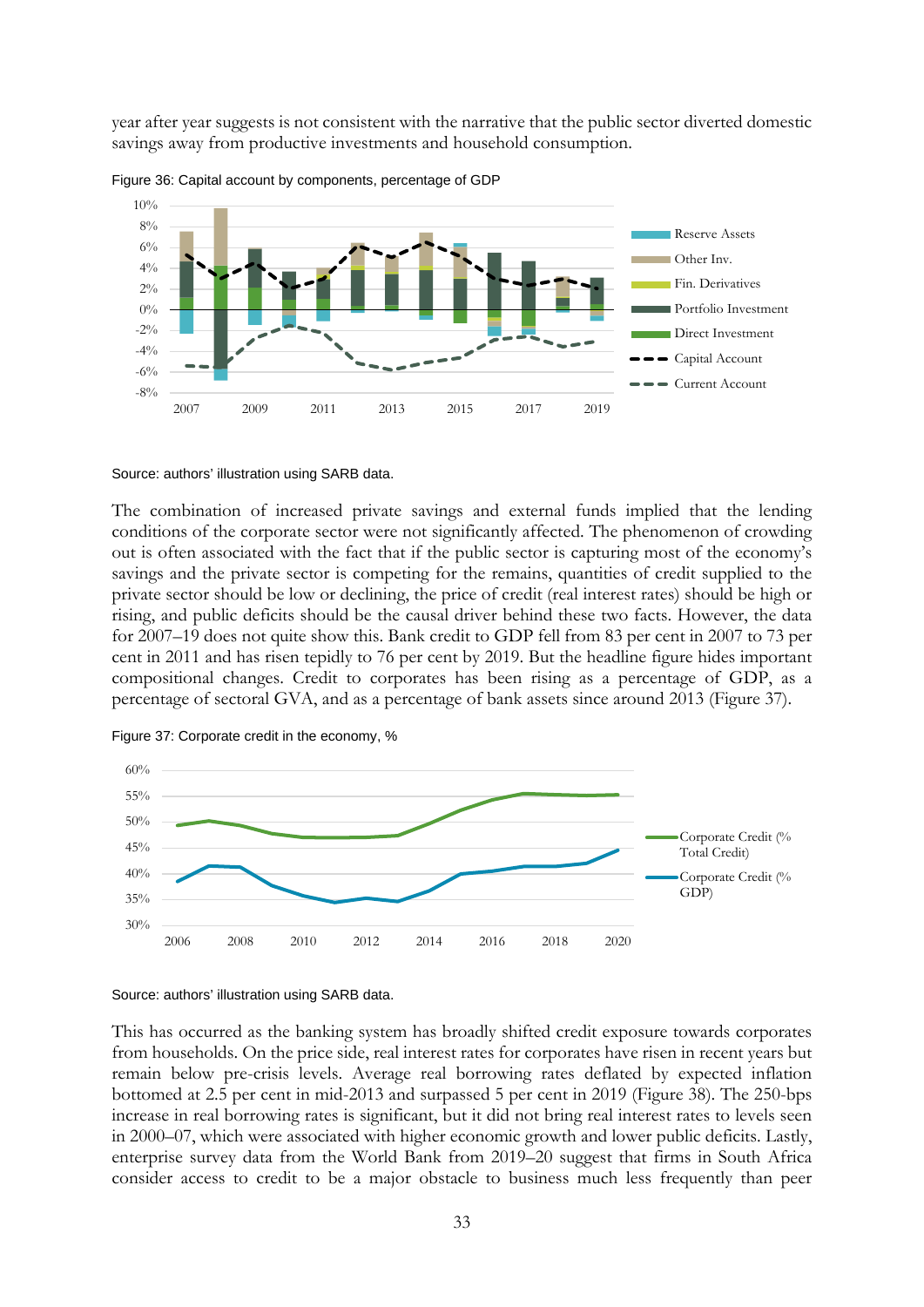year after year suggests is not consistent with the narrative that the public sector diverted domestic savings away from productive investments and household consumption.



Figure 36: Capital account by components, percentage of GDP

#### Source: authors' illustration using SARB data.

The combination of increased private savings and external funds implied that the lending conditions of the corporate sector were not significantly affected. The phenomenon of crowding out is often associated with the fact that if the public sector is capturing most of the economy's savings and the private sector is competing for the remains, quantities of credit supplied to the private sector should be low or declining, the price of credit (real interest rates) should be high or rising, and public deficits should be the causal driver behind these two facts. However, the data for 2007–19 does not quite show this. Bank credit to GDP fell from 83 per cent in 2007 to 73 per cent in 2011 and has risen tepidly to 76 per cent by 2019. But the headline figure hides important compositional changes. Credit to corporates has been rising as a percentage of GDP, as a percentage of sectoral GVA, and as a percentage of bank assets since around 2013 (Figure 37).





Source: authors' illustration using SARB data.

This has occurred as the banking system has broadly shifted credit exposure towards corporates from households. On the price side, real interest rates for corporates have risen in recent years but remain below pre-crisis levels. Average real borrowing rates deflated by expected inflation bottomed at 2.5 per cent in mid-2013 and surpassed 5 per cent in 2019 (Figure 38). The 250-bps increase in real borrowing rates is significant, but it did not bring real interest rates to levels seen in 2000–07, which were associated with higher economic growth and lower public deficits. Lastly, enterprise survey data from the World Bank from 2019–20 suggest that firms in South Africa consider access to credit to be a major obstacle to business much less frequently than peer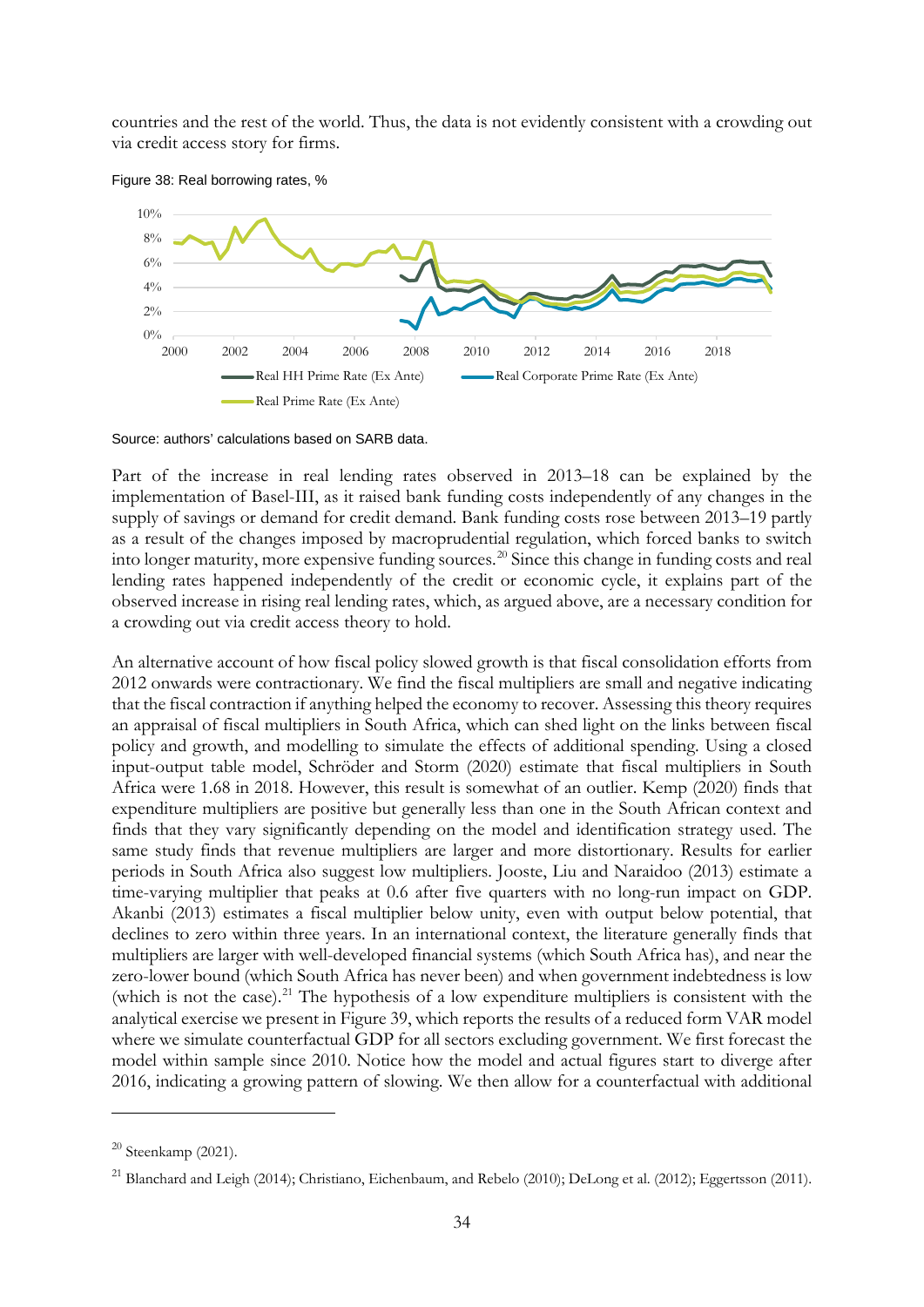countries and the rest of the world. Thus, the data is not evidently consistent with a crowding out via credit access story for firms.

Figure 38: Real borrowing rates, %



Source: authors' calculations based on SARB data.

Part of the increase in real lending rates observed in 2013–18 can be explained by the implementation of Basel-III, as it raised bank funding costs independently of any changes in the supply of savings or demand for credit demand. Bank funding costs rose between 2013–19 partly as a result of the changes imposed by macroprudential regulation, which forced banks to switch into longer maturity, more expensive funding sources.<sup>[20](#page-35-0)</sup> Since this change in funding costs and real lending rates happened independently of the credit or economic cycle, it explains part of the observed increase in rising real lending rates, which, as argued above, are a necessary condition for a crowding out via credit access theory to hold.

An alternative account of how fiscal policy slowed growth is that fiscal consolidation efforts from 2012 onwards were contractionary. We find the fiscal multipliers are small and negative indicating that the fiscal contraction if anything helped the economy to recover. Assessing this theory requires an appraisal of fiscal multipliers in South Africa, which can shed light on the links between fiscal policy and growth, and modelling to simulate the effects of additional spending. Using a closed input-output table model, Schröder and Storm (2020) estimate that fiscal multipliers in South Africa were 1.68 in 2018. However, this result is somewhat of an outlier. Kemp (2020) finds that expenditure multipliers are positive but generally less than one in the South African context and finds that they vary significantly depending on the model and identification strategy used. The same study finds that revenue multipliers are larger and more distortionary. Results for earlier periods in South Africa also suggest low multipliers. Jooste, Liu and Naraidoo (2013) estimate a time-varying multiplier that peaks at 0.6 after five quarters with no long-run impact on GDP. Akanbi (2013) estimates a fiscal multiplier below unity, even with output below potential, that declines to zero within three years. In an international context, the literature generally finds that multipliers are larger with well-developed financial systems (which South Africa has), and near the zero-lower bound (which South Africa has never been) and when government indebtedness is low (which is not the case).<sup>[21](#page-35-1)</sup> The hypothesis of a low expenditure multipliers is consistent with the analytical exercise we present in Figure 39, which reports the results of a reduced form VAR model where we simulate counterfactual GDP for all sectors excluding government. We first forecast the model within sample since 2010. Notice how the model and actual figures start to diverge after 2016, indicating a growing pattern of slowing. We then allow for a counterfactual with additional

<span id="page-35-0"></span> $20$  Steenkamp (2021).

<span id="page-35-1"></span><sup>&</sup>lt;sup>21</sup> Blanchard and Leigh (2014); Christiano, Eichenbaum, and Rebelo (2010); DeLong et al. (2012); Eggertsson (2011).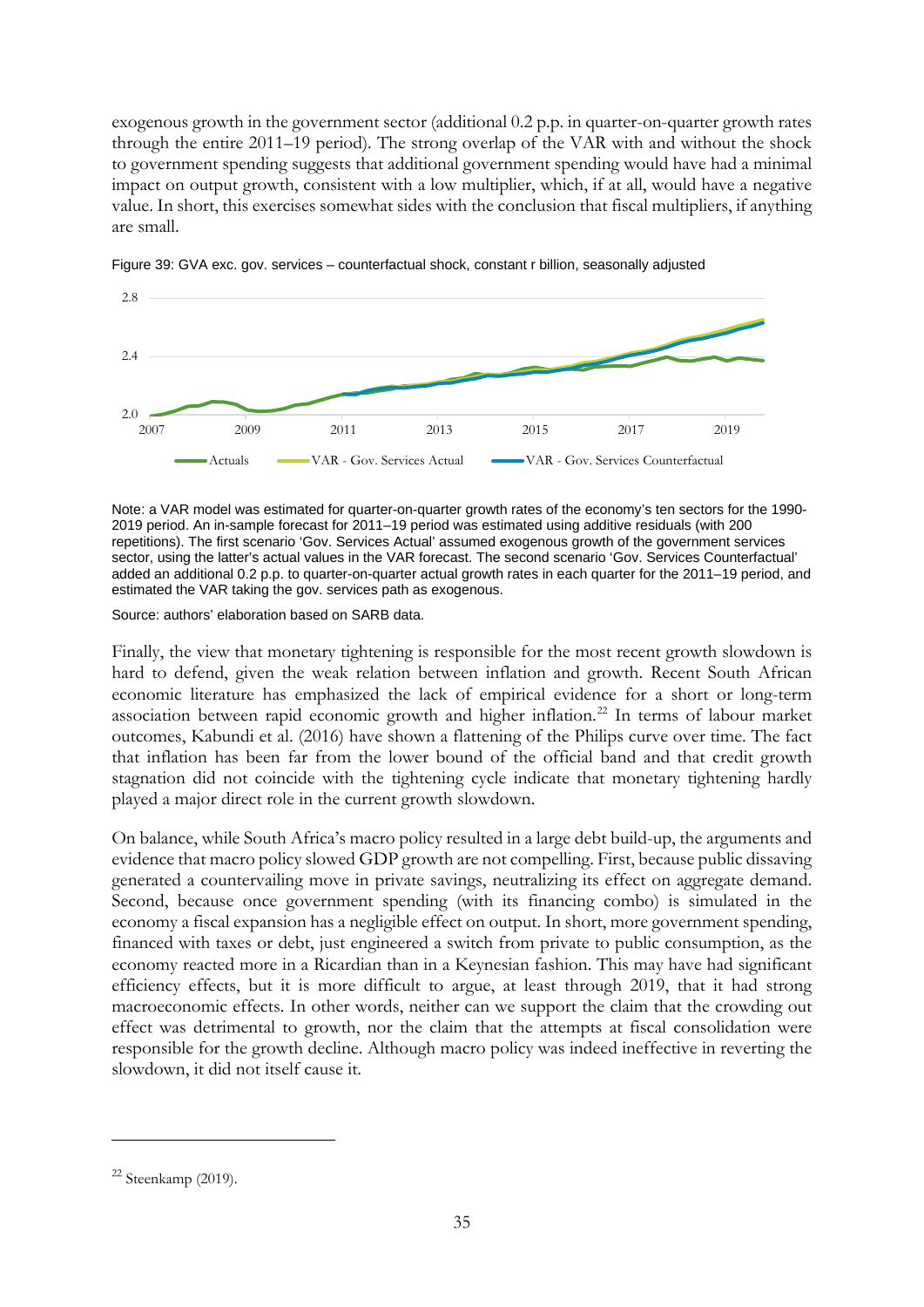exogenous growth in the government sector (additional 0.2 p.p. in quarter-on-quarter growth rates through the entire 2011–19 period). The strong overlap of the VAR with and without the shock to government spending suggests that additional government spending would have had a minimal impact on output growth, consistent with a low multiplier, which, if at all, would have a negative value. In short, this exercises somewhat sides with the conclusion that fiscal multipliers, if anything are small.



Figure 39: GVA exc. gov. services – counterfactual shock, constant r billion, seasonally adjusted

Note: a VAR model was estimated for quarter-on-quarter growth rates of the economy's ten sectors for the 1990- 2019 period. An in-sample forecast for 2011–19 period was estimated using additive residuals (with 200 repetitions). The first scenario 'Gov. Services Actual' assumed exogenous growth of the government services sector, using the latter's actual values in the VAR forecast. The second scenario 'Gov. Services Counterfactual' added an additional 0.2 p.p. to quarter-on-quarter actual growth rates in each quarter for the 2011–19 period, and estimated the VAR taking the gov. services path as exogenous.

Source: authors' elaboration based on SARB data.

Finally, the view that monetary tightening is responsible for the most recent growth slowdown is hard to defend, given the weak relation between inflation and growth. Recent South African economic literature has emphasized the lack of empirical evidence for a short or long-term association between rapid economic growth and higher inflation.[22](#page-36-0) In terms of labour market outcomes, Kabundi et al. (2016) have shown a flattening of the Philips curve over time. The fact that inflation has been far from the lower bound of the official band and that credit growth stagnation did not coincide with the tightening cycle indicate that monetary tightening hardly played a major direct role in the current growth slowdown.

On balance, while South Africa's macro policy resulted in a large debt build-up, the arguments and evidence that macro policy slowed GDP growth are not compelling. First, because public dissaving generated a countervailing move in private savings, neutralizing its effect on aggregate demand. Second, because once government spending (with its financing combo) is simulated in the economy a fiscal expansion has a negligible effect on output. In short, more government spending, financed with taxes or debt, just engineered a switch from private to public consumption, as the economy reacted more in a Ricardian than in a Keynesian fashion. This may have had significant efficiency effects, but it is more difficult to argue, at least through 2019, that it had strong macroeconomic effects. In other words, neither can we support the claim that the crowding out effect was detrimental to growth, nor the claim that the attempts at fiscal consolidation were responsible for the growth decline. Although macro policy was indeed ineffective in reverting the slowdown, it did not itself cause it.

<span id="page-36-0"></span> $22$  Steenkamp (2019).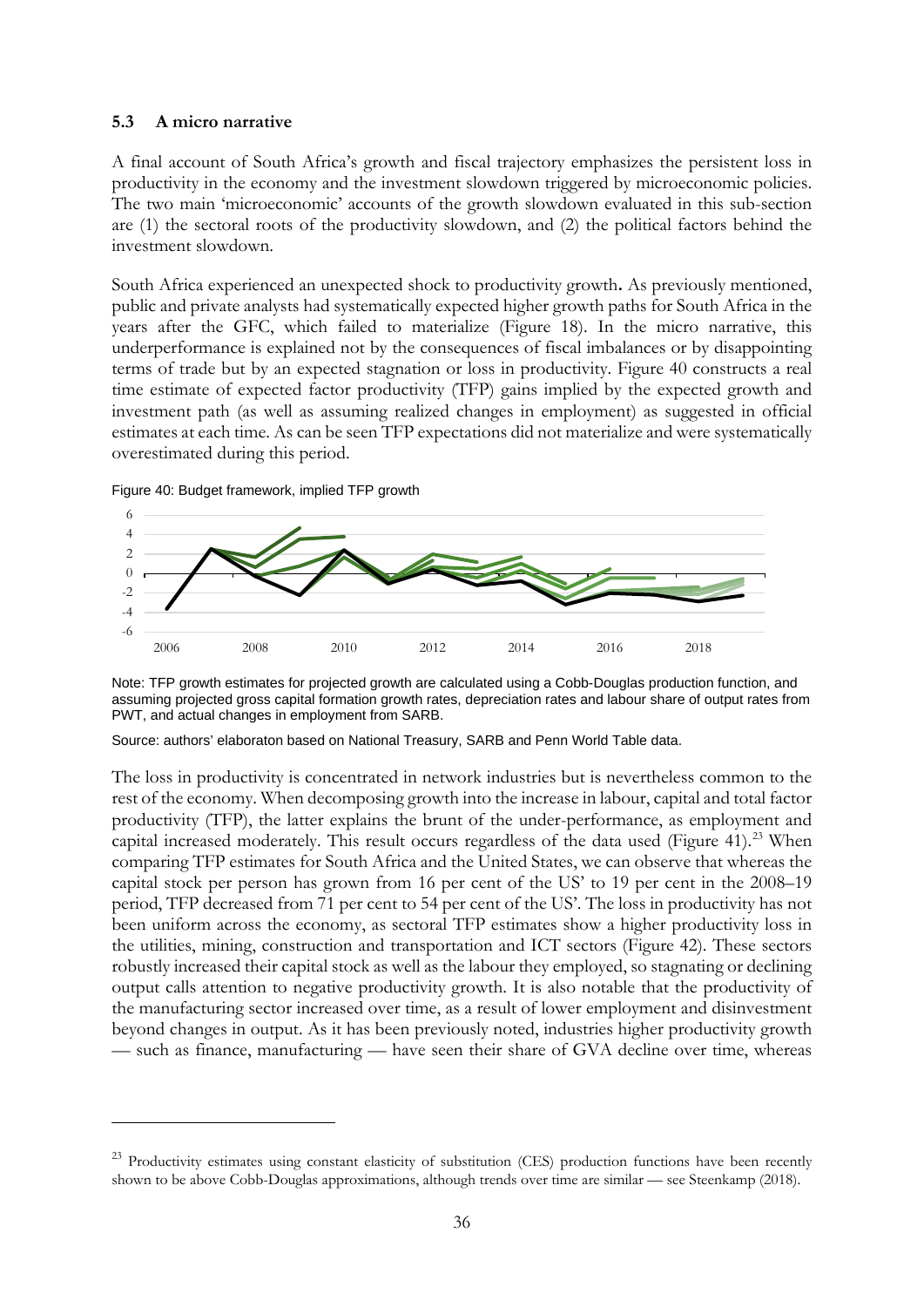## **5.3 A micro narrative**

A final account of South Africa's growth and fiscal trajectory emphasizes the persistent loss in productivity in the economy and the investment slowdown triggered by microeconomic policies. The two main 'microeconomic' accounts of the growth slowdown evaluated in this sub-section are (1) the sectoral roots of the productivity slowdown, and (2) the political factors behind the investment slowdown.

South Africa experienced an unexpected shock to productivity growth**.** As previously mentioned, public and private analysts had systematically expected higher growth paths for South Africa in the years after the GFC, which failed to materialize (Figure 18). In the micro narrative, this underperformance is explained not by the consequences of fiscal imbalances or by disappointing terms of trade but by an expected stagnation or loss in productivity. Figure 40 constructs a real time estimate of expected factor productivity (TFP) gains implied by the expected growth and investment path (as well as assuming realized changes in employment) as suggested in official estimates at each time. As can be seen TFP expectations did not materialize and were systematically overestimated during this period.

Figure 40: Budget framework, implied TFP growth



Note: TFP growth estimates for projected growth are calculated using a Cobb-Douglas production function, and assuming projected gross capital formation growth rates, depreciation rates and labour share of output rates from PWT, and actual changes in employment from SARB.

Source: authors' elaboraton based on National Treasury, SARB and Penn World Table data.

The loss in productivity is concentrated in network industries but is nevertheless common to the rest of the economy. When decomposing growth into the increase in labour, capital and total factor productivity (TFP), the latter explains the brunt of the under-performance, as employment and capital increased moderately. This result occurs regardless of the data used (Figure 41).<sup>[23](#page-37-0)</sup> When comparing TFP estimates for South Africa and the United States, we can observe that whereas the capital stock per person has grown from 16 per cent of the US' to 19 per cent in the 2008–19 period, TFP decreased from 71 per cent to 54 per cent of the US'. The loss in productivity has not been uniform across the economy, as sectoral TFP estimates show a higher productivity loss in the utilities, mining, construction and transportation and ICT sectors (Figure 42). These sectors robustly increased their capital stock as well as the labour they employed, so stagnating or declining output calls attention to negative productivity growth. It is also notable that the productivity of the manufacturing sector increased over time, as a result of lower employment and disinvestment beyond changes in output. As it has been previously noted, industries higher productivity growth — such as finance, manufacturing — have seen their share of GVA decline over time, whereas

<span id="page-37-0"></span><sup>&</sup>lt;sup>23</sup> Productivity estimates using constant elasticity of substitution (CES) production functions have been recently shown to be above Cobb-Douglas approximations, although trends over time are similar — see Steenkamp (2018).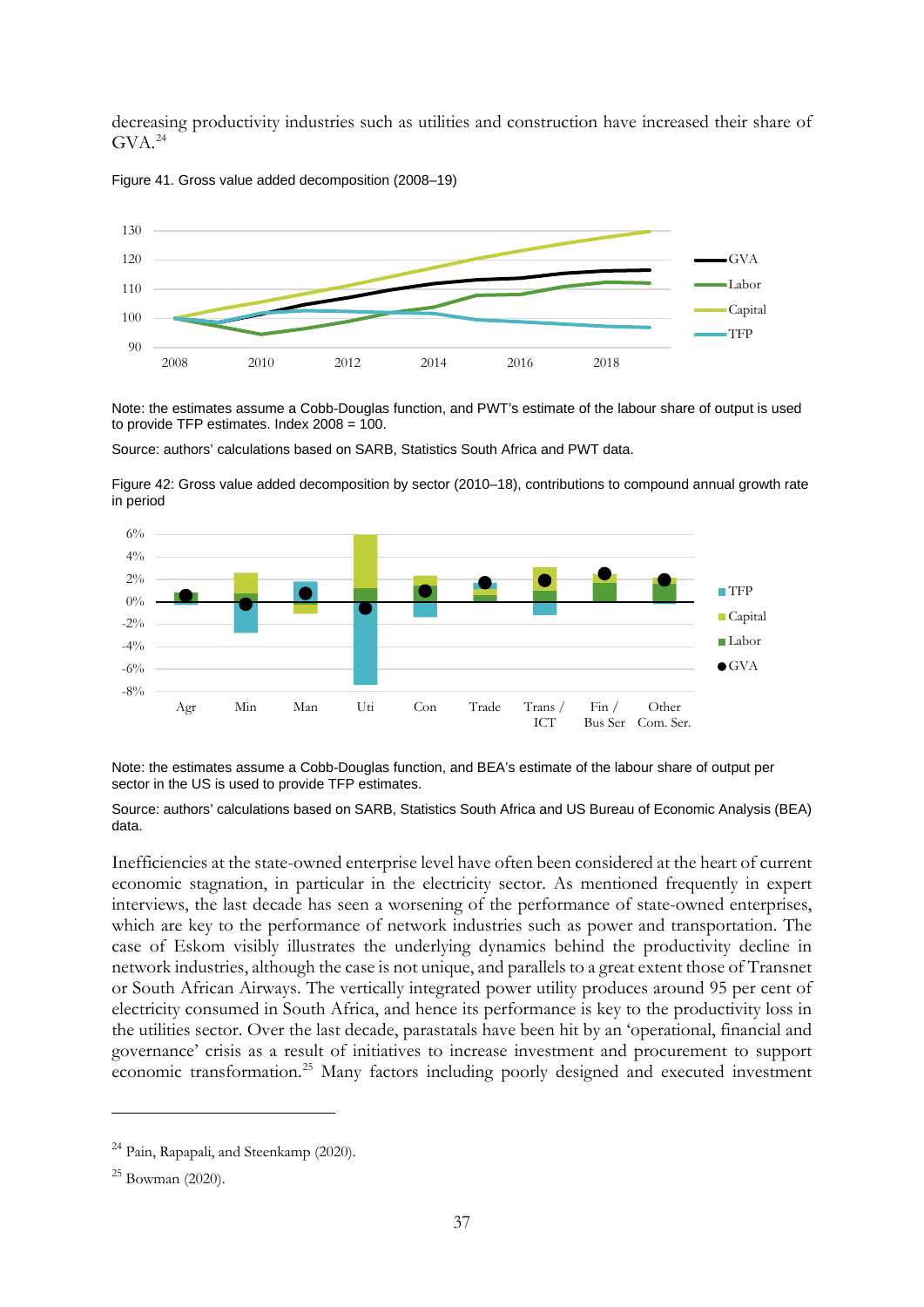decreasing productivity industries such as utilities and construction have increased their share of  $GVA.<sup>24</sup>$  $GVA.<sup>24</sup>$  $GVA.<sup>24</sup>$ 

Figure 41. Gross value added decomposition (2008–19)



Note: the estimates assume a Cobb-Douglas function, and PWT's estimate of the labour share of output is used to provide TFP estimates. Index  $2008 = 100$ .

Source: authors' calculations based on SARB, Statistics South Africa and PWT data.

Figure 42: Gross value added decomposition by sector (2010–18), contributions to compound annual growth rate in period



Note: the estimates assume a Cobb-Douglas function, and BEA's estimate of the labour share of output per sector in the US is used to provide TFP estimates.

Source: authors' calculations based on SARB, Statistics South Africa and US Bureau of Economic Analysis (BEA) data.

Inefficiencies at the state-owned enterprise level have often been considered at the heart of current economic stagnation, in particular in the electricity sector. As mentioned frequently in expert interviews, the last decade has seen a worsening of the performance of state-owned enterprises, which are key to the performance of network industries such as power and transportation. The case of Eskom visibly illustrates the underlying dynamics behind the productivity decline in network industries, although the case is not unique, and parallels to a great extent those of Transnet or South African Airways. The vertically integrated power utility produces around 95 per cent of electricity consumed in South Africa, and hence its performance is key to the productivity loss in the utilities sector. Over the last decade, parastatals have been hit by an 'operational, financial and governance' crisis as a result of initiatives to increase investment and procurement to support economic transformation.[25](#page-38-1) Many factors including poorly designed and executed investment

<span id="page-38-0"></span><sup>&</sup>lt;sup>24</sup> Pain, Rapapali, and Steenkamp (2020).

<span id="page-38-1"></span> $^{25}$  Bowman (2020).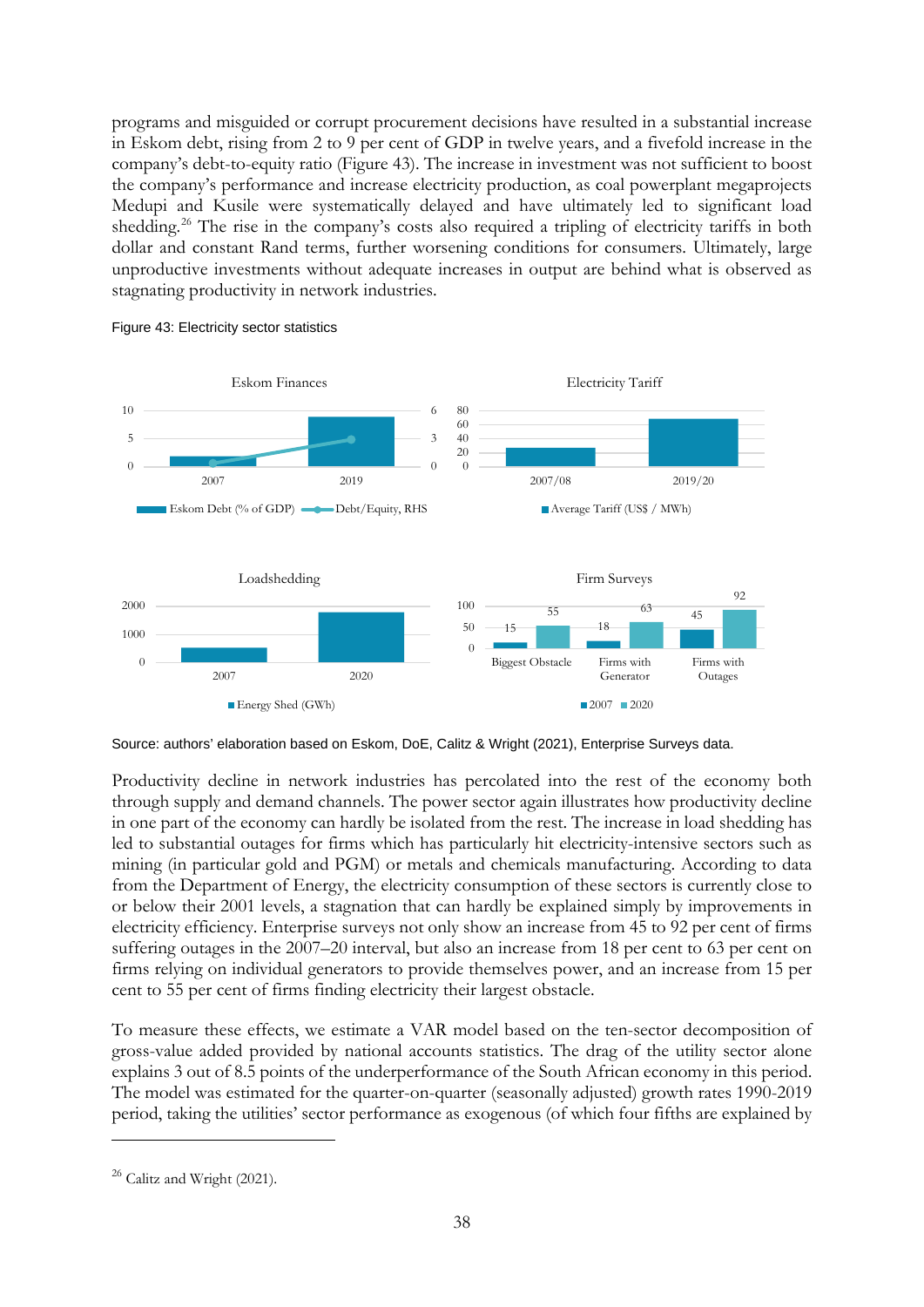programs and misguided or corrupt procurement decisions have resulted in a substantial increase in Eskom debt, rising from 2 to 9 per cent of GDP in twelve years, and a fivefold increase in the company's debt-to-equity ratio (Figure 43). The increase in investment was not sufficient to boost the company's performance and increase electricity production, as coal powerplant megaprojects Medupi and Kusile were systematically delayed and have ultimately led to significant load shedding.<sup>[26](#page-39-0)</sup> The rise in the company's costs also required a tripling of electricity tariffs in both dollar and constant Rand terms, further worsening conditions for consumers. Ultimately, large unproductive investments without adequate increases in output are behind what is observed as stagnating productivity in network industries.



Figure 43: Electricity sector statistics

Source: authors' elaboration based on Eskom, DoE, Calitz & Wright (2021), Enterprise Surveys data.

Productivity decline in network industries has percolated into the rest of the economy both through supply and demand channels. The power sector again illustrates how productivity decline in one part of the economy can hardly be isolated from the rest. The increase in load shedding has led to substantial outages for firms which has particularly hit electricity-intensive sectors such as mining (in particular gold and PGM) or metals and chemicals manufacturing. According to data from the Department of Energy, the electricity consumption of these sectors is currently close to or below their 2001 levels, a stagnation that can hardly be explained simply by improvements in electricity efficiency. Enterprise surveys not only show an increase from 45 to 92 per cent of firms suffering outages in the 2007–20 interval, but also an increase from 18 per cent to 63 per cent on firms relying on individual generators to provide themselves power, and an increase from 15 per cent to 55 per cent of firms finding electricity their largest obstacle.

To measure these effects, we estimate a VAR model based on the ten-sector decomposition of gross-value added provided by national accounts statistics. The drag of the utility sector alone explains 3 out of 8.5 points of the underperformance of the South African economy in this period. The model was estimated for the quarter-on-quarter (seasonally adjusted) growth rates 1990-2019 period, taking the utilities' sector performance as exogenous (of which four fifths are explained by

<span id="page-39-0"></span><sup>&</sup>lt;sup>26</sup> Calitz and Wright (2021).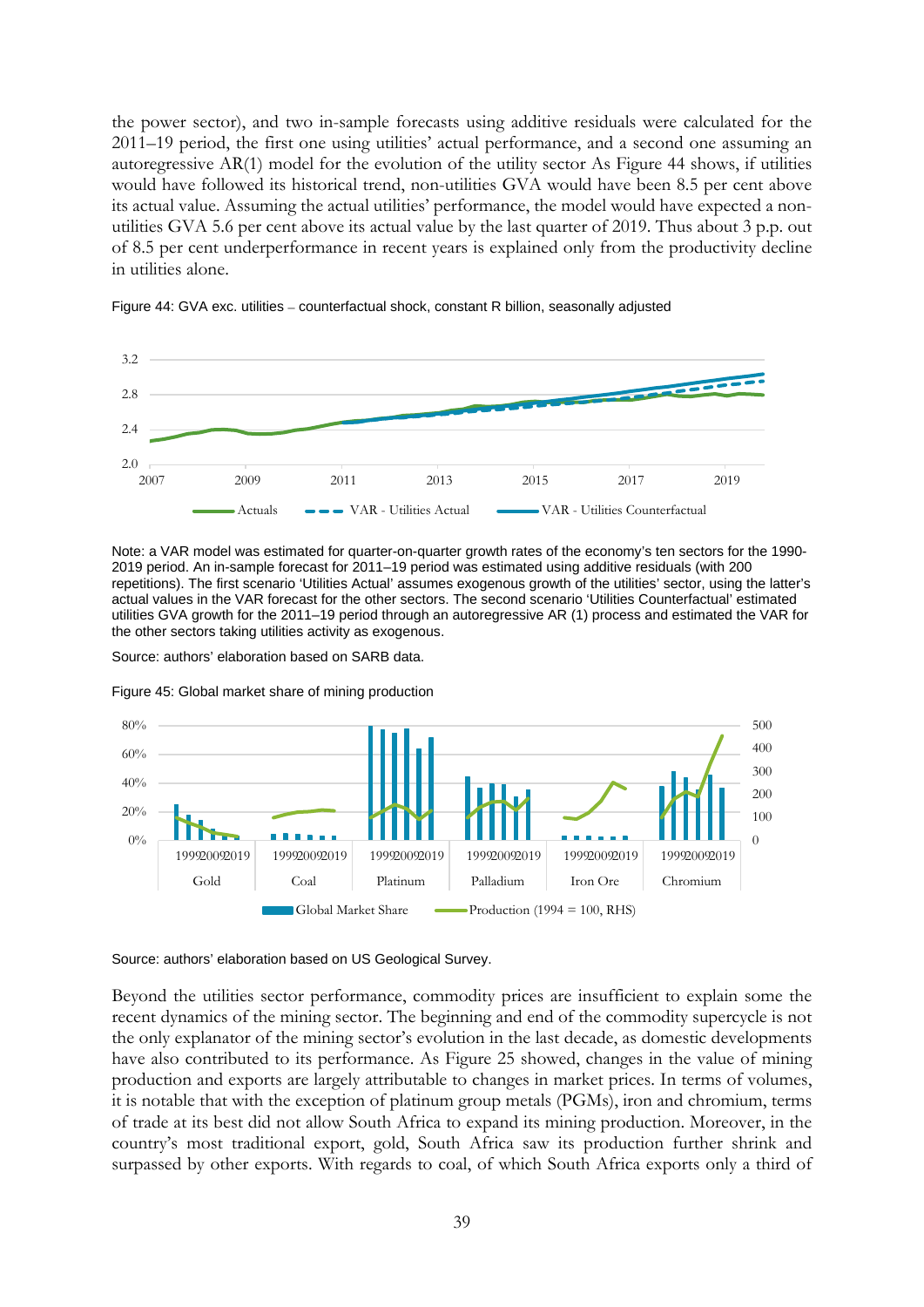the power sector), and two in-sample forecasts using additive residuals were calculated for the 2011–19 period, the first one using utilities' actual performance, and a second one assuming an autoregressive AR(1) model for the evolution of the utility sector As Figure 44 shows, if utilities would have followed its historical trend, non-utilities GVA would have been 8.5 per cent above its actual value. Assuming the actual utilities' performance, the model would have expected a nonutilities GVA 5.6 per cent above its actual value by the last quarter of 2019. Thus about 3 p.p. out of 8.5 per cent underperformance in recent years is explained only from the productivity decline in utilities alone.



Figure 44: GVA exc. utilities – counterfactual shock, constant R billion, seasonally adjusted

Note: a VAR model was estimated for quarter-on-quarter growth rates of the economy's ten sectors for the 1990- 2019 period. An in-sample forecast for 2011–19 period was estimated using additive residuals (with 200 repetitions). The first scenario 'Utilities Actual' assumes exogenous growth of the utilities' sector, using the latter's actual values in the VAR forecast for the other sectors. The second scenario 'Utilities Counterfactual' estimated utilities GVA growth for the 2011–19 period through an autoregressive AR (1) process and estimated the VAR for the other sectors taking utilities activity as exogenous.

Source: authors' elaboration based on SARB data.



Figure 45: Global market share of mining production

Source: authors' elaboration based on US Geological Survey.

Beyond the utilities sector performance, commodity prices are insufficient to explain some the recent dynamics of the mining sector. The beginning and end of the commodity supercycle is not the only explanator of the mining sector's evolution in the last decade, as domestic developments have also contributed to its performance. As Figure 25 showed, changes in the value of mining production and exports are largely attributable to changes in market prices. In terms of volumes, it is notable that with the exception of platinum group metals (PGMs), iron and chromium, terms of trade at its best did not allow South Africa to expand its mining production. Moreover, in the country's most traditional export, gold, South Africa saw its production further shrink and surpassed by other exports. With regards to coal, of which South Africa exports only a third of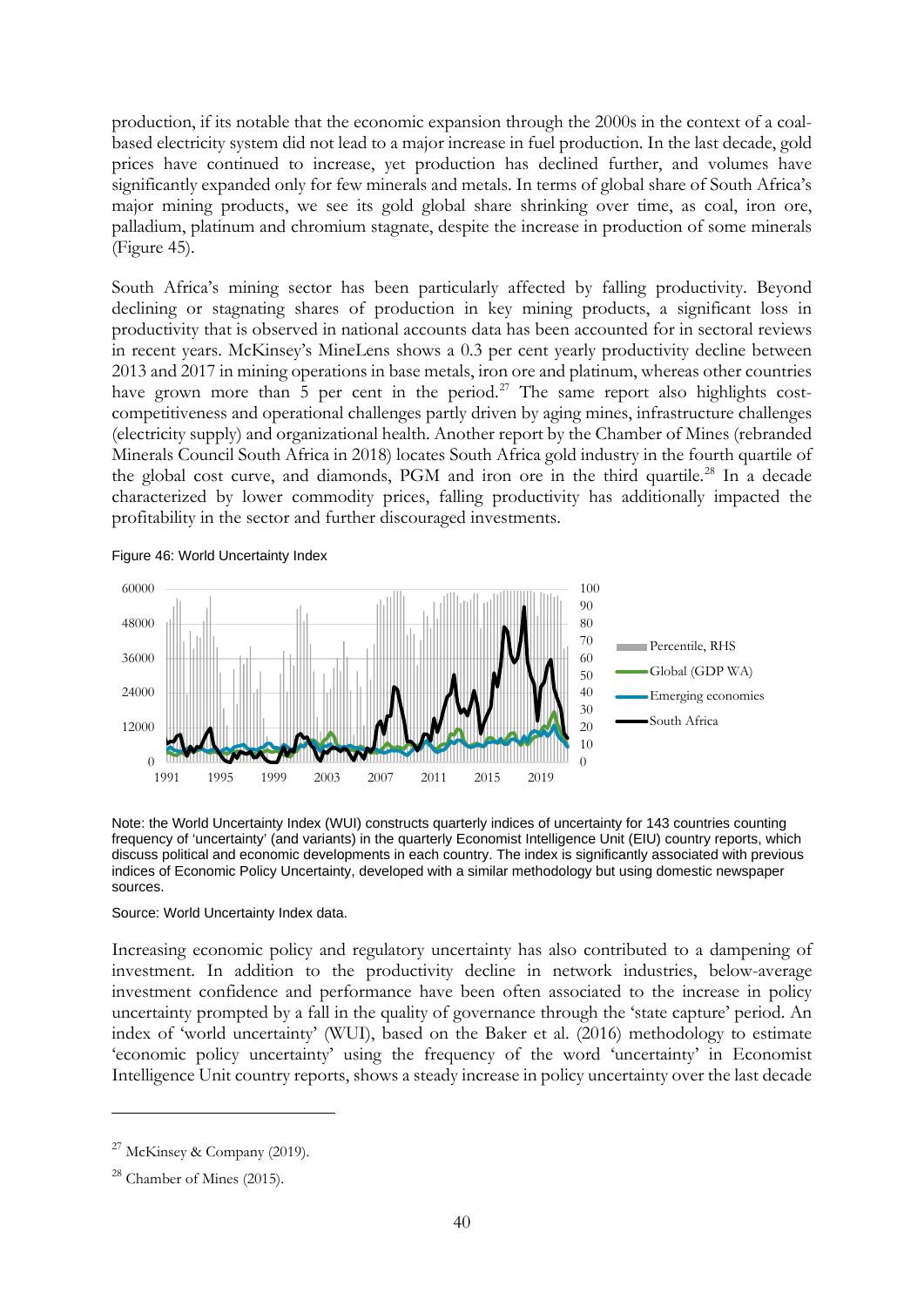production, if its notable that the economic expansion through the 2000s in the context of a coalbased electricity system did not lead to a major increase in fuel production. In the last decade, gold prices have continued to increase, yet production has declined further, and volumes have significantly expanded only for few minerals and metals. In terms of global share of South Africa's major mining products, we see its gold global share shrinking over time, as coal, iron ore, palladium, platinum and chromium stagnate, despite the increase in production of some minerals (Figure 45).

South Africa's mining sector has been particularly affected by falling productivity. Beyond declining or stagnating shares of production in key mining products, a significant loss in productivity that is observed in national accounts data has been accounted for in sectoral reviews in recent years. McKinsey's MineLens shows a 0.3 per cent yearly productivity decline between 2013 and 2017 in mining operations in base metals, iron ore and platinum, whereas other countries have grown more than  $\frac{1}{5}$  per cent in the period.<sup>[27](#page-41-0)</sup> The same report also highlights costcompetitiveness and operational challenges partly driven by aging mines, infrastructure challenges (electricity supply) and organizational health. Another report by the Chamber of Mines (rebranded Minerals Council South Africa in 2018) locates South Africa gold industry in the fourth quartile of the global cost curve, and diamonds, PGM and iron ore in the third quartile.<sup>[28](#page-41-1)</sup> In a decade characterized by lower commodity prices, falling productivity has additionally impacted the profitability in the sector and further discouraged investments.

Figure 46: World Uncertainty Index



Note: the World Uncertainty Index (WUI) constructs quarterly indices of uncertainty for 143 countries counting frequency of 'uncertainty' (and variants) in the quarterly Economist Intelligence Unit (EIU) country reports, which discuss political and economic developments in each country. The index is significantly associated with previous indices of Economic Policy Uncertainty, developed with a similar methodology but using domestic newspaper sources.

### Source: World Uncertainty Index data.

Increasing economic policy and regulatory uncertainty has also contributed to a dampening of investment. In addition to the productivity decline in network industries, below-average investment confidence and performance have been often associated to the increase in policy uncertainty prompted by a fall in the quality of governance through the 'state capture' period. An index of 'world uncertainty' (WUI), based on the Baker et al. (2016) methodology to estimate 'economic policy uncertainty' using the frequency of the word 'uncertainty' in Economist Intelligence Unit country reports, shows a steady increase in policy uncertainty over the last decade

<span id="page-41-0"></span> $27$  McKinsey & Company (2019).

<span id="page-41-1"></span><sup>28</sup> Chamber of Mines (2015).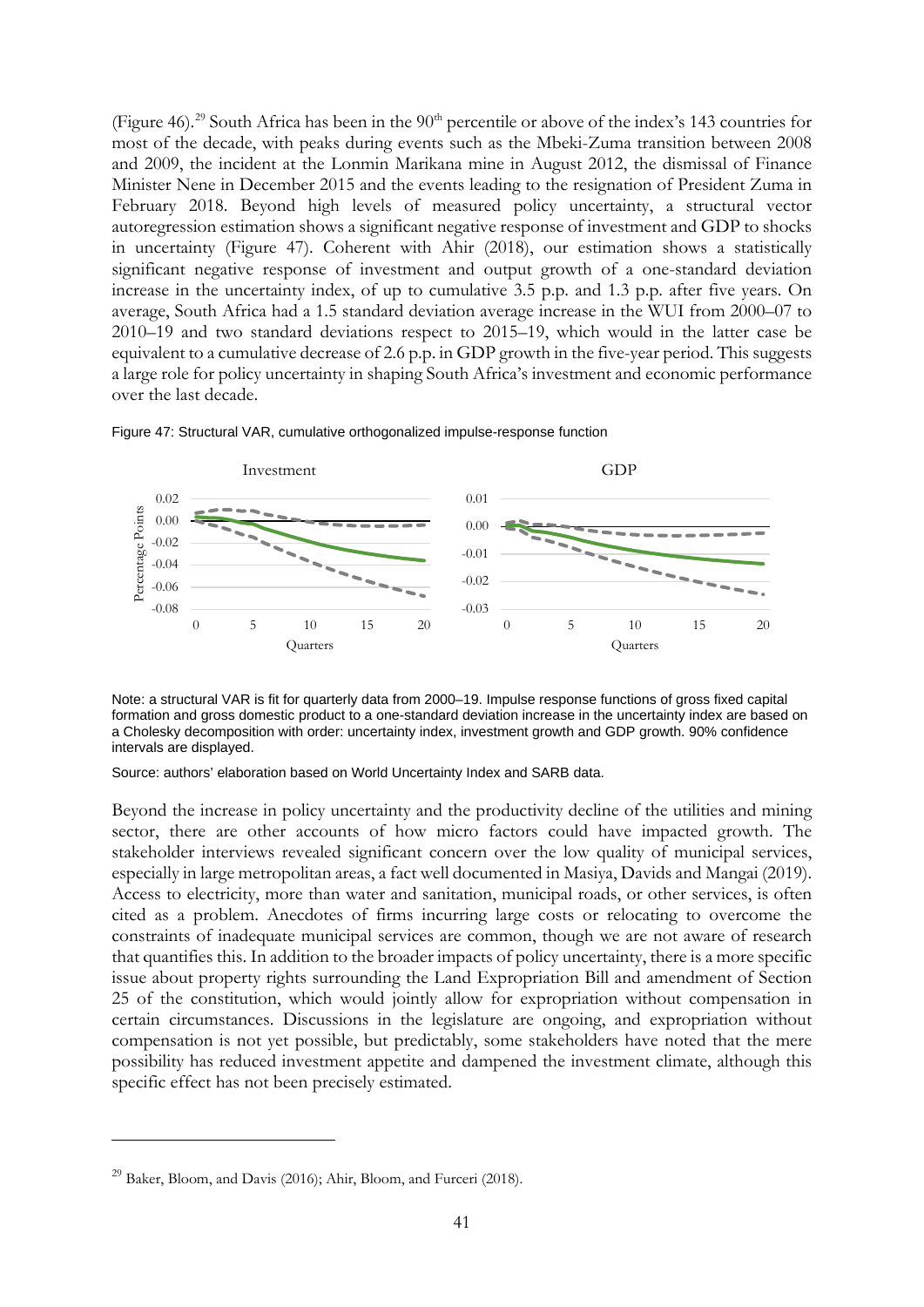(Figure 46).<sup>[29](#page-42-0)</sup> South Africa has been in the 90<sup>th</sup> percentile or above of the index's 143 countries for most of the decade, with peaks during events such as the Mbeki-Zuma transition between 2008 and 2009, the incident at the Lonmin Marikana mine in August 2012, the dismissal of Finance Minister Nene in December 2015 and the events leading to the resignation of President Zuma in February 2018. Beyond high levels of measured policy uncertainty, a structural vector autoregression estimation shows a significant negative response of investment and GDP to shocks in uncertainty (Figure 47). Coherent with Ahir (2018), our estimation shows a statistically significant negative response of investment and output growth of a one-standard deviation increase in the uncertainty index, of up to cumulative 3.5 p.p. and 1.3 p.p. after five years. On average, South Africa had a 1.5 standard deviation average increase in the WUI from 2000–07 to 2010–19 and two standard deviations respect to 2015–19, which would in the latter case be equivalent to a cumulative decrease of 2.6 p.p. in GDP growth in the five-year period. This suggests a large role for policy uncertainty in shaping South Africa's investment and economic performance over the last decade.



Figure 47: Structural VAR, cumulative orthogonalized impulse-response function

Note: a structural VAR is fit for quarterly data from 2000–19. Impulse response functions of gross fixed capital formation and gross domestic product to a one-standard deviation increase in the uncertainty index are based on a Cholesky decomposition with order: uncertainty index, investment growth and GDP growth. 90% confidence intervals are displayed.

Source: authors' elaboration based on World Uncertainty Index and SARB data.

Beyond the increase in policy uncertainty and the productivity decline of the utilities and mining sector, there are other accounts of how micro factors could have impacted growth. The stakeholder interviews revealed significant concern over the low quality of municipal services, especially in large metropolitan areas, a fact well documented in Masiya, Davids and Mangai (2019). Access to electricity, more than water and sanitation, municipal roads, or other services, is often cited as a problem. Anecdotes of firms incurring large costs or relocating to overcome the constraints of inadequate municipal services are common, though we are not aware of research that quantifies this. In addition to the broader impacts of policy uncertainty, there is a more specific issue about property rights surrounding the Land Expropriation Bill and amendment of Section 25 of the constitution, which would jointly allow for expropriation without compensation in certain circumstances. Discussions in the legislature are ongoing, and expropriation without compensation is not yet possible, but predictably, some stakeholders have noted that the mere possibility has reduced investment appetite and dampened the investment climate, although this specific effect has not been precisely estimated.

<span id="page-42-0"></span> $^{29}$  Baker, Bloom, and Davis (2016); Ahir, Bloom, and Furceri (2018).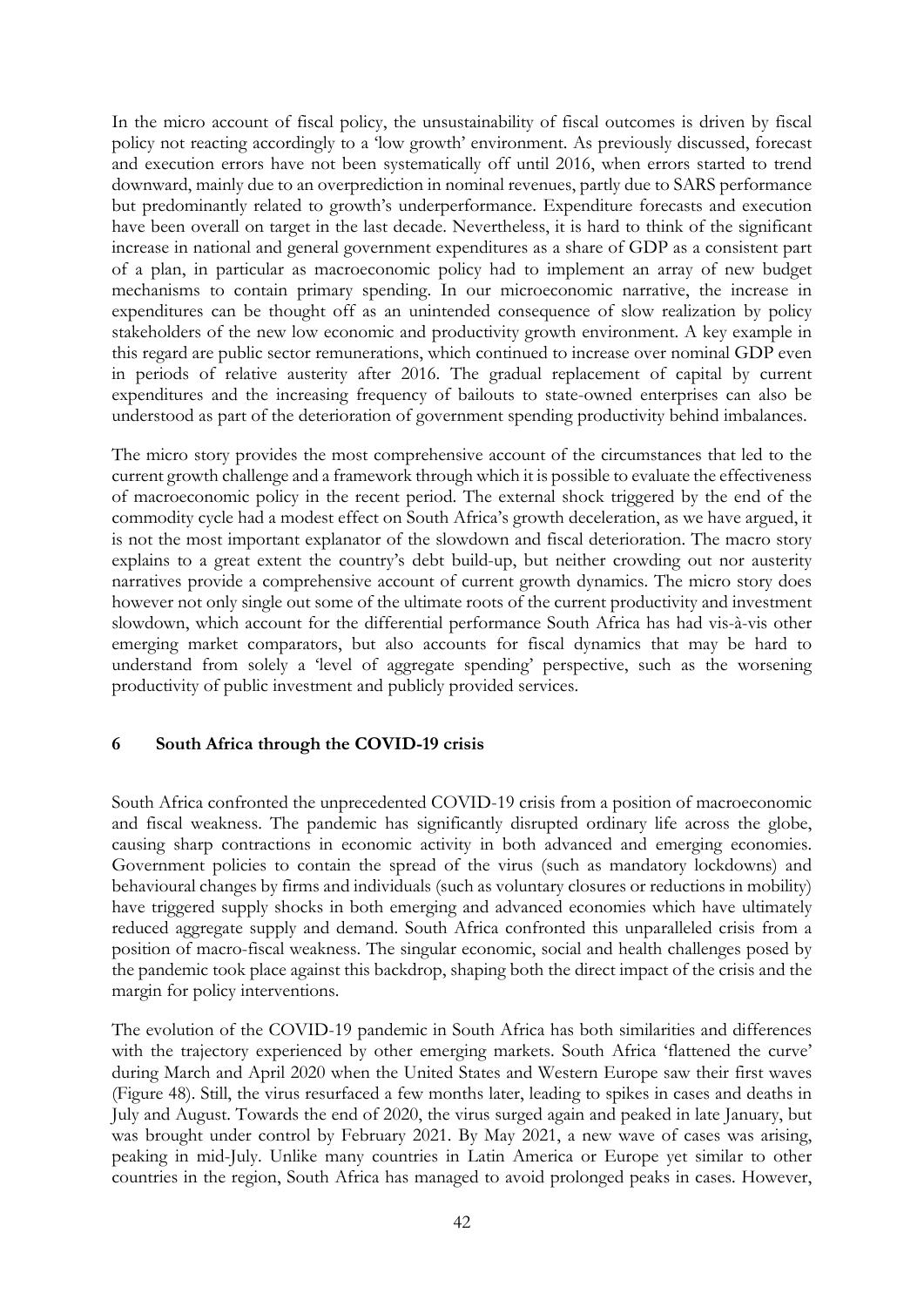In the micro account of fiscal policy, the unsustainability of fiscal outcomes is driven by fiscal policy not reacting accordingly to a 'low growth' environment. As previously discussed, forecast and execution errors have not been systematically off until 2016, when errors started to trend downward, mainly due to an overprediction in nominal revenues, partly due to SARS performance but predominantly related to growth's underperformance. Expenditure forecasts and execution have been overall on target in the last decade. Nevertheless, it is hard to think of the significant increase in national and general government expenditures as a share of GDP as a consistent part of a plan, in particular as macroeconomic policy had to implement an array of new budget mechanisms to contain primary spending. In our microeconomic narrative, the increase in expenditures can be thought off as an unintended consequence of slow realization by policy stakeholders of the new low economic and productivity growth environment. A key example in this regard are public sector remunerations, which continued to increase over nominal GDP even in periods of relative austerity after 2016. The gradual replacement of capital by current expenditures and the increasing frequency of bailouts to state-owned enterprises can also be understood as part of the deterioration of government spending productivity behind imbalances.

The micro story provides the most comprehensive account of the circumstances that led to the current growth challenge and a framework through which it is possible to evaluate the effectiveness of macroeconomic policy in the recent period. The external shock triggered by the end of the commodity cycle had a modest effect on South Africa's growth deceleration, as we have argued, it is not the most important explanator of the slowdown and fiscal deterioration. The macro story explains to a great extent the country's debt build-up, but neither crowding out nor austerity narratives provide a comprehensive account of current growth dynamics. The micro story does however not only single out some of the ultimate roots of the current productivity and investment slowdown, which account for the differential performance South Africa has had vis-à-vis other emerging market comparators, but also accounts for fiscal dynamics that may be hard to understand from solely a 'level of aggregate spending' perspective, such as the worsening productivity of public investment and publicly provided services.

## **6 South Africa through the COVID-19 crisis**

South Africa confronted the unprecedented COVID-19 crisis from a position of macroeconomic and fiscal weakness. The pandemic has significantly disrupted ordinary life across the globe, causing sharp contractions in economic activity in both advanced and emerging economies. Government policies to contain the spread of the virus (such as mandatory lockdowns) and behavioural changes by firms and individuals (such as voluntary closures or reductions in mobility) have triggered supply shocks in both emerging and advanced economies which have ultimately reduced aggregate supply and demand. South Africa confronted this unparalleled crisis from a position of macro-fiscal weakness. The singular economic, social and health challenges posed by the pandemic took place against this backdrop, shaping both the direct impact of the crisis and the margin for policy interventions.

The evolution of the COVID-19 pandemic in South Africa has both similarities and differences with the trajectory experienced by other emerging markets. South Africa 'flattened the curve' during March and April 2020 when the United States and Western Europe saw their first waves (Figure 48). Still, the virus resurfaced a few months later, leading to spikes in cases and deaths in July and August. Towards the end of 2020, the virus surged again and peaked in late January, but was brought under control by February 2021. By May 2021, a new wave of cases was arising, peaking in mid-July. Unlike many countries in Latin America or Europe yet similar to other countries in the region, South Africa has managed to avoid prolonged peaks in cases. However,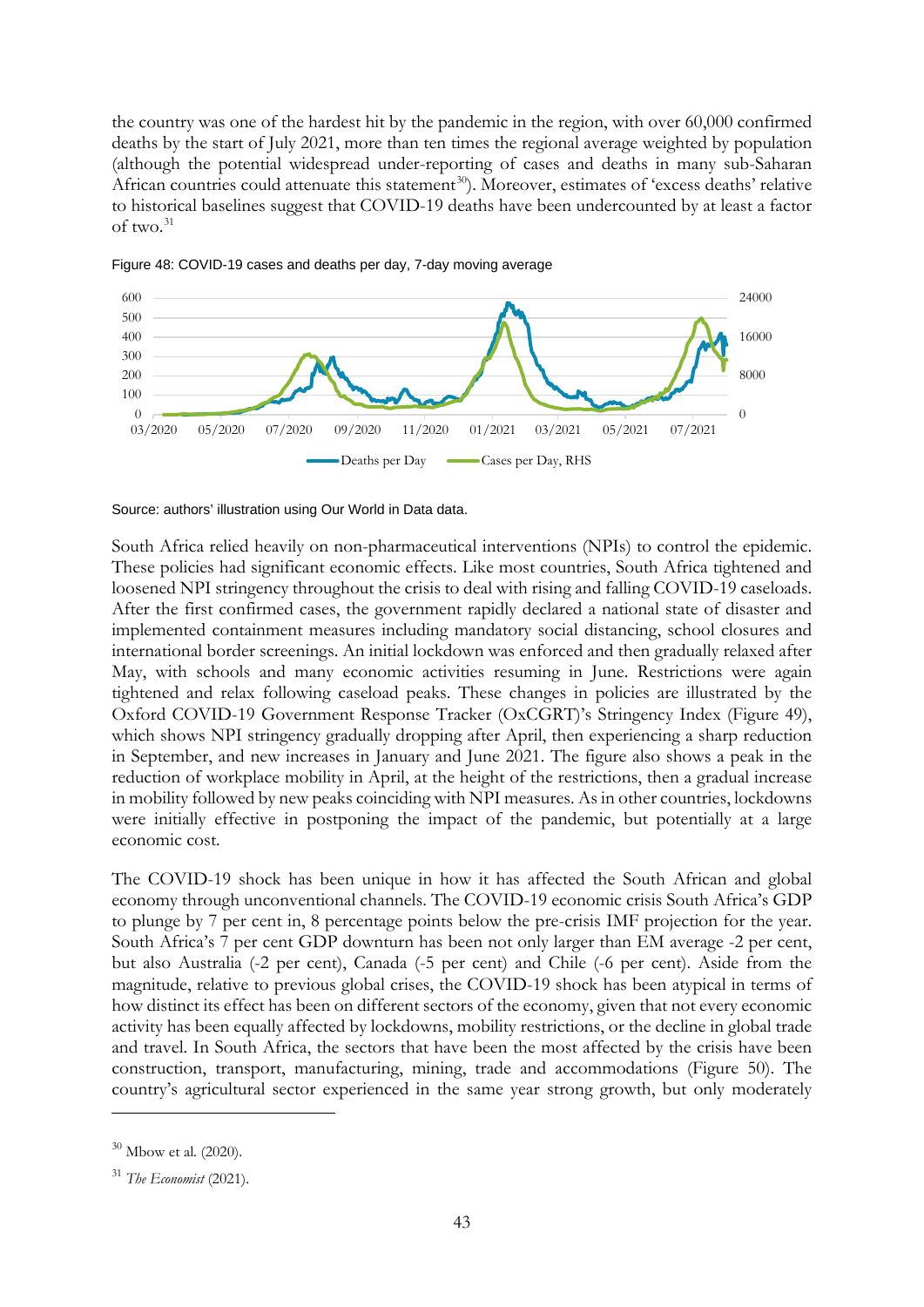the country was one of the hardest hit by the pandemic in the region, with over 60,000 confirmed deaths by the start of July 2021, more than ten times the regional average weighted by population (although the potential widespread under-reporting of cases and deaths in many sub-Saharan African countries could attenuate this statement<sup>30</sup>). Moreover, estimates of 'excess deaths' relative to historical baselines suggest that COVID-19 deaths have been undercounted by at least a factor of two.[31](#page-44-1)



Figure 48: COVID-19 cases and deaths per day, 7-day moving average

South Africa relied heavily on non-pharmaceutical interventions (NPIs) to control the epidemic. These policies had significant economic effects. Like most countries, South Africa tightened and loosened NPI stringency throughout the crisis to deal with rising and falling COVID-19 caseloads. After the first confirmed cases, the government rapidly declared a national state of disaster and implemented containment measures including mandatory social distancing, school closures and international border screenings. An initial lockdown was enforced and then gradually relaxed after May, with schools and many economic activities resuming in June. Restrictions were again tightened and relax following caseload peaks. These changes in policies are illustrated by the Oxford COVID-19 Government Response Tracker (OxCGRT)'s Stringency Index (Figure 49), which shows NPI stringency gradually dropping after April, then experiencing a sharp reduction in September, and new increases in January and June 2021. The figure also shows a peak in the reduction of workplace mobility in April, at the height of the restrictions, then a gradual increase in mobility followed by new peaks coinciding with NPI measures. As in other countries, lockdowns were initially effective in postponing the impact of the pandemic, but potentially at a large economic cost.

The COVID-19 shock has been unique in how it has affected the South African and global economy through unconventional channels. The COVID-19 economic crisis South Africa's GDP to plunge by 7 per cent in, 8 percentage points below the pre-crisis IMF projection for the year. South Africa's 7 per cent GDP downturn has been not only larger than EM average -2 per cent, but also Australia (-2 per cent), Canada (-5 per cent) and Chile (-6 per cent). Aside from the magnitude, relative to previous global crises, the COVID-19 shock has been atypical in terms of how distinct its effect has been on different sectors of the economy, given that not every economic activity has been equally affected by lockdowns, mobility restrictions, or the decline in global trade and travel. In South Africa, the sectors that have been the most affected by the crisis have been construction, transport, manufacturing, mining, trade and accommodations (Figure 50). The country's agricultural sector experienced in the same year strong growth, but only moderately

Source: authors' illustration using Our World in Data data.

<span id="page-44-0"></span><sup>30</sup> Mbow et al. (2020).

<span id="page-44-1"></span><sup>31</sup> *The Economist* (2021).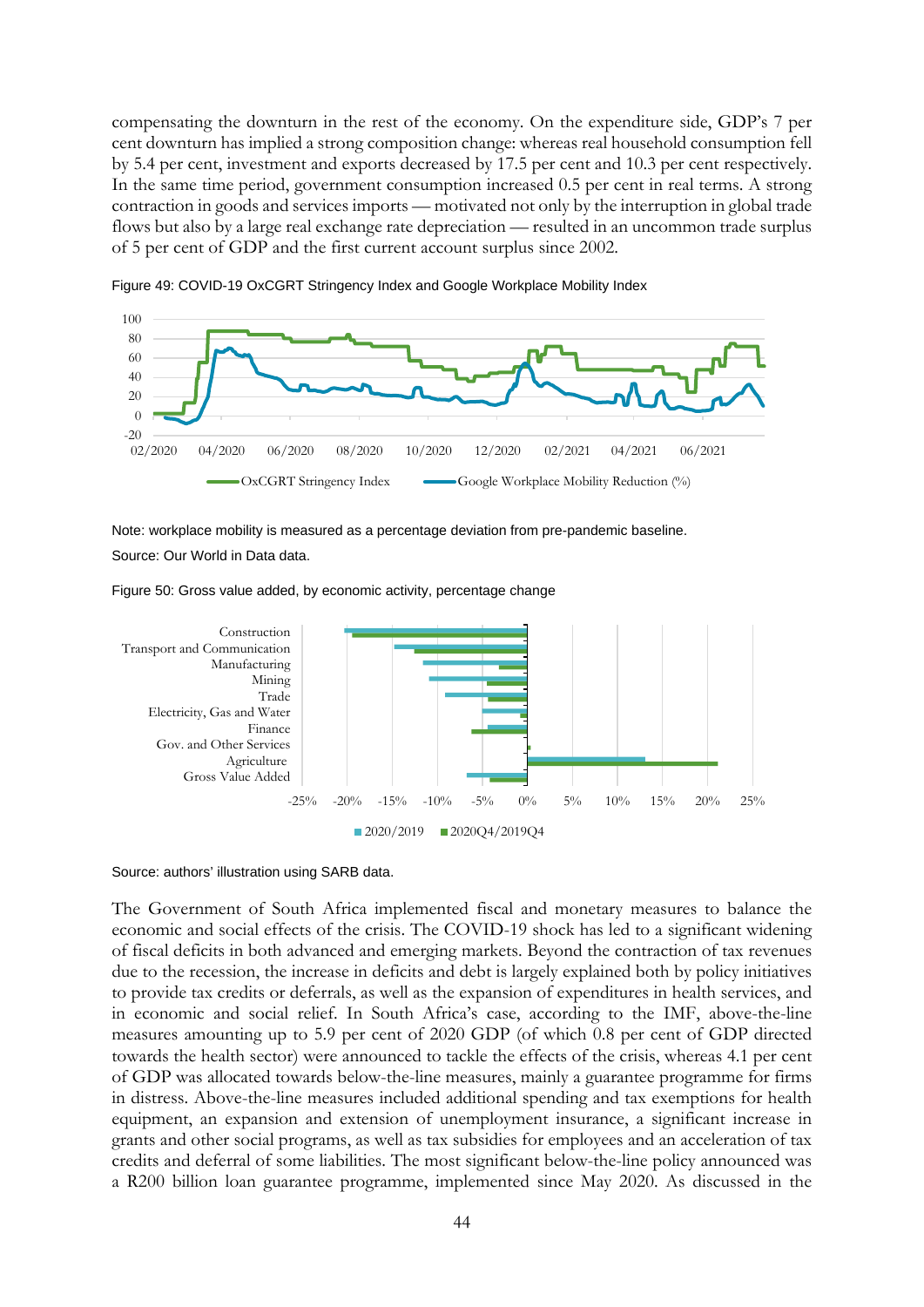compensating the downturn in the rest of the economy. On the expenditure side, GDP's 7 per cent downturn has implied a strong composition change: whereas real household consumption fell by 5.4 per cent, investment and exports decreased by 17.5 per cent and 10.3 per cent respectively. In the same time period, government consumption increased 0.5 per cent in real terms. A strong contraction in goods and services imports — motivated not only by the interruption in global trade flows but also by a large real exchange rate depreciation — resulted in an uncommon trade surplus of 5 per cent of GDP and the first current account surplus since 2002.



Figure 49: COVID-19 OxCGRT Stringency Index and Google Workplace Mobility Index

Note: workplace mobility is measured as a percentage deviation from pre-pandemic baseline. Source: Our World in Data data.

Figure 50: Gross value added, by economic activity, percentage change



#### Source: authors' illustration using SARB data.

The Government of South Africa implemented fiscal and monetary measures to balance the economic and social effects of the crisis. The COVID-19 shock has led to a significant widening of fiscal deficits in both advanced and emerging markets. Beyond the contraction of tax revenues due to the recession, the increase in deficits and debt is largely explained both by policy initiatives to provide tax credits or deferrals, as well as the expansion of expenditures in health services, and in economic and social relief. In South Africa's case, according to the IMF, above-the-line measures amounting up to 5.9 per cent of 2020 GDP (of which 0.8 per cent of GDP directed towards the health sector) were announced to tackle the effects of the crisis, whereas 4.1 per cent of GDP was allocated towards below-the-line measures, mainly a guarantee programme for firms in distress. Above-the-line measures included additional spending and tax exemptions for health equipment, an expansion and extension of unemployment insurance, a significant increase in grants and other social programs, as well as tax subsidies for employees and an acceleration of tax credits and deferral of some liabilities. The most significant below-the-line policy announced was a R200 billion loan guarantee programme, implemented since May 2020. As discussed in the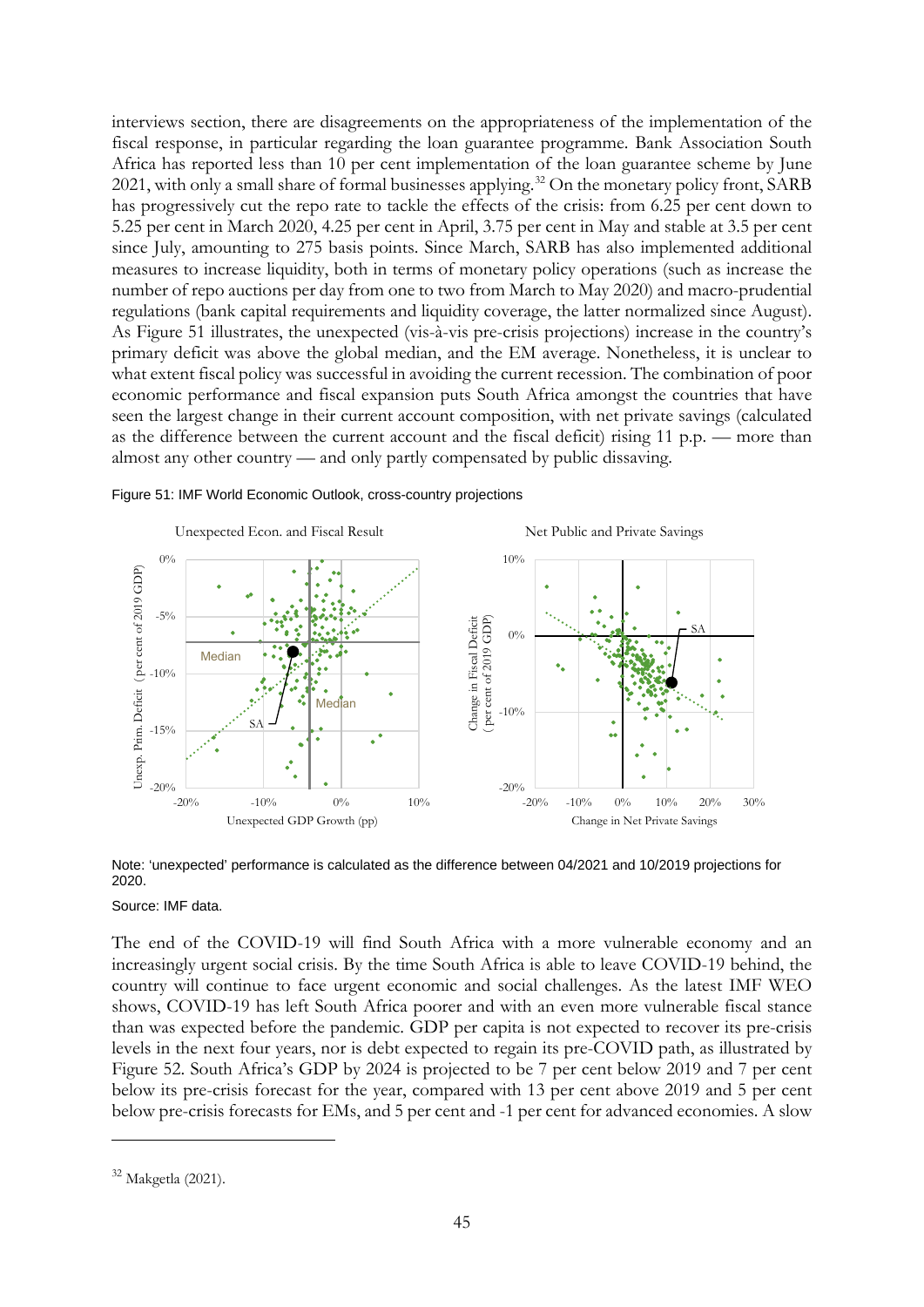interviews section, there are disagreements on the appropriateness of the implementation of the fiscal response, in particular regarding the loan guarantee programme. Bank Association South Africa has reported less than 10 per cent implementation of the loan guarantee scheme by June 2021, with only a small share of formal businesses applying.<sup>[32](#page-46-0)</sup> On the monetary policy front, SARB has progressively cut the repo rate to tackle the effects of the crisis: from 6.25 per cent down to 5.25 per cent in March 2020, 4.25 per cent in April, 3.75 per cent in May and stable at 3.5 per cent since July, amounting to 275 basis points. Since March, SARB has also implemented additional measures to increase liquidity, both in terms of monetary policy operations (such as increase the number of repo auctions per day from one to two from March to May 2020) and macro-prudential regulations (bank capital requirements and liquidity coverage, the latter normalized since August). As Figure 51 illustrates, the unexpected (vis-à-vis pre-crisis projections) increase in the country's primary deficit was above the global median, and the EM average. Nonetheless, it is unclear to what extent fiscal policy was successful in avoiding the current recession. The combination of poor economic performance and fiscal expansion puts South Africa amongst the countries that have seen the largest change in their current account composition, with net private savings (calculated as the difference between the current account and the fiscal deficit) rising 11 p.p. — more than almost any other country — and only partly compensated by public dissaving.





Note: 'unexpected' performance is calculated as the difference between 04/2021 and 10/2019 projections for 2020.

#### Source: IMF data.

The end of the COVID-19 will find South Africa with a more vulnerable economy and an increasingly urgent social crisis. By the time South Africa is able to leave COVID-19 behind, the country will continue to face urgent economic and social challenges. As the latest IMF WEO shows, COVID-19 has left South Africa poorer and with an even more vulnerable fiscal stance than was expected before the pandemic. GDP per capita is not expected to recover its pre-crisis levels in the next four years, nor is debt expected to regain its pre-COVID path, as illustrated by Figure 52. South Africa's GDP by 2024 is projected to be 7 per cent below 2019 and 7 per cent below its pre-crisis forecast for the year, compared with 13 per cent above 2019 and 5 per cent below pre-crisis forecasts for EMs, and 5 per cent and -1 per cent for advanced economies. A slow

<span id="page-46-0"></span><sup>32</sup> Makgetla (2021).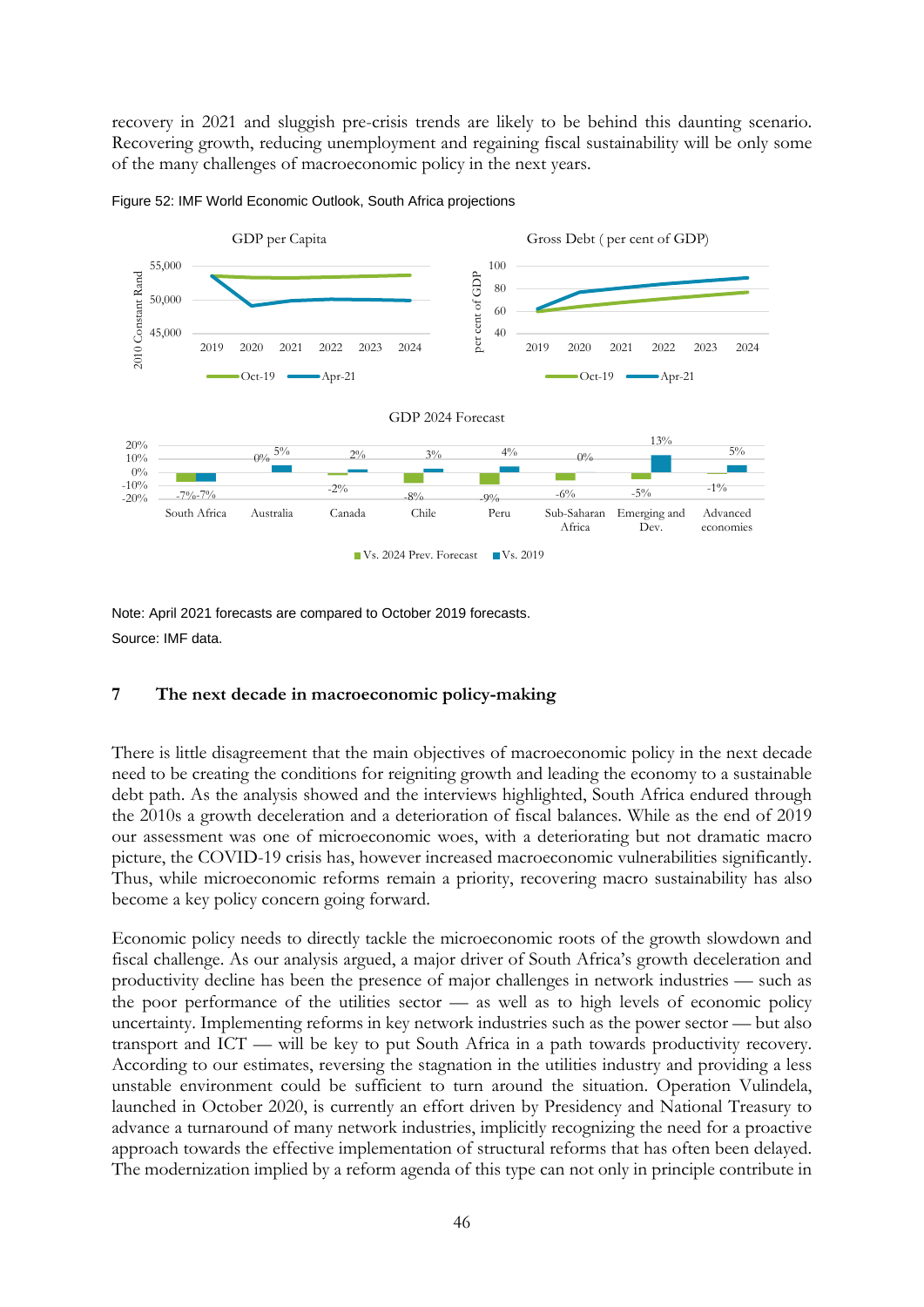recovery in 2021 and sluggish pre-crisis trends are likely to be behind this daunting scenario. Recovering growth, reducing unemployment and regaining fiscal sustainability will be only some of the many challenges of macroeconomic policy in the next years.





Note: April 2021 forecasts are compared to October 2019 forecasts. Source: IMF data.

## **7 The next decade in macroeconomic policy-making**

There is little disagreement that the main objectives of macroeconomic policy in the next decade need to be creating the conditions for reigniting growth and leading the economy to a sustainable debt path. As the analysis showed and the interviews highlighted, South Africa endured through the 2010s a growth deceleration and a deterioration of fiscal balances. While as the end of 2019 our assessment was one of microeconomic woes, with a deteriorating but not dramatic macro picture, the COVID-19 crisis has, however increased macroeconomic vulnerabilities significantly. Thus, while microeconomic reforms remain a priority, recovering macro sustainability has also become a key policy concern going forward.

Economic policy needs to directly tackle the microeconomic roots of the growth slowdown and fiscal challenge. As our analysis argued, a major driver of South Africa's growth deceleration and productivity decline has been the presence of major challenges in network industries — such as the poor performance of the utilities sector — as well as to high levels of economic policy uncertainty. Implementing reforms in key network industries such as the power sector — but also transport and ICT — will be key to put South Africa in a path towards productivity recovery. According to our estimates, reversing the stagnation in the utilities industry and providing a less unstable environment could be sufficient to turn around the situation. Operation Vulindela, launched in October 2020, is currently an effort driven by Presidency and National Treasury to advance a turnaround of many network industries, implicitly recognizing the need for a proactive approach towards the effective implementation of structural reforms that has often been delayed. The modernization implied by a reform agenda of this type can not only in principle contribute in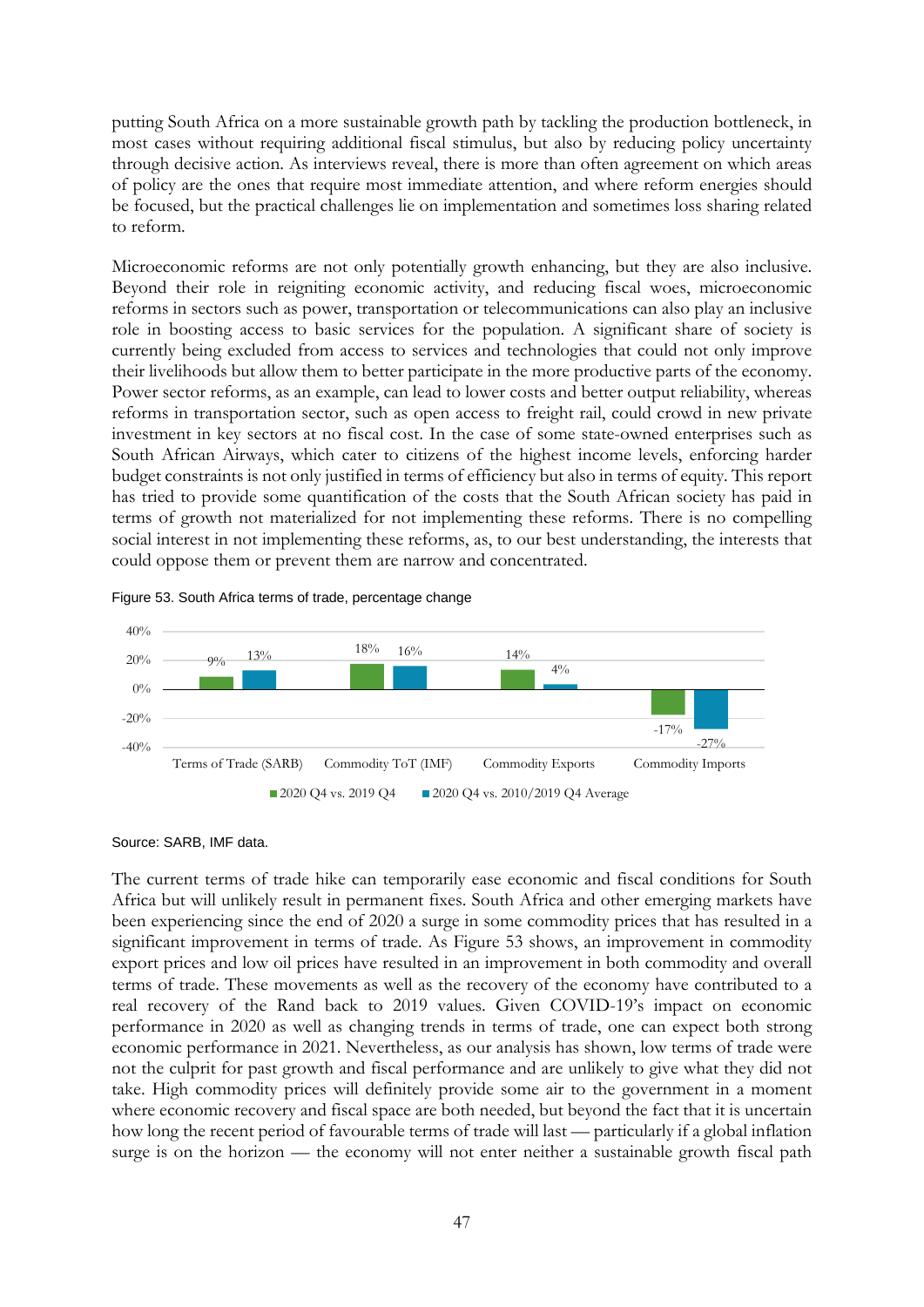putting South Africa on a more sustainable growth path by tackling the production bottleneck, in most cases without requiring additional fiscal stimulus, but also by reducing policy uncertainty through decisive action. As interviews reveal, there is more than often agreement on which areas of policy are the ones that require most immediate attention, and where reform energies should be focused, but the practical challenges lie on implementation and sometimes loss sharing related to reform.

Microeconomic reforms are not only potentially growth enhancing, but they are also inclusive. Beyond their role in reigniting economic activity, and reducing fiscal woes, microeconomic reforms in sectors such as power, transportation or telecommunications can also play an inclusive role in boosting access to basic services for the population. A significant share of society is currently being excluded from access to services and technologies that could not only improve their livelihoods but allow them to better participate in the more productive parts of the economy. Power sector reforms, as an example, can lead to lower costs and better output reliability, whereas reforms in transportation sector, such as open access to freight rail, could crowd in new private investment in key sectors at no fiscal cost. In the case of some state-owned enterprises such as South African Airways, which cater to citizens of the highest income levels, enforcing harder budget constraints is not only justified in terms of efficiency but also in terms of equity. This report has tried to provide some quantification of the costs that the South African society has paid in terms of growth not materialized for not implementing these reforms. There is no compelling social interest in not implementing these reforms, as, to our best understanding, the interests that could oppose them or prevent them are narrow and concentrated.





Source: SARB, IMF data.

The current terms of trade hike can temporarily ease economic and fiscal conditions for South Africa but will unlikely result in permanent fixes. South Africa and other emerging markets have been experiencing since the end of 2020 a surge in some commodity prices that has resulted in a significant improvement in terms of trade. As Figure 53 shows, an improvement in commodity export prices and low oil prices have resulted in an improvement in both commodity and overall terms of trade. These movements as well as the recovery of the economy have contributed to a real recovery of the Rand back to 2019 values. Given COVID-19's impact on economic performance in 2020 as well as changing trends in terms of trade, one can expect both strong economic performance in 2021. Nevertheless, as our analysis has shown, low terms of trade were not the culprit for past growth and fiscal performance and are unlikely to give what they did not take. High commodity prices will definitely provide some air to the government in a moment where economic recovery and fiscal space are both needed, but beyond the fact that it is uncertain how long the recent period of favourable terms of trade will last — particularly if a global inflation surge is on the horizon — the economy will not enter neither a sustainable growth fiscal path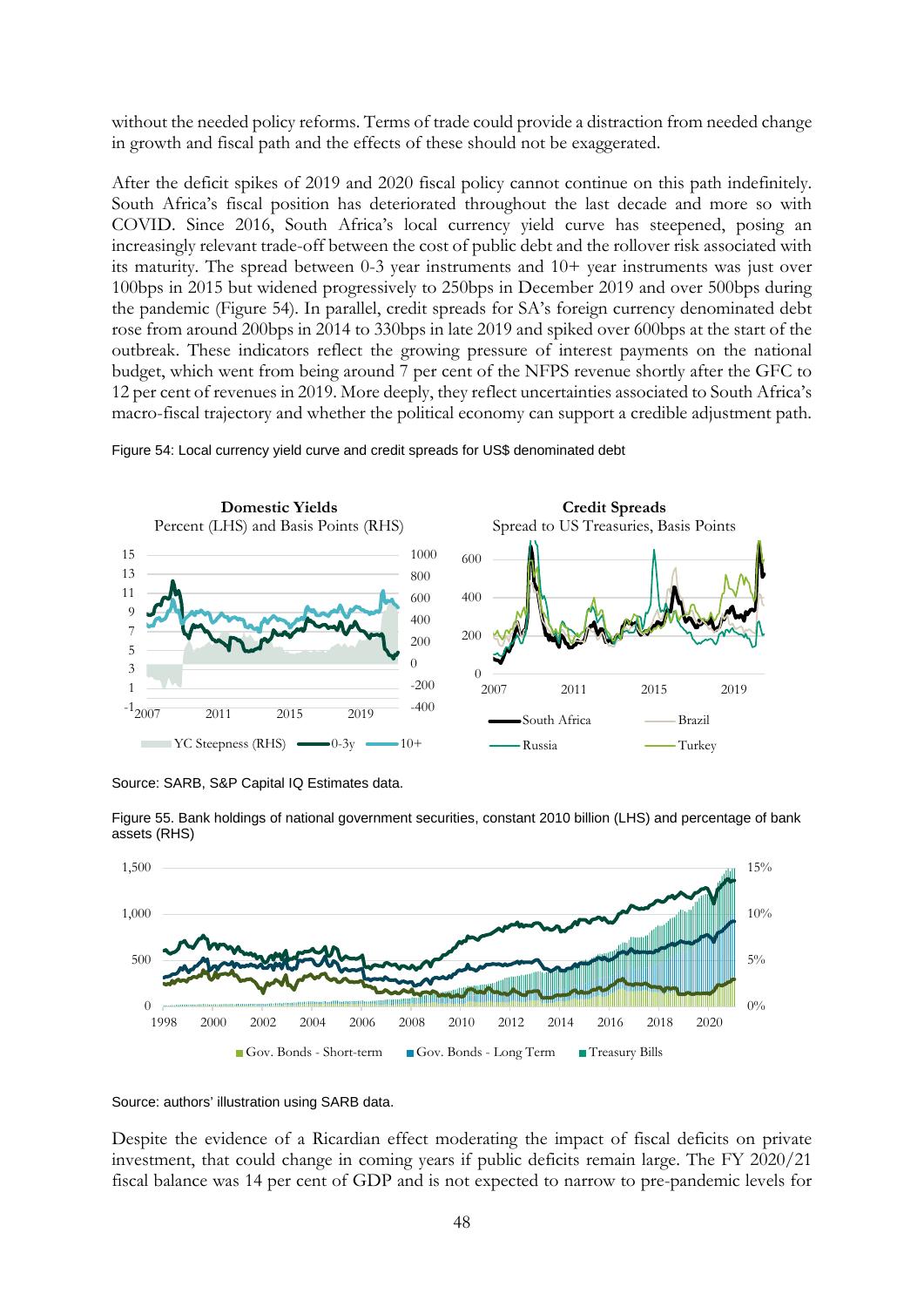without the needed policy reforms. Terms of trade could provide a distraction from needed change in growth and fiscal path and the effects of these should not be exaggerated.

After the deficit spikes of 2019 and 2020 fiscal policy cannot continue on this path indefinitely. South Africa's fiscal position has deteriorated throughout the last decade and more so with COVID. Since 2016, South Africa's local currency yield curve has steepened, posing an increasingly relevant trade-off between the cost of public debt and the rollover risk associated with its maturity. The spread between 0-3 year instruments and 10+ year instruments was just over 100bps in 2015 but widened progressively to 250bps in December 2019 and over 500bps during the pandemic (Figure 54). In parallel, credit spreads for SA's foreign currency denominated debt rose from around 200bps in 2014 to 330bps in late 2019 and spiked over 600bps at the start of the outbreak. These indicators reflect the growing pressure of interest payments on the national budget, which went from being around 7 per cent of the NFPS revenue shortly after the GFC to 12 per cent of revenues in 2019. More deeply, they reflect uncertainties associated to South Africa's macro-fiscal trajectory and whether the political economy can support a credible adjustment path.



Figure 54: Local currency yield curve and credit spreads for US\$ denominated debt

Source: SARB, S&P Capital IQ Estimates data.



Figure 55. Bank holdings of national government securities, constant 2010 billion (LHS) and percentage of bank assets (RHS)

Despite the evidence of a Ricardian effect moderating the impact of fiscal deficits on private investment, that could change in coming years if public deficits remain large. The FY 2020/21 fiscal balance was 14 per cent of GDP and is not expected to narrow to pre-pandemic levels for

Source: authors' illustration using SARB data.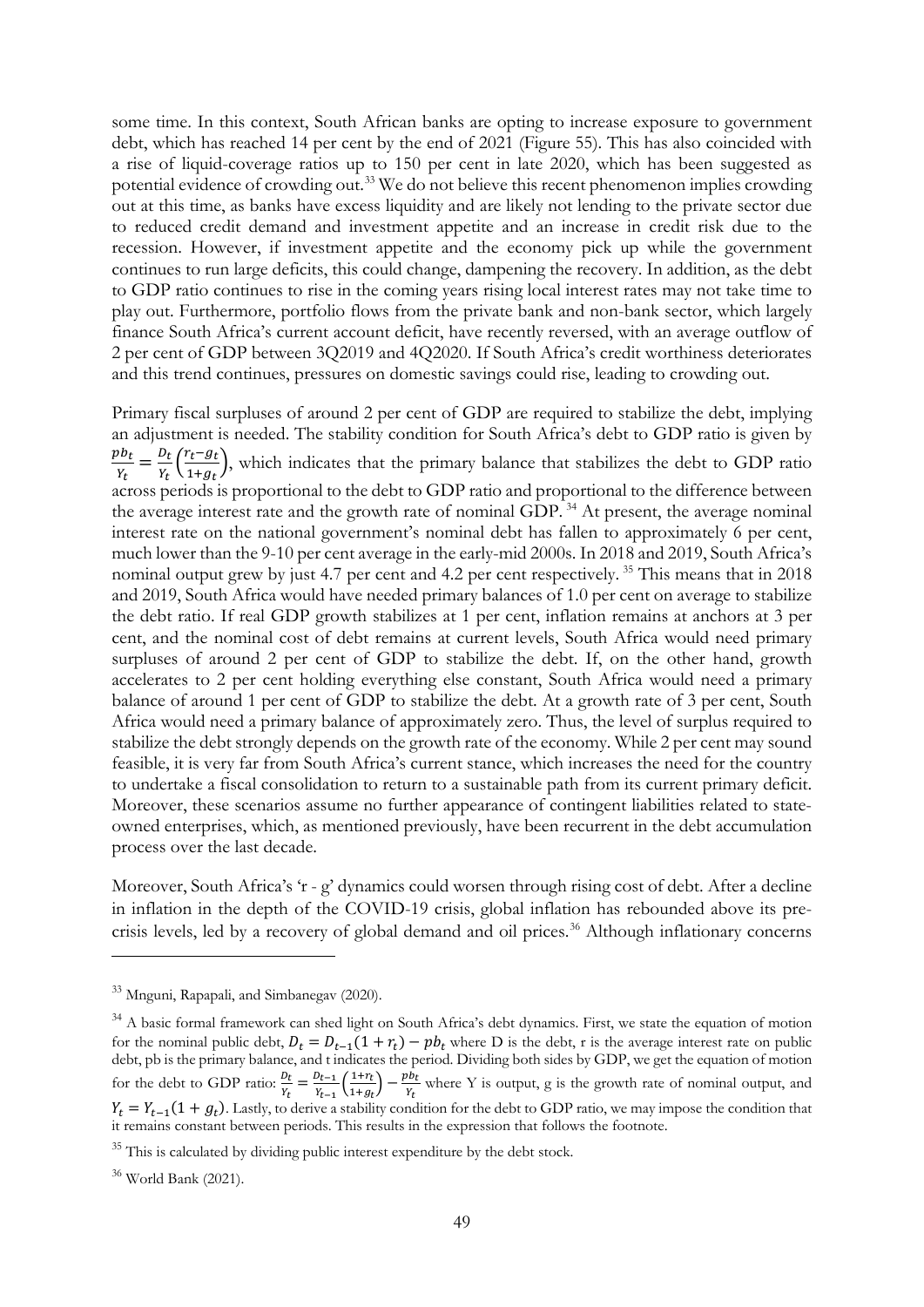some time. In this context, South African banks are opting to increase exposure to government debt, which has reached 14 per cent by the end of 2021 (Figure 55). This has also coincided with a rise of liquid-coverage ratios up to 150 per cent in late 2020, which has been suggested as potential evidence of crowding out.<sup>[33](#page-50-0)</sup> We do not believe this recent phenomenon implies crowding out at this time, as banks have excess liquidity and are likely not lending to the private sector due to reduced credit demand and investment appetite and an increase in credit risk due to the recession. However, if investment appetite and the economy pick up while the government continues to run large deficits, this could change, dampening the recovery. In addition, as the debt to GDP ratio continues to rise in the coming years rising local interest rates may not take time to play out. Furthermore, portfolio flows from the private bank and non-bank sector, which largely finance South Africa's current account deficit, have recently reversed, with an average outflow of 2 per cent of GDP between 3Q2019 and 4Q2020. If South Africa's credit worthiness deteriorates and this trend continues, pressures on domestic savings could rise, leading to crowding out.

Primary fiscal surpluses of around 2 per cent of GDP are required to stabilize the debt, implying an adjustment is needed. The stability condition for South Africa's debt to GDP ratio is given by <u>pb<sub>t</sub></u>  $\frac{d\mathbf{v}_t}{\mathbf{v}_t} = \frac{D_t}{\mathbf{v}_t} \left( \frac{r_t - g_t}{1 + g_t} \right)$  $\frac{1}{1+gt}$ , which indicates that the primary balance that stabilizes the debt to GDP ratio  $a_t$  across periods is proportional to the debt to GDP ratio and proportional to the difference between the average interest rate and the growth rate of nominal GDP.<sup>[34](#page-50-1)</sup> At present, the average nominal interest rate on the national government's nominal debt has fallen to approximately 6 per cent, much lower than the 9-10 per cent average in the early-mid 2000s. In 2018 and 2019, South Africa's nominal output grew by just 4.7 per cent and 4.2 per cent respectively.<sup>[35](#page-50-2)</sup> This means that in 2018 and 2019, South Africa would have needed primary balances of 1.0 per cent on average to stabilize the debt ratio. If real GDP growth stabilizes at 1 per cent, inflation remains at anchors at 3 per cent, and the nominal cost of debt remains at current levels, South Africa would need primary surpluses of around 2 per cent of GDP to stabilize the debt. If, on the other hand, growth accelerates to 2 per cent holding everything else constant, South Africa would need a primary balance of around 1 per cent of GDP to stabilize the debt. At a growth rate of 3 per cent, South Africa would need a primary balance of approximately zero. Thus, the level of surplus required to stabilize the debt strongly depends on the growth rate of the economy. While 2 per cent may sound feasible, it is very far from South Africa's current stance, which increases the need for the country to undertake a fiscal consolidation to return to a sustainable path from its current primary deficit. Moreover, these scenarios assume no further appearance of contingent liabilities related to stateowned enterprises, which, as mentioned previously, have been recurrent in the debt accumulation process over the last decade.

Moreover, South Africa's 'r - g' dynamics could worsen through rising cost of debt. After a decline in inflation in the depth of the COVID-19 crisis, global inflation has rebounded above its pre-crisis levels, led by a recovery of global demand and oil prices.<sup>[36](#page-50-3)</sup> Although inflationary concerns

<span id="page-50-0"></span><sup>33</sup> Mnguni, Rapapali, and Simbanegav (2020).

<span id="page-50-1"></span><sup>&</sup>lt;sup>34</sup> A basic formal framework can shed light on South Africa's debt dynamics. First, we state the equation of motion for the nominal public debt,  $D_t = D_{t-1}(1 + r_t) - pb_t$  where D is the debt, r is the average interest rate on public debt, pb is the primary balance, and t indicates the period. Dividing both sides by GDP, we get the equation of motion for the debt to GDP ratio:  $\frac{b_t}{Y_t} = \frac{b_{t-1}}{Y_{t-1}} \left( \frac{1+r_t}{1+g_t} \right)$  $\frac{1+r_t}{1+g_t}$  –  $\frac{pb_t}{r_t}$  where Y is output, g is the growth rate of nominal output, and  $Y_t = Y_{t-1}(1 + g_t)$ . Lastly, to derive a stability condition for the debt to GDP ratio, we may impose the condition that it remains constant between periods. This results in the expression that follows the footnote.

<span id="page-50-2"></span><sup>&</sup>lt;sup>35</sup> This is calculated by dividing public interest expenditure by the debt stock.

<span id="page-50-3"></span><sup>36</sup> World Bank (2021).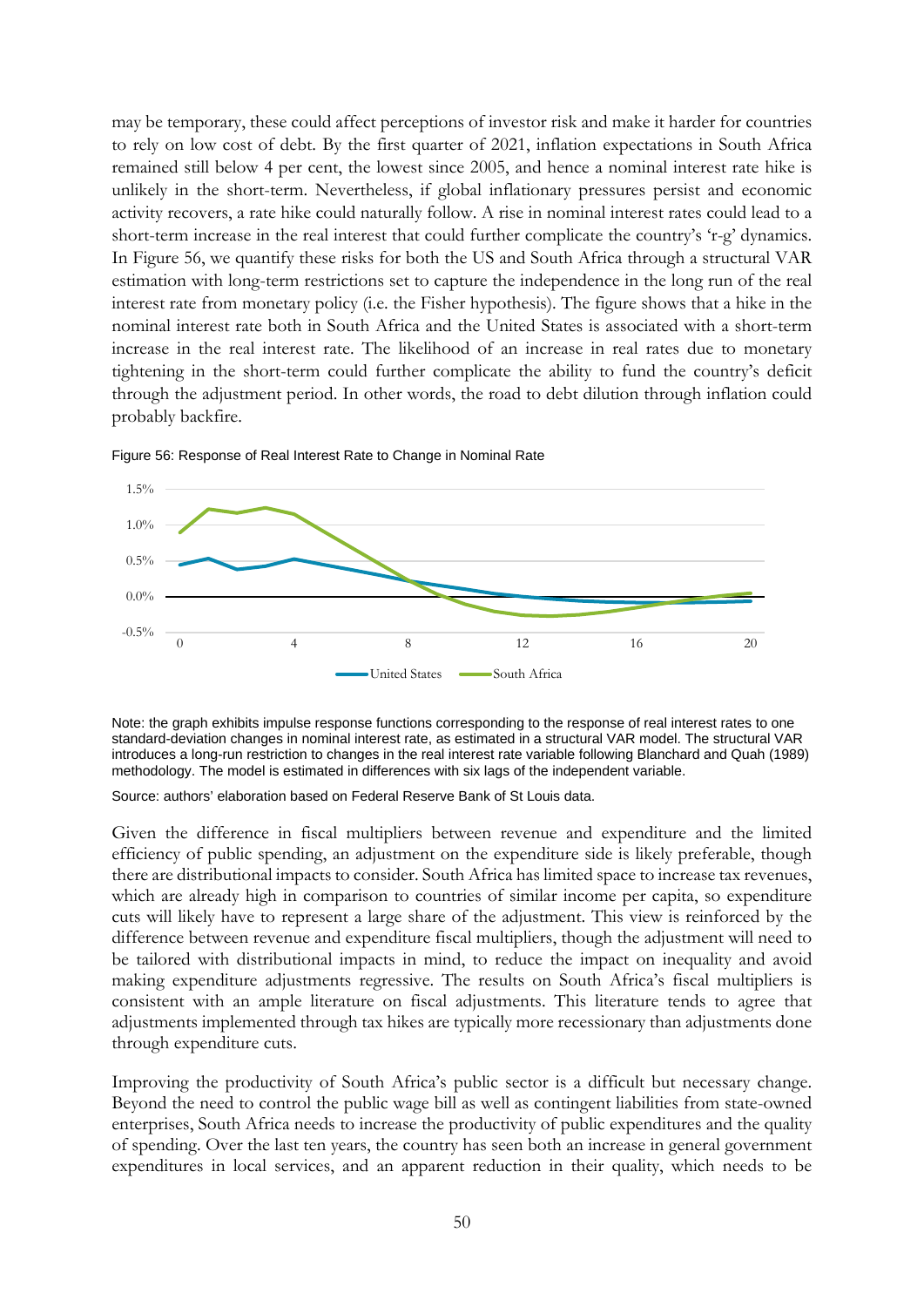may be temporary, these could affect perceptions of investor risk and make it harder for countries to rely on low cost of debt. By the first quarter of 2021, inflation expectations in South Africa remained still below 4 per cent, the lowest since 2005, and hence a nominal interest rate hike is unlikely in the short-term. Nevertheless, if global inflationary pressures persist and economic activity recovers, a rate hike could naturally follow. A rise in nominal interest rates could lead to a short-term increase in the real interest that could further complicate the country's 'r-g' dynamics. In Figure 56, we quantify these risks for both the US and South Africa through a structural VAR estimation with long-term restrictions set to capture the independence in the long run of the real interest rate from monetary policy (i.e. the Fisher hypothesis). The figure shows that a hike in the nominal interest rate both in South Africa and the United States is associated with a short-term increase in the real interest rate. The likelihood of an increase in real rates due to monetary tightening in the short-term could further complicate the ability to fund the country's deficit through the adjustment period. In other words, the road to debt dilution through inflation could probably backfire.



Figure 56: Response of Real Interest Rate to Change in Nominal Rate

Note: the graph exhibits impulse response functions corresponding to the response of real interest rates to one standard-deviation changes in nominal interest rate, as estimated in a structural VAR model. The structural VAR introduces a long-run restriction to changes in the real interest rate variable following Blanchard and Quah (1989) methodology. The model is estimated in differences with six lags of the independent variable.

Source: authors' elaboration based on Federal Reserve Bank of St Louis data.

Given the difference in fiscal multipliers between revenue and expenditure and the limited efficiency of public spending, an adjustment on the expenditure side is likely preferable, though there are distributional impacts to consider. South Africa has limited space to increase tax revenues, which are already high in comparison to countries of similar income per capita, so expenditure cuts will likely have to represent a large share of the adjustment. This view is reinforced by the difference between revenue and expenditure fiscal multipliers, though the adjustment will need to be tailored with distributional impacts in mind, to reduce the impact on inequality and avoid making expenditure adjustments regressive. The results on South Africa's fiscal multipliers is consistent with an ample literature on fiscal adjustments. This literature tends to agree that adjustments implemented through tax hikes are typically more recessionary than adjustments done through expenditure cuts.

Improving the productivity of South Africa's public sector is a difficult but necessary change. Beyond the need to control the public wage bill as well as contingent liabilities from state-owned enterprises, South Africa needs to increase the productivity of public expenditures and the quality of spending. Over the last ten years, the country has seen both an increase in general government expenditures in local services, and an apparent reduction in their quality, which needs to be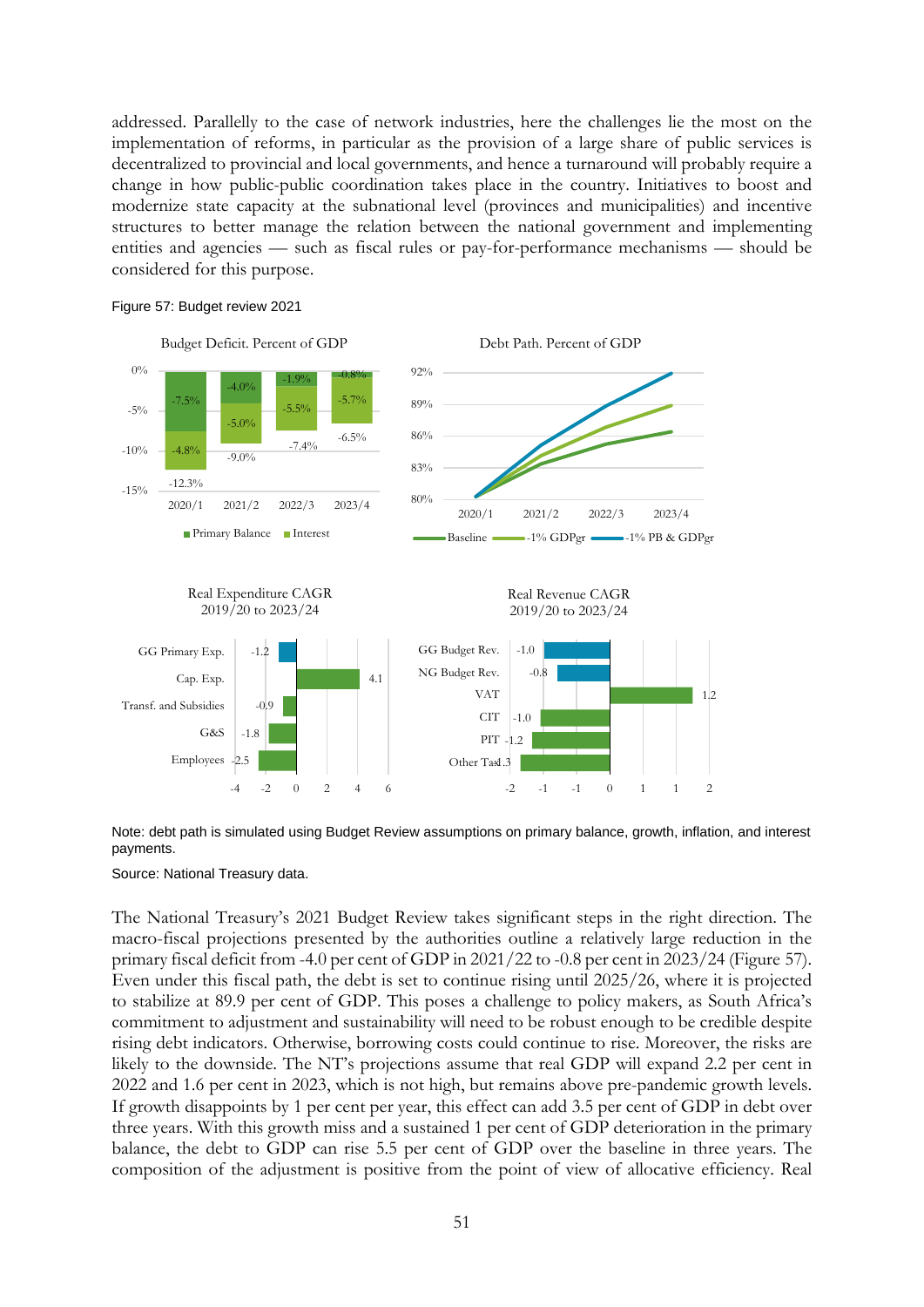addressed. Parallelly to the case of network industries, here the challenges lie the most on the implementation of reforms, in particular as the provision of a large share of public services is decentralized to provincial and local governments, and hence a turnaround will probably require a change in how public-public coordination takes place in the country. Initiatives to boost and modernize state capacity at the subnational level (provinces and municipalities) and incentive structures to better manage the relation between the national government and implementing entities and agencies — such as fiscal rules or pay-for-performance mechanisms — should be considered for this purpose.



Figure 57: Budget review 2021

Note: debt path is simulated using Budget Review assumptions on primary balance, growth, inflation, and interest payments.

Source: National Treasury data.

The National Treasury's 2021 Budget Review takes significant steps in the right direction. The macro-fiscal projections presented by the authorities outline a relatively large reduction in the primary fiscal deficit from -4.0 per cent of GDP in 2021/22 to -0.8 per cent in 2023/24 (Figure 57). Even under this fiscal path, the debt is set to continue rising until 2025/26, where it is projected to stabilize at 89.9 per cent of GDP. This poses a challenge to policy makers, as South Africa's commitment to adjustment and sustainability will need to be robust enough to be credible despite rising debt indicators. Otherwise, borrowing costs could continue to rise. Moreover, the risks are likely to the downside. The NT's projections assume that real GDP will expand 2.2 per cent in 2022 and 1.6 per cent in 2023, which is not high, but remains above pre-pandemic growth levels. If growth disappoints by 1 per cent per year, this effect can add 3.5 per cent of GDP in debt over three years. With this growth miss and a sustained 1 per cent of GDP deterioration in the primary balance, the debt to GDP can rise 5.5 per cent of GDP over the baseline in three years. The composition of the adjustment is positive from the point of view of allocative efficiency. Real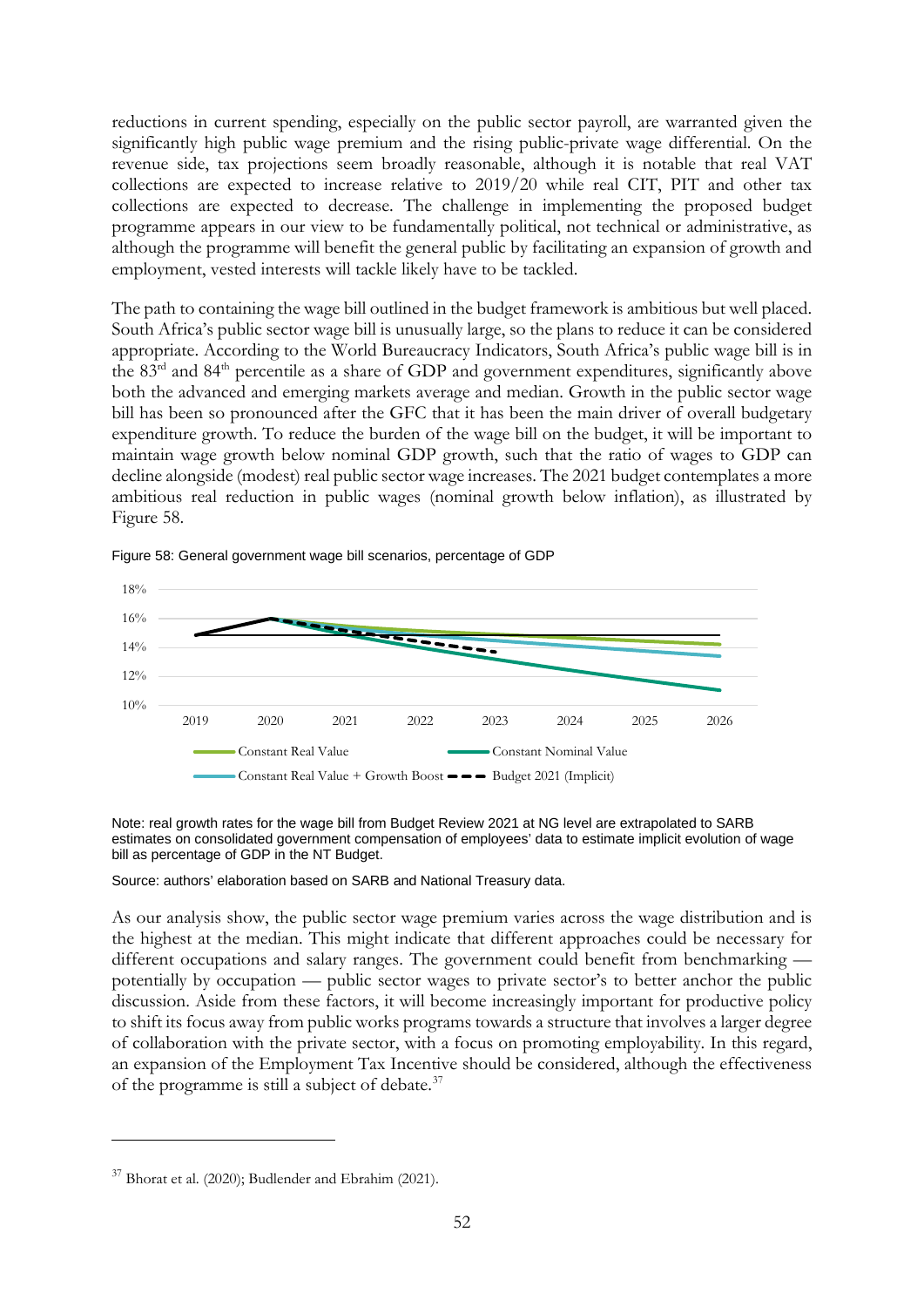reductions in current spending, especially on the public sector payroll, are warranted given the significantly high public wage premium and the rising public-private wage differential. On the revenue side, tax projections seem broadly reasonable, although it is notable that real VAT collections are expected to increase relative to 2019/20 while real CIT, PIT and other tax collections are expected to decrease. The challenge in implementing the proposed budget programme appears in our view to be fundamentally political, not technical or administrative, as although the programme will benefit the general public by facilitating an expansion of growth and employment, vested interests will tackle likely have to be tackled.

The path to containing the wage bill outlined in the budget framework is ambitious but well placed. South Africa's public sector wage bill is unusually large, so the plans to reduce it can be considered appropriate. According to the World Bureaucracy Indicators, South Africa's public wage bill is in the 83<sup>rd</sup> and 84<sup>th</sup> percentile as a share of GDP and government expenditures, significantly above both the advanced and emerging markets average and median. Growth in the public sector wage bill has been so pronounced after the GFC that it has been the main driver of overall budgetary expenditure growth. To reduce the burden of the wage bill on the budget, it will be important to maintain wage growth below nominal GDP growth, such that the ratio of wages to GDP can decline alongside (modest) real public sector wage increases. The 2021 budget contemplates a more ambitious real reduction in public wages (nominal growth below inflation), as illustrated by Figure 58.



Figure 58: General government wage bill scenarios, percentage of GDP

Note: real growth rates for the wage bill from Budget Review 2021 at NG level are extrapolated to SARB estimates on consolidated government compensation of employees' data to estimate implicit evolution of wage bill as percentage of GDP in the NT Budget.

Source: authors' elaboration based on SARB and National Treasury data.

As our analysis show, the public sector wage premium varies across the wage distribution and is the highest at the median. This might indicate that different approaches could be necessary for different occupations and salary ranges. The government could benefit from benchmarking potentially by occupation — public sector wages to private sector's to better anchor the public discussion. Aside from these factors, it will become increasingly important for productive policy to shift its focus away from public works programs towards a structure that involves a larger degree of collaboration with the private sector, with a focus on promoting employability. In this regard, an expansion of the Employment Tax Incentive should be considered, although the effectiveness of the programme is still a subject of debate.[37](#page-53-0)

<span id="page-53-0"></span> $37$  Bhorat et al. (2020); Budlender and Ebrahim (2021).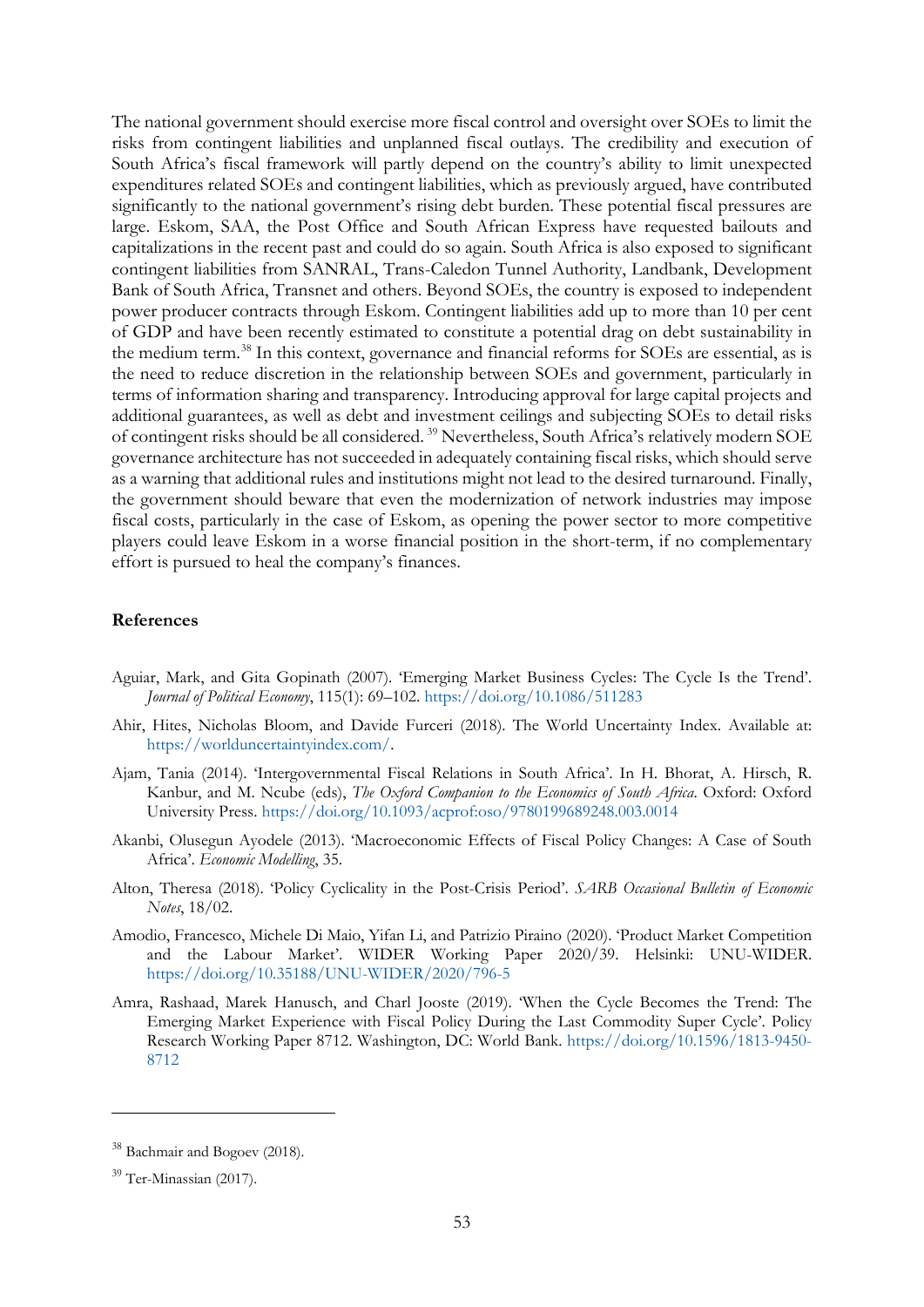The national government should exercise more fiscal control and oversight over SOEs to limit the risks from contingent liabilities and unplanned fiscal outlays. The credibility and execution of South Africa's fiscal framework will partly depend on the country's ability to limit unexpected expenditures related SOEs and contingent liabilities, which as previously argued, have contributed significantly to the national government's rising debt burden. These potential fiscal pressures are large. Eskom, SAA, the Post Office and South African Express have requested bailouts and capitalizations in the recent past and could do so again. South Africa is also exposed to significant contingent liabilities from SANRAL, Trans-Caledon Tunnel Authority, Landbank, Development Bank of South Africa, Transnet and others. Beyond SOEs, the country is exposed to independent power producer contracts through Eskom. Contingent liabilities add up to more than 10 per cent of GDP and have been recently estimated to constitute a potential drag on debt sustainability in the medium term.<sup>[38](#page-54-0)</sup> In this context, governance and financial reforms for SOEs are essential, as is the need to reduce discretion in the relationship between SOEs and government, particularly in terms of information sharing and transparency. Introducing approval for large capital projects and additional guarantees, as well as debt and investment ceilings and subjecting SOEs to detail risks of contingent risks should be all considered. [39](#page-54-1) Nevertheless, South Africa's relatively modern SOE governance architecture has not succeeded in adequately containing fiscal risks, which should serve as a warning that additional rules and institutions might not lead to the desired turnaround. Finally, the government should beware that even the modernization of network industries may impose fiscal costs, particularly in the case of Eskom, as opening the power sector to more competitive players could leave Eskom in a worse financial position in the short-term, if no complementary effort is pursued to heal the company's finances.

### **References**

- Aguiar, Mark, and Gita Gopinath (2007). 'Emerging Market Business Cycles: The Cycle Is the Trend'. *Journal of Political Economy*, 115(1): 69–102. <https://doi.org/10.1086/511283>
- Ahir, Hites, Nicholas Bloom, and Davide Furceri (2018). The World Uncertainty Index. Available at: [https://worlduncertaintyindex.com/.](https://worlduncertaintyindex.com/)
- Ajam, Tania (2014). 'Intergovernmental Fiscal Relations in South Africa'. In H. Bhorat, A. Hirsch, R. Kanbur, and M. Ncube (eds), *The Oxford Companion to the Economics of South Africa*. Oxford: Oxford University Press. <https://doi.org/10.1093/acprof:oso/9780199689248.003.0014>
- Akanbi, Olusegun Ayodele (2013). 'Macroeconomic Effects of Fiscal Policy Changes: A Case of South Africa'. *Economic Modelling*, 35.
- Alton, Theresa (2018). 'Policy Cyclicality in the Post-Crisis Period'. *SARB Occasional Bulletin of Economic Notes*, 18/02.
- Amodio, Francesco, Michele Di Maio, Yifan Li, and Patrizio Piraino (2020). 'Product Market Competition and the Labour Market'. WIDER Working Paper 2020/39. Helsinki: UNU-WIDER. <https://doi.org/10.35188/UNU-WIDER/2020/796-5>
- Amra, Rashaad, Marek Hanusch, and Charl Jooste (2019). 'When the Cycle Becomes the Trend: The Emerging Market Experience with Fiscal Policy During the Last Commodity Super Cycle'. Policy Research Working Paper 8712. Washington, DC: World Bank. [https://doi.org/10.1596/1813-9450-](https://doi.org/10.1596/1813-9450-8712) [8712](https://doi.org/10.1596/1813-9450-8712)

<span id="page-54-0"></span><sup>38</sup> Bachmair and Bogoev (2018).

<span id="page-54-1"></span><sup>&</sup>lt;sup>39</sup> Ter-Minassian (2017).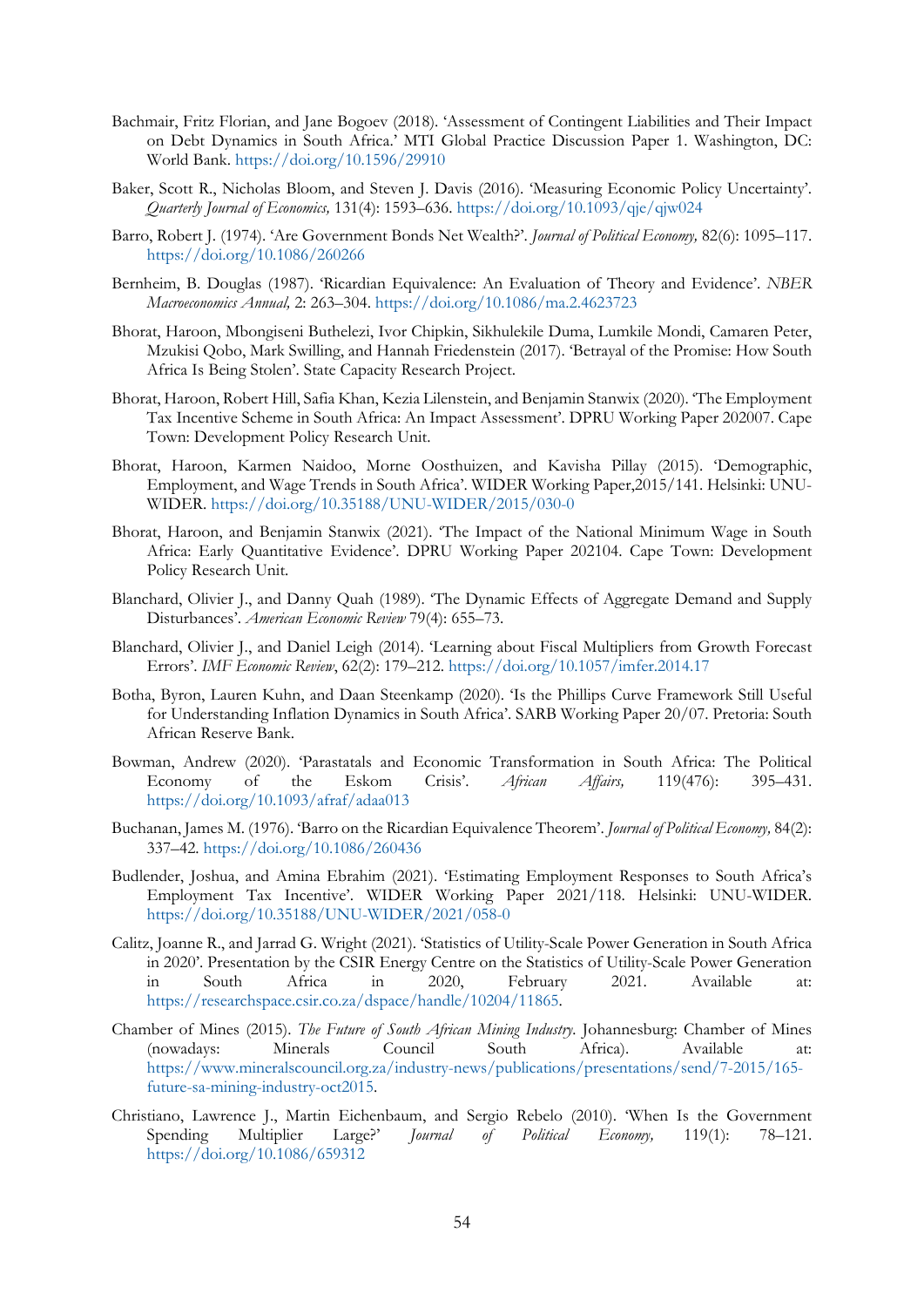- Bachmair, Fritz Florian, and Jane Bogoev (2018). 'Assessment of Contingent Liabilities and Their Impact on Debt Dynamics in South Africa.' MTI Global Practice Discussion Paper 1. Washington, DC: World Bank. <https://doi.org/10.1596/29910>
- Baker, Scott R., Nicholas Bloom, and Steven J. Davis (2016). 'Measuring Economic Policy Uncertainty'. *Quarterly Journal of Economics,* 131(4): 1593–636. <https://doi.org/10.1093/qje/qjw024>
- Barro, Robert J. (1974). 'Are Government Bonds Net Wealth?'. *Journal of Political Economy,* 82(6): 1095–117. <https://doi.org/10.1086/260266>
- Bernheim, B. Douglas (1987). 'Ricardian Equivalence: An Evaluation of Theory and Evidence'. *NBER Macroeconomics Annual,* 2: 263–304. <https://doi.org/10.1086/ma.2.4623723>
- Bhorat, Haroon, Mbongiseni Buthelezi, Ivor Chipkin, Sikhulekile Duma, Lumkile Mondi, Camaren Peter, Mzukisi Qobo, Mark Swilling, and Hannah Friedenstein (2017). 'Betrayal of the Promise: How South Africa Is Being Stolen'. State Capacity Research Project.
- Bhorat, Haroon, Robert Hill, Safia Khan, Kezia Lilenstein, and Benjamin Stanwix (2020). 'The Employment Tax Incentive Scheme in South Africa: An Impact Assessment'. DPRU Working Paper 202007. Cape Town: Development Policy Research Unit.
- Bhorat, Haroon, Karmen Naidoo, Morne Oosthuizen, and Kavisha Pillay (2015). 'Demographic, Employment, and Wage Trends in South Africa'. WIDER Working Paper,2015/141. Helsinki: UNU-WIDER.<https://doi.org/10.35188/UNU-WIDER/2015/030-0>
- Bhorat, Haroon, and Benjamin Stanwix (2021). 'The Impact of the National Minimum Wage in South Africa: Early Quantitative Evidence'. DPRU Working Paper 202104. Cape Town: Development Policy Research Unit.
- Blanchard, Olivier J., and Danny Quah (1989). 'The Dynamic Effects of Aggregate Demand and Supply Disturbances'. *American Economic Review* 79(4): 655–73.
- Blanchard, Olivier J., and Daniel Leigh (2014). 'Learning about Fiscal Multipliers from Growth Forecast Errors'. *IMF Economic Review*, 62(2): 179–212. <https://doi.org/10.1057/imfer.2014.17>
- Botha, Byron, Lauren Kuhn, and Daan Steenkamp (2020). 'Is the Phillips Curve Framework Still Useful for Understanding Inflation Dynamics in South Africa'. SARB Working Paper 20/07. Pretoria: South African Reserve Bank.
- Bowman, Andrew (2020). 'Parastatals and Economic Transformation in South Africa: The Political Economy of the Eskom Crisis'. *African Affairs,* 119(476): 395–431. <https://doi.org/10.1093/afraf/adaa013>
- Buchanan, James M. (1976). 'Barro on the Ricardian Equivalence Theorem'. *Journal of Political Economy,* 84(2): 337–42. <https://doi.org/10.1086/260436>
- Budlender, Joshua, and Amina Ebrahim (2021). 'Estimating Employment Responses to South Africa's Employment Tax Incentive'. WIDER Working Paper 2021/118. Helsinki: UNU-WIDER. <https://doi.org/10.35188/UNU-WIDER/2021/058-0>
- Calitz, Joanne R., and Jarrad G. Wright (2021). 'Statistics of Utility-Scale Power Generation in South Africa in 2020'. Presentation by the CSIR Energy Centre on the Statistics of Utility-Scale Power Generation in South Africa in 2020, February 2021. Available at: [https://researchspace.csir.co.za/dspace/handle/10204/11865.](https://researchspace.csir.co.za/dspace/handle/10204/11865)
- Chamber of Mines (2015). *The Future of South African Mining Industry.* Johannesburg: Chamber of Mines (nowadays: Minerals Council South Africa). Available at: [https://www.mineralscouncil.org.za/industry-news/publications/presentations/send/7-2015/165](https://www.mineralscouncil.org.za/industry-news/publications/presentations/send/7-2015/165-future-sa-mining-industry-oct2015) [future-sa-mining-industry-oct2015.](https://www.mineralscouncil.org.za/industry-news/publications/presentations/send/7-2015/165-future-sa-mining-industry-oct2015)
- Christiano, Lawrence J., Martin Eichenbaum, and Sergio Rebelo (2010). 'When Is the Government Spending Multiplier Large?' *Journal of Political Economy,* 119(1): 78–121. <https://doi.org/10.1086/659312>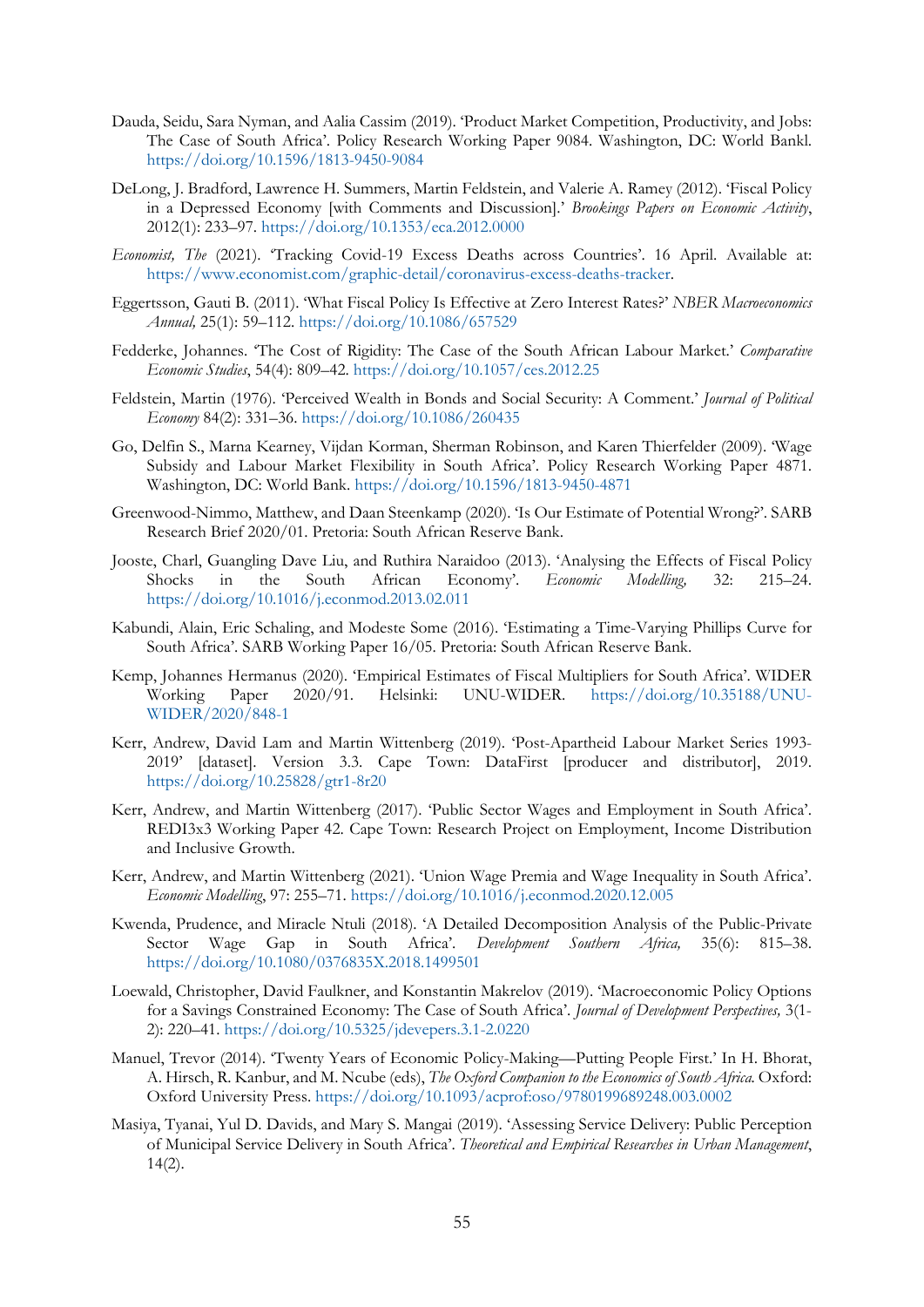- Dauda, Seidu, Sara Nyman, and Aalia Cassim (2019). 'Product Market Competition, Productivity, and Jobs: The Case of South Africa'. Policy Research Working Paper 9084. Washington, DC: World Bankl. <https://doi.org/10.1596/1813-9450-9084>
- DeLong, J. Bradford, Lawrence H. Summers, Martin Feldstein, and Valerie A. Ramey (2012). 'Fiscal Policy in a Depressed Economy [with Comments and Discussion].' *Brookings Papers on Economic Activity*, 2012(1): 233–97. <https://doi.org/10.1353/eca.2012.0000>
- *Economist, The* (2021). 'Tracking Covid-19 Excess Deaths across Countries'. 16 April. Available at: [https://www.economist.com/graphic-detail/coronavirus-excess-deaths-tracker.](https://www.economist.com/graphic-detail/coronavirus-excess-deaths-tracker)
- Eggertsson, Gauti B. (2011). 'What Fiscal Policy Is Effective at Zero Interest Rates?' *NBER Macroeconomics Annual,* 25(1): 59–112. <https://doi.org/10.1086/657529>
- Fedderke, Johannes. 'The Cost of Rigidity: The Case of the South African Labour Market.' *Comparative Economic Studies*, 54(4): 809–42.<https://doi.org/10.1057/ces.2012.25>
- Feldstein, Martin (1976). 'Perceived Wealth in Bonds and Social Security: A Comment.' *Journal of Political Economy* 84(2): 331–36. <https://doi.org/10.1086/260435>
- Go, Delfin S., Marna Kearney, Vijdan Korman, Sherman Robinson, and Karen Thierfelder (2009). 'Wage Subsidy and Labour Market Flexibility in South Africa'. Policy Research Working Paper 4871. Washington, DC: World Bank.<https://doi.org/10.1596/1813-9450-4871>
- Greenwood-Nimmo, Matthew, and Daan Steenkamp (2020). 'Is Our Estimate of Potential Wrong?'. SARB Research Brief 2020/01. Pretoria: South African Reserve Bank.
- Jooste, Charl, Guangling Dave Liu, and Ruthira Naraidoo (2013). 'Analysing the Effects of Fiscal Policy Shocks in the South African Economy'. *Economic Modelling,* 32: 215–24. <https://doi.org/10.1016/j.econmod.2013.02.011>
- Kabundi, Alain, Eric Schaling, and Modeste Some (2016). 'Estimating a Time-Varying Phillips Curve for South Africa'. SARB Working Paper 16/05. Pretoria: South African Reserve Bank.
- Kemp, Johannes Hermanus (2020). 'Empirical Estimates of Fiscal Multipliers for South Africa'. WIDER Working Paper 2020/91. Helsinki: UNU-WIDER. [https://doi.org/10.35188/UNU-](https://doi.org/10.35188/UNU-WIDER/2020/848-1)[WIDER/2020/848-1](https://doi.org/10.35188/UNU-WIDER/2020/848-1)
- Kerr, Andrew, David Lam and Martin Wittenberg (2019). 'Post-Apartheid Labour Market Series 1993- 2019' [dataset]. Version 3.3. Cape Town: DataFirst [producer and distributor], 2019. <https://doi.org/10.25828/gtr1-8r20>
- Kerr, Andrew, and Martin Wittenberg (2017). 'Public Sector Wages and Employment in South Africa'. REDI3x3 Working Paper 42. Cape Town: Research Project on Employment, Income Distribution and Inclusive Growth.
- Kerr, Andrew, and Martin Wittenberg (2021). 'Union Wage Premia and Wage Inequality in South Africa'. *Economic Modelling*, 97: 255–71.<https://doi.org/10.1016/j.econmod.2020.12.005>
- Kwenda, Prudence, and Miracle Ntuli (2018). 'A Detailed Decomposition Analysis of the Public-Private Sector Wage Gap in South Africa'. *Development Southern Africa,* 35(6): 815–38. <https://doi.org/10.1080/0376835X.2018.1499501>
- Loewald, Christopher, David Faulkner, and Konstantin Makrelov (2019). 'Macroeconomic Policy Options for a Savings Constrained Economy: The Case of South Africa'. *Journal of Development Perspectives,* 3(1- 2): 220–41. <https://doi.org/10.5325/jdevepers.3.1-2.0220>
- Manuel, Trevor (2014). 'Twenty Years of Economic Policy-Making—Putting People First.' In H. Bhorat, A. Hirsch, R. Kanbur, and M. Ncube (eds), *The Oxford Companion to the Economics of South Africa.* Oxford: Oxford University Press. <https://doi.org/10.1093/acprof:oso/9780199689248.003.0002>
- Masiya, Tyanai, Yul D. Davids, and Mary S. Mangai (2019). 'Assessing Service Delivery: Public Perception of Municipal Service Delivery in South Africa'. *Theoretical and Empirical Researches in Urban Management*, 14(2).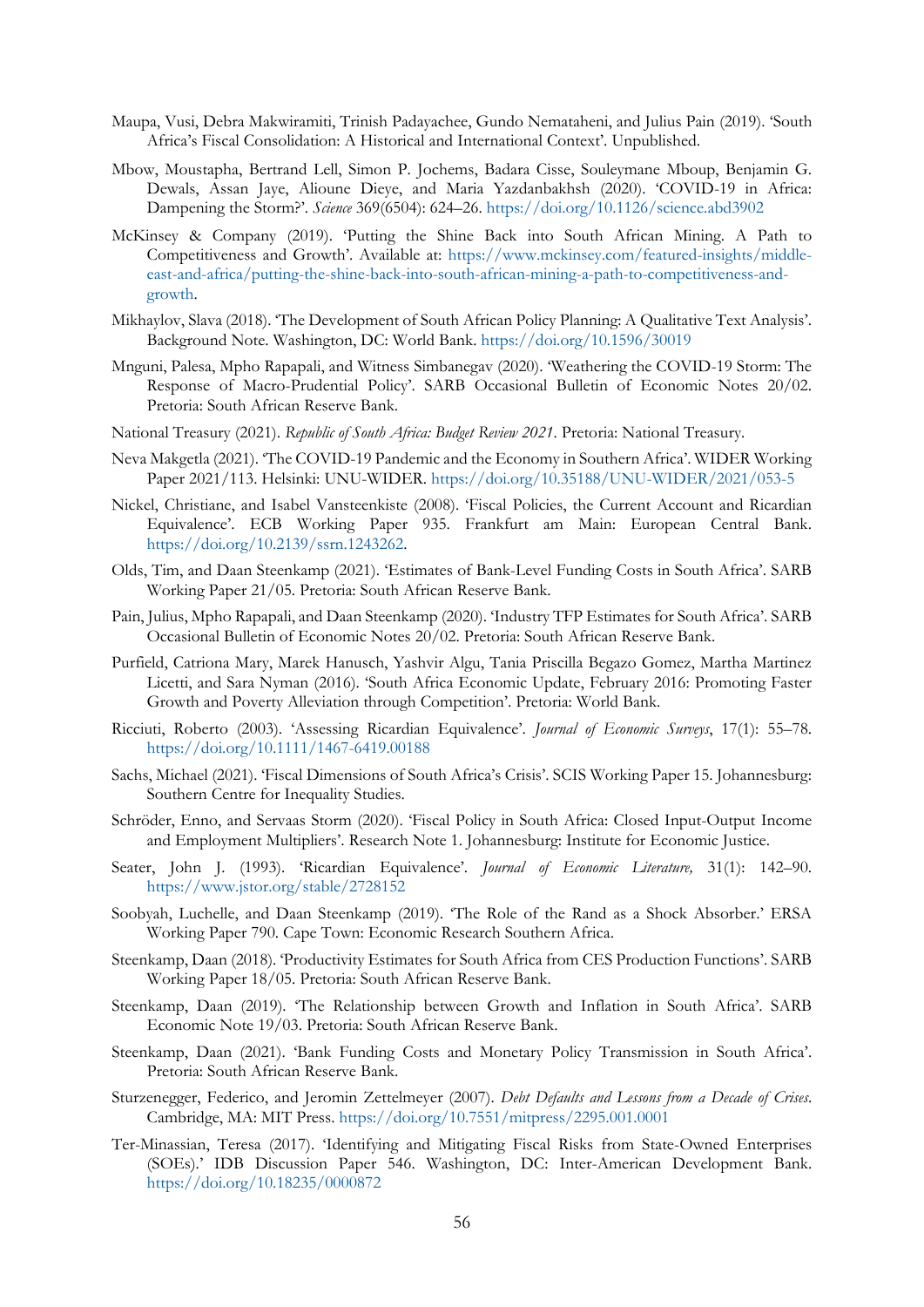- Maupa, Vusi, Debra Makwiramiti, Trinish Padayachee, Gundo Nemataheni, and Julius Pain (2019). 'South Africa's Fiscal Consolidation: A Historical and International Context'. Unpublished.
- Mbow, Moustapha, Bertrand Lell, Simon P. Jochems, Badara Cisse, Souleymane Mboup, Benjamin G. Dewals, Assan Jaye, Alioune Dieye, and Maria Yazdanbakhsh (2020). 'COVID-19 in Africa: Dampening the Storm?'. *Science* 369(6504): 624–26. <https://doi.org/10.1126/science.abd3902>
- McKinsey & Company (2019). 'Putting the Shine Back into South African Mining. A Path to Competitiveness and Growth'. Available at: [https://www.mckinsey.com/featured-insights/middle](https://www.mckinsey.com/featured-insights/middle-east-and-africa/putting-the-shine-back-into-south-african-mining-a-path-to-competitiveness-and-growth)[east-and-africa/putting-the-shine-back-into-south-african-mining-a-path-to-competitiveness-and](https://www.mckinsey.com/featured-insights/middle-east-and-africa/putting-the-shine-back-into-south-african-mining-a-path-to-competitiveness-and-growth)[growth.](https://www.mckinsey.com/featured-insights/middle-east-and-africa/putting-the-shine-back-into-south-african-mining-a-path-to-competitiveness-and-growth)
- Mikhaylov, Slava (2018). 'The Development of South African Policy Planning: A Qualitative Text Analysis'. Background Note. Washington, DC: World Bank. <https://doi.org/10.1596/30019>
- Mnguni, Palesa, Mpho Rapapali, and Witness Simbanegav (2020). 'Weathering the COVID-19 Storm: The Response of Macro-Prudential Policy'. SARB Occasional Bulletin of Economic Notes 20/02. Pretoria: South African Reserve Bank.
- National Treasury (2021). *Republic of South Africa: Budget Review 2021*. Pretoria: National Treasury.
- Neva Makgetla (2021). 'The COVID-19 Pandemic and the Economy in Southern Africa'. WIDER Working Paper 2021/113. Helsinki: UNU-WIDER.<https://doi.org/10.35188/UNU-WIDER/2021/053-5>
- Nickel, Christiane, and Isabel Vansteenkiste (2008). 'Fiscal Policies, the Current Account and Ricardian Equivalence'. ECB Working Paper 935. Frankfurt am Main: European Central Bank. [https://doi.org/10.2139/ssrn.1243262.](https://doi.org/10.2139/ssrn.1243262)
- Olds, Tim, and Daan Steenkamp (2021). 'Estimates of Bank-Level Funding Costs in South Africa'. SARB Working Paper 21/05. Pretoria: South African Reserve Bank.
- Pain, Julius, Mpho Rapapali, and Daan Steenkamp (2020). 'Industry TFP Estimates for South Africa'. SARB Occasional Bulletin of Economic Notes 20/02. Pretoria: South African Reserve Bank.
- Purfield, Catriona Mary, Marek Hanusch, Yashvir Algu, Tania Priscilla Begazo Gomez, Martha Martinez Licetti, and Sara Nyman (2016). 'South Africa Economic Update, February 2016: Promoting Faster Growth and Poverty Alleviation through Competition'. Pretoria: World Bank.
- Ricciuti, Roberto (2003). 'Assessing Ricardian Equivalence'. *Journal of Economic Surveys*, 17(1): 55–78. <https://doi.org/10.1111/1467-6419.00188>
- Sachs, Michael (2021). 'Fiscal Dimensions of South Africa's Crisis'. SCIS Working Paper 15. Johannesburg: Southern Centre for Inequality Studies.
- Schröder, Enno, and Servaas Storm (2020). 'Fiscal Policy in South Africa: Closed Input-Output Income and Employment Multipliers'. Research Note 1. Johannesburg: Institute for Economic Justice.
- Seater, John J. (1993). 'Ricardian Equivalence'. *Journal of Economic Literature,* 31(1): 142–90. <https://www.jstor.org/stable/2728152>
- Soobyah, Luchelle, and Daan Steenkamp (2019). 'The Role of the Rand as a Shock Absorber.' ERSA Working Paper 790. Cape Town: Economic Research Southern Africa.
- Steenkamp, Daan (2018). 'Productivity Estimates for South Africa from CES Production Functions'. SARB Working Paper 18/05. Pretoria: South African Reserve Bank.
- Steenkamp, Daan (2019). 'The Relationship between Growth and Inflation in South Africa'. SARB Economic Note 19/03. Pretoria: South African Reserve Bank.
- Steenkamp, Daan (2021). 'Bank Funding Costs and Monetary Policy Transmission in South Africa'. Pretoria: South African Reserve Bank.
- Sturzenegger, Federico, and Jeromin Zettelmeyer (2007). *Debt Defaults and Lessons from a Decade of Crises*. Cambridge, MA: MIT Press. <https://doi.org/10.7551/mitpress/2295.001.0001>
- Ter-Minassian, Teresa (2017). 'Identifying and Mitigating Fiscal Risks from State-Owned Enterprises (SOEs).' IDB Discussion Paper 546. Washington, DC: Inter-American Development Bank. <https://doi.org/10.18235/0000872>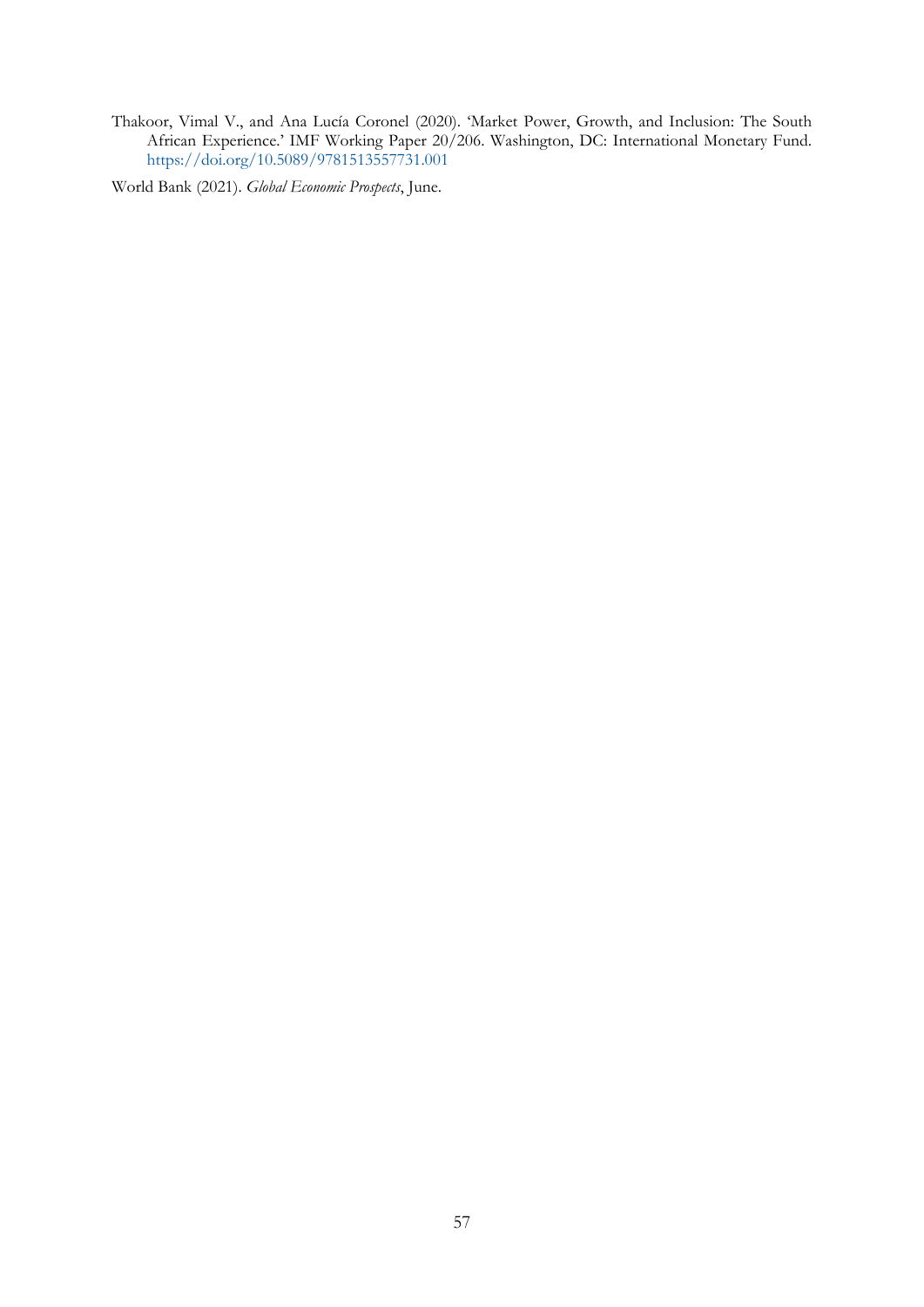Thakoor, Vimal V., and Ana Lucía Coronel (2020). 'Market Power, Growth, and Inclusion: The South African Experience.' IMF Working Paper 20/206. Washington, DC: International Monetary Fund. <https://doi.org/10.5089/9781513557731.001>

World Bank (2021). *Global Economic Prospects*, June.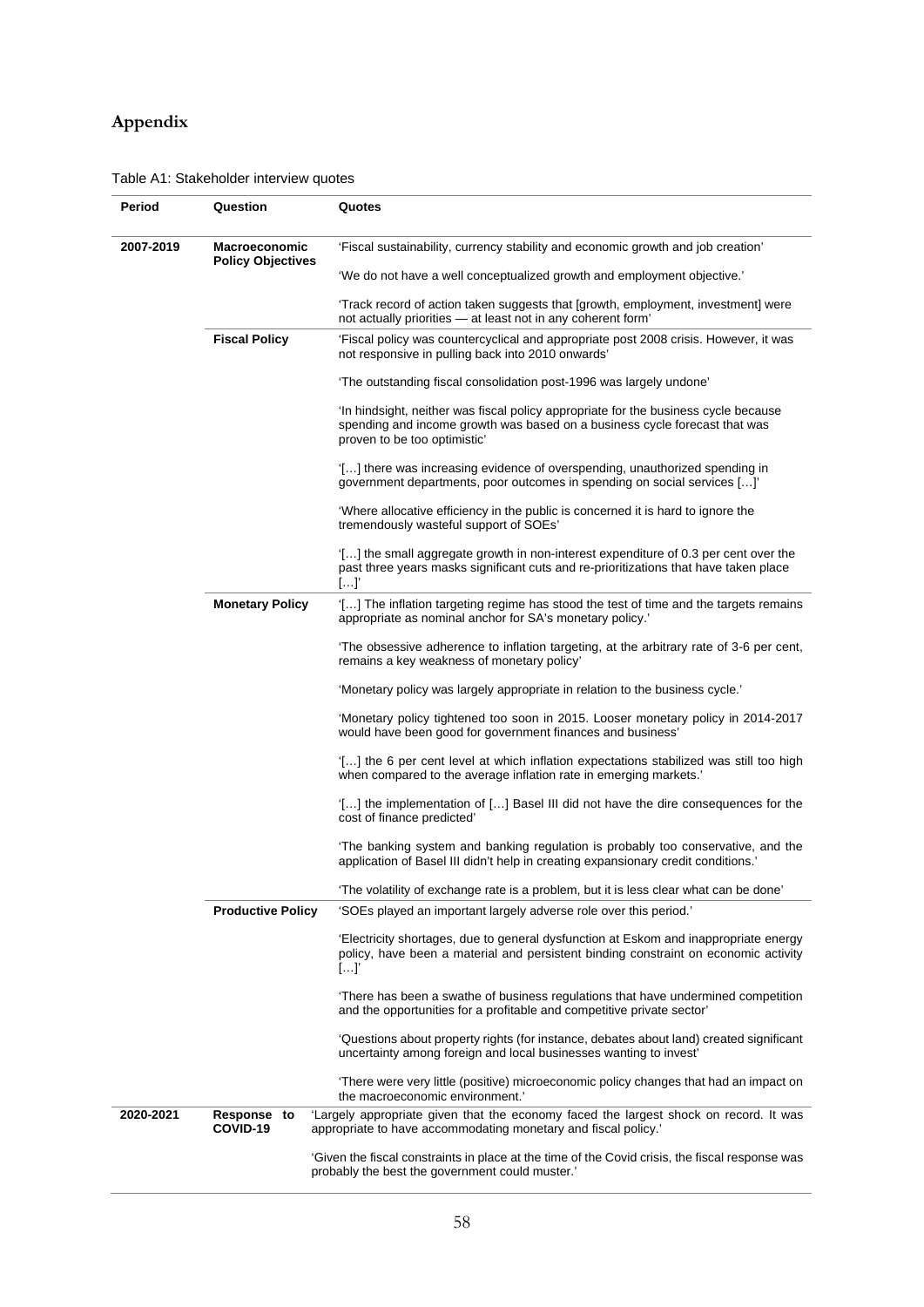## **Appendix**

## Table A1: Stakeholder interview quotes

| Period                                                                                                                                             | Question                 | Quotes                                                                                                                                                                                           |  |  |  |  |  |
|----------------------------------------------------------------------------------------------------------------------------------------------------|--------------------------|--------------------------------------------------------------------------------------------------------------------------------------------------------------------------------------------------|--|--|--|--|--|
| 2007-2019                                                                                                                                          | <b>Macroeconomic</b>     | 'Fiscal sustainability, currency stability and economic growth and job creation'                                                                                                                 |  |  |  |  |  |
|                                                                                                                                                    | <b>Policy Objectives</b> | 'We do not have a well conceptualized growth and employment objective.'                                                                                                                          |  |  |  |  |  |
|                                                                                                                                                    |                          | 'Track record of action taken suggests that [growth, employment, investment] were<br>not actually priorities - at least not in any coherent form'                                                |  |  |  |  |  |
|                                                                                                                                                    | <b>Fiscal Policy</b>     | 'Fiscal policy was countercyclical and appropriate post 2008 crisis. However, it was<br>not responsive in pulling back into 2010 onwards'                                                        |  |  |  |  |  |
|                                                                                                                                                    |                          | 'The outstanding fiscal consolidation post-1996 was largely undone'                                                                                                                              |  |  |  |  |  |
|                                                                                                                                                    |                          | In hindsight, neither was fiscal policy appropriate for the business cycle because<br>spending and income growth was based on a business cycle forecast that was<br>proven to be too optimistic' |  |  |  |  |  |
|                                                                                                                                                    |                          | [] there was increasing evidence of overspending, unauthorized spending in<br>government departments, poor outcomes in spending on social services []                                            |  |  |  |  |  |
|                                                                                                                                                    |                          | 'Where allocative efficiency in the public is concerned it is hard to ignore the<br>tremendously wasteful support of SOEs'                                                                       |  |  |  |  |  |
|                                                                                                                                                    |                          | [] the small aggregate growth in non-interest expenditure of 0.3 per cent over the<br>past three years masks significant cuts and re-prioritizations that have taken place<br>[]                 |  |  |  |  |  |
|                                                                                                                                                    | <b>Monetary Policy</b>   | [] The inflation targeting regime has stood the test of time and the targets remains<br>appropriate as nominal anchor for SA's monetary policy.'                                                 |  |  |  |  |  |
|                                                                                                                                                    |                          | 'The obsessive adherence to inflation targeting, at the arbitrary rate of 3-6 per cent,<br>remains a key weakness of monetary policy'                                                            |  |  |  |  |  |
|                                                                                                                                                    |                          | 'Monetary policy was largely appropriate in relation to the business cycle.'                                                                                                                     |  |  |  |  |  |
|                                                                                                                                                    |                          | 'Monetary policy tightened too soon in 2015. Looser monetary policy in 2014-2017<br>would have been good for government finances and business'                                                   |  |  |  |  |  |
|                                                                                                                                                    |                          | [] the 6 per cent level at which inflation expectations stabilized was still too high<br>when compared to the average inflation rate in emerging markets.'                                       |  |  |  |  |  |
|                                                                                                                                                    |                          | [] the implementation of [] Basel III did not have the dire consequences for the<br>cost of finance predicted'                                                                                   |  |  |  |  |  |
|                                                                                                                                                    |                          | The banking system and banking regulation is probably too conservative, and the<br>application of Basel III didn't help in creating expansionary credit conditions.                              |  |  |  |  |  |
|                                                                                                                                                    |                          | 'The volatility of exchange rate is a problem, but it is less clear what can be done'                                                                                                            |  |  |  |  |  |
|                                                                                                                                                    | <b>Productive Policy</b> | 'SOEs played an important largely adverse role over this period.'                                                                                                                                |  |  |  |  |  |
|                                                                                                                                                    |                          | 'Electricity shortages, due to general dysfunction at Eskom and inappropriate energy<br>policy, have been a material and persistent binding constraint on economic activity<br>[]'               |  |  |  |  |  |
|                                                                                                                                                    |                          | There has been a swathe of business regulations that have undermined competition<br>and the opportunities for a profitable and competitive private sector'                                       |  |  |  |  |  |
|                                                                                                                                                    |                          | 'Questions about property rights (for instance, debates about land) created significant<br>uncertainty among foreign and local businesses wanting to invest'                                     |  |  |  |  |  |
|                                                                                                                                                    |                          | 'There were very little (positive) microeconomic policy changes that had an impact on<br>the macroeconomic environment.'                                                                         |  |  |  |  |  |
| 2020-2021                                                                                                                                          | Response to<br>COVID-19  | 'Largely appropriate given that the economy faced the largest shock on record. It was<br>appropriate to have accommodating monetary and fiscal policy.'                                          |  |  |  |  |  |
| 'Given the fiscal constraints in place at the time of the Covid crisis, the fiscal response was<br>probably the best the government could muster.' |                          |                                                                                                                                                                                                  |  |  |  |  |  |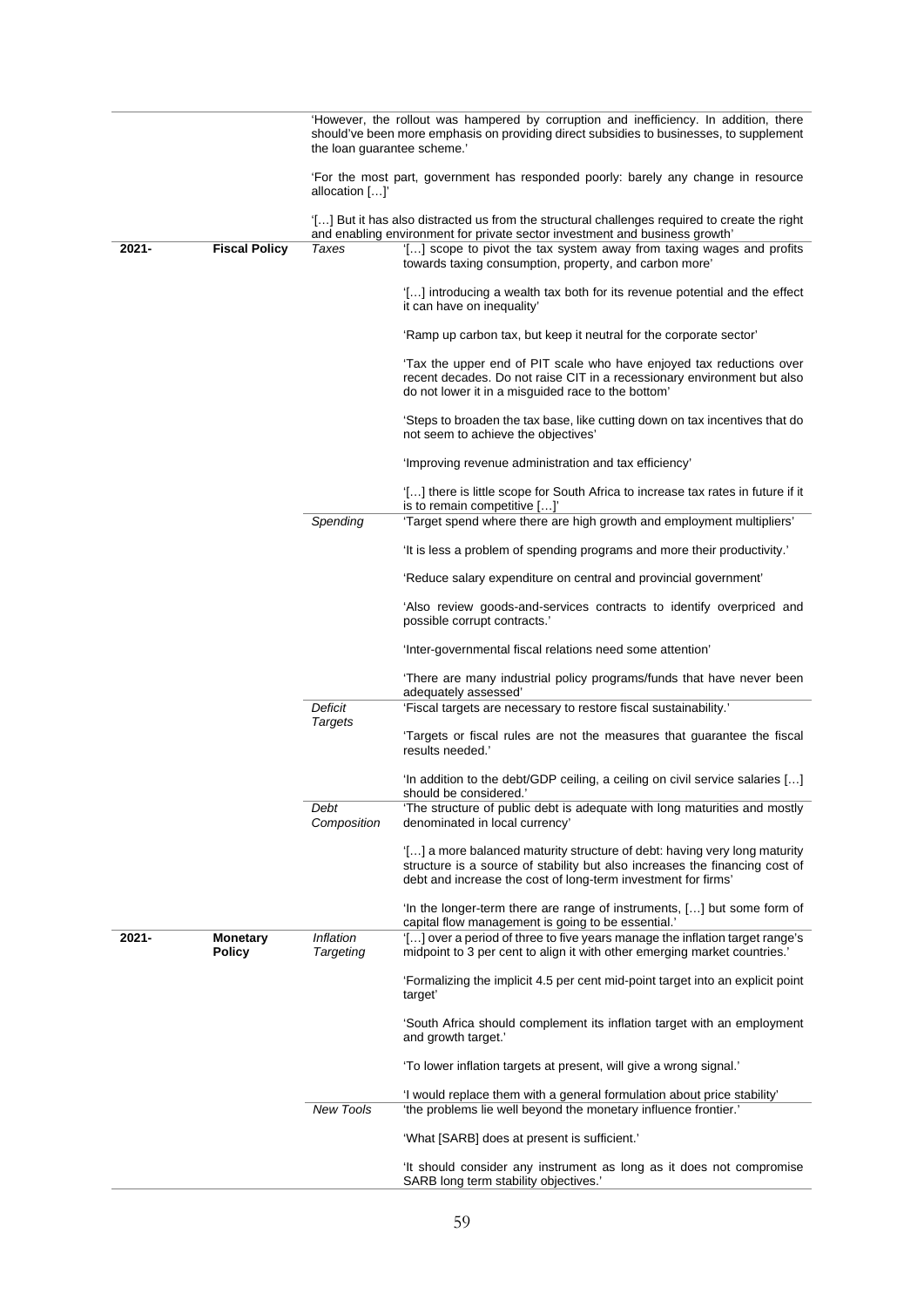|       |                                  | 'However, the rollout was hampered by corruption and inefficiency. In addition, there<br>should've been more emphasis on providing direct subsidies to businesses, to supplement<br>the loan quarantee scheme.' |                                                                                                                                                                                                                           |  |
|-------|----------------------------------|-----------------------------------------------------------------------------------------------------------------------------------------------------------------------------------------------------------------|---------------------------------------------------------------------------------------------------------------------------------------------------------------------------------------------------------------------------|--|
|       |                                  | allocation []'                                                                                                                                                                                                  | For the most part, government has responded poorly: barely any change in resource                                                                                                                                         |  |
|       |                                  |                                                                                                                                                                                                                 | […] But it has also distracted us from the structural challenges required to create the right<br>and enabling environment for private sector investment and business growth'                                              |  |
| 2021- | <b>Fiscal Policy</b>             | Taxes                                                                                                                                                                                                           | '[] scope to pivot the tax system away from taxing wages and profits<br>towards taxing consumption, property, and carbon more'                                                                                            |  |
|       |                                  |                                                                                                                                                                                                                 | $[]$ introducing a wealth tax both for its revenue potential and the effect<br>it can have on inequality'                                                                                                                 |  |
|       |                                  |                                                                                                                                                                                                                 | 'Ramp up carbon tax, but keep it neutral for the corporate sector'                                                                                                                                                        |  |
|       |                                  |                                                                                                                                                                                                                 | 'Tax the upper end of PIT scale who have enjoyed tax reductions over<br>recent decades. Do not raise CIT in a recessionary environment but also<br>do not lower it in a misguided race to the bottom'                     |  |
|       |                                  |                                                                                                                                                                                                                 | 'Steps to broaden the tax base, like cutting down on tax incentives that do<br>not seem to achieve the objectives'                                                                                                        |  |
|       |                                  |                                                                                                                                                                                                                 | 'Improving revenue administration and tax efficiency'                                                                                                                                                                     |  |
|       |                                  |                                                                                                                                                                                                                 | '[] there is little scope for South Africa to increase tax rates in future if it<br>is to remain competitive []                                                                                                           |  |
|       |                                  | Spending                                                                                                                                                                                                        | 'Target spend where there are high growth and employment multipliers'                                                                                                                                                     |  |
|       |                                  |                                                                                                                                                                                                                 | 'It is less a problem of spending programs and more their productivity.'                                                                                                                                                  |  |
|       |                                  |                                                                                                                                                                                                                 | 'Reduce salary expenditure on central and provincial government'                                                                                                                                                          |  |
|       |                                  |                                                                                                                                                                                                                 | 'Also review goods-and-services contracts to identify overpriced and<br>possible corrupt contracts.'                                                                                                                      |  |
|       |                                  |                                                                                                                                                                                                                 | 'Inter-governmental fiscal relations need some attention'                                                                                                                                                                 |  |
|       |                                  |                                                                                                                                                                                                                 | 'There are many industrial policy programs/funds that have never been<br>adequately assessed'                                                                                                                             |  |
|       |                                  | Deficit                                                                                                                                                                                                         | 'Fiscal targets are necessary to restore fiscal sustainability.'                                                                                                                                                          |  |
|       |                                  | <b>Targets</b>                                                                                                                                                                                                  | Targets or fiscal rules are not the measures that guarantee the fiscal<br>results needed.'                                                                                                                                |  |
|       |                                  |                                                                                                                                                                                                                 | 'In addition to the debt/GDP ceiling, a ceiling on civil service salaries $[]$<br>should be considered.'                                                                                                                  |  |
|       |                                  | Debt<br>Composition                                                                                                                                                                                             | The structure of public debt is adequate with long maturities and mostly<br>denominated in local currency'                                                                                                                |  |
|       |                                  |                                                                                                                                                                                                                 | '[] a more balanced maturity structure of debt: having very long maturity<br>structure is a source of stability but also increases the financing cost of<br>debt and increase the cost of long-term investment for firms' |  |
|       |                                  |                                                                                                                                                                                                                 | 'In the longer-term there are range of instruments, [] but some form of<br>capital flow management is going to be essential.'                                                                                             |  |
| 2021- | <b>Monetary</b><br><b>Policy</b> | Inflation<br>Targeting                                                                                                                                                                                          | '[] over a period of three to five years manage the inflation target range's<br>midpoint to 3 per cent to align it with other emerging market countries.'                                                                 |  |
|       |                                  |                                                                                                                                                                                                                 | 'Formalizing the implicit 4.5 per cent mid-point target into an explicit point<br>target'                                                                                                                                 |  |
|       |                                  |                                                                                                                                                                                                                 | 'South Africa should complement its inflation target with an employment<br>and growth target.'                                                                                                                            |  |
|       |                                  |                                                                                                                                                                                                                 | 'To lower inflation targets at present, will give a wrong signal.'                                                                                                                                                        |  |
|       |                                  | <b>New Tools</b>                                                                                                                                                                                                | 'I would replace them with a general formulation about price stability'<br>'the problems lie well beyond the monetary influence frontier.'                                                                                |  |
|       |                                  |                                                                                                                                                                                                                 | 'What [SARB] does at present is sufficient.'                                                                                                                                                                              |  |
|       |                                  |                                                                                                                                                                                                                 | 'It should consider any instrument as long as it does not compromise                                                                                                                                                      |  |
|       |                                  |                                                                                                                                                                                                                 | SARB long term stability objectives.'                                                                                                                                                                                     |  |